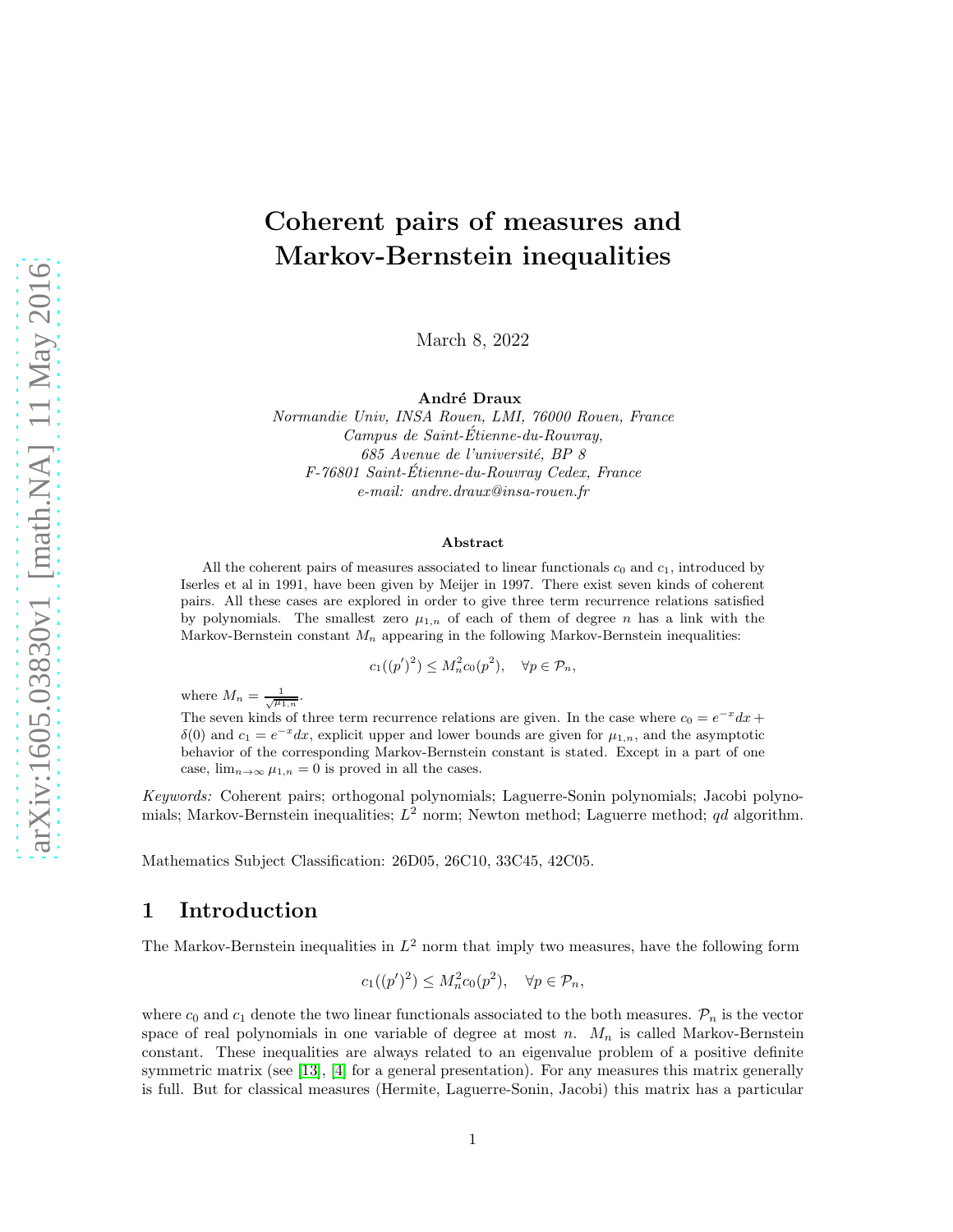# Coherent pairs of measures and Markov-Bernstein inequalities

March 8, 2022

André Draux

Normandie Univ, INSA Rouen, LMI, 76000 Rouen, France Campus de Saint-Etienne-du-Rouvray, ´ 685 Avenue de l'université, BP 8 F-76801 Saint-Etienne-du-Rouvray Cedex, France ´ e-mail: andre.draux@insa-rouen.fr

#### Abstract

All the coherent pairs of measures associated to linear functionals  $c_0$  and  $c_1$ , introduced by Iserles et al in 1991, have been given by Meijer in 1997. There exist seven kinds of coherent pairs. All these cases are explored in order to give three term recurrence relations satisfied by polynomials. The smallest zero  $\mu_{1,n}$  of each of them of degree n has a link with the Markov-Bernstein constant  $M_n$  appearing in the following Markov-Bernstein inequalities:

$$
c_1((p')^2) \le M_n^2 c_0(p^2), \quad \forall p \in \mathcal{P}_n,
$$

where  $M_n = \frac{1}{\sqrt{\mu_{1,n}}}$ .

The seven kinds of three term recurrence relations are given. In the case where  $c_0 = e^{-x} dx + c_0$ δ(0) and  $c_1 = e^{-x} dx$ , explicit upper and lower bounds are given for  $\mu_{1,n}$ , and the asymptotic behavior of the corresponding Markov-Bernstein constant is stated. Except in a part of one case,  $\lim_{n\to\infty}\mu_{1,n}=0$  is proved in all the cases.

Keywords: Coherent pairs; orthogonal polynomials; Laguerre-Sonin polynomials; Jacobi polynomials; Markov-Bernstein inequalities;  $L^2$  norm; Newton method; Laguerre method; qd algorithm.

Mathematics Subject Classification: 26D05, 26C10, 33C45, 42C05.

### 1 Introduction

The Markov-Bernstein inequalities in  $L^2$  norm that imply two measures, have the following form

$$
c_1((p')^2) \le M_n^2 c_0(p^2), \quad \forall p \in \mathcal{P}_n,
$$

where  $c_0$  and  $c_1$  denote the two linear functionals associated to the both measures.  $\mathcal{P}_n$  is the vector space of real polynomials in one variable of degree at most n.  $M_n$  is called Markov-Bernstein constant. These inequalities are always related to an eigenvalue problem of a positive definite symmetric matrix (see [\[13\]](#page-30-0), [\[4\]](#page-30-1) for a general presentation). For any measures this matrix generally is full. But for classical measures (Hermite, Laguerre-Sonin, Jacobi) this matrix has a particular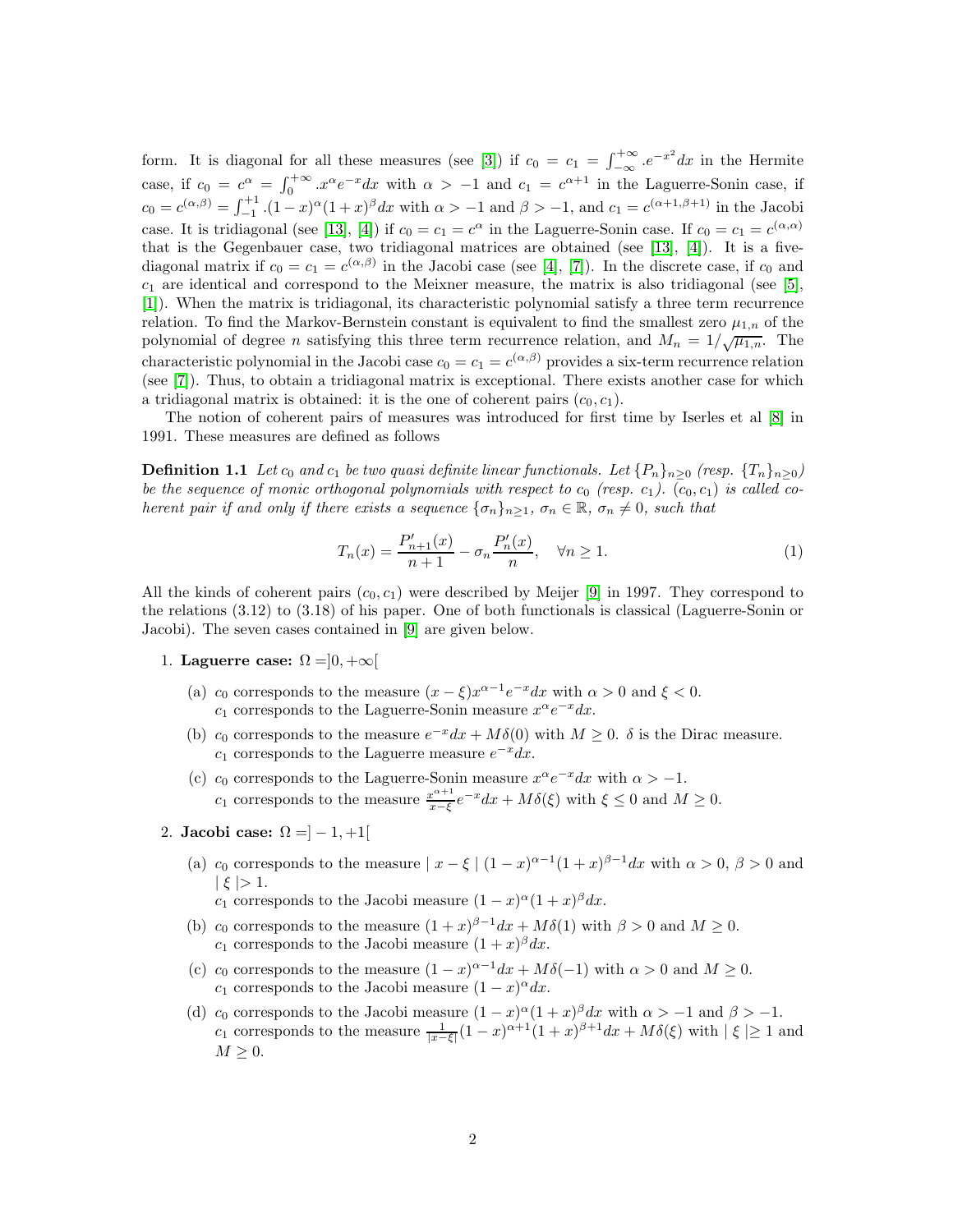form. It is diagonal for all these measures (see [\[3\]](#page-30-2)) if  $c_0 = c_1 = \int_{-\infty}^{+\infty} e^{-x^2} dx$  in the Hermite case, if  $c_0 = c^{\alpha} = \int_0^{+\infty} x^{\alpha} e^{-x} dx$  with  $\alpha > -1$  and  $c_1 = c^{\alpha+1}$  in the Laguerre-Sonin case, if  $c_0 = c^{(\alpha,\beta)} = \int_{-1}^{+1} (1-x)^{\alpha} (1+x)^{\beta} dx$  with  $\alpha > -1$  and  $\beta > -1$ , and  $c_1 = c^{(\alpha+1,\beta+1)}$  in the Jacobi case. It is tridiagonal (see [\[13\]](#page-30-0), [\[4\]](#page-30-1)) if  $c_0 = c_1 = c^{\alpha}$  in the Laguerre-Sonin case. If  $c_0 = c_1 = c^{(\alpha,\alpha)}$ that is the Gegenbauer case, two tridiagonal matrices are obtained (see [\[13\]](#page-30-0), [\[4\]](#page-30-1)). It is a fivediagonal matrix if  $c_0 = c_1 = c^{(\alpha,\beta)}$  in the Jacobi case (see [\[4\]](#page-30-1), [\[7\]](#page-30-3)). In the discrete case, if  $c_0$  and  $c_1$  are identical and correspond to the Meixner measure, the matrix is also tridiagonal (see [\[5\]](#page-30-4), [\[1\]](#page-30-5)). When the matrix is tridiagonal, its characteristic polynomial satisfy a three term recurrence relation. To find the Markov-Bernstein constant is equivalent to find the smallest zero  $\mu_{1,n}$  of the polynomial of degree *n* satisfying this three term recurrence relation, and  $M_n = 1/\sqrt{\mu_{1,n}}$ . The characteristic polynomial in the Jacobi case  $c_0 = c_1 = c^{(\alpha,\beta)}$  provides a six-term recurrence relation (see [\[7\]](#page-30-3)). Thus, to obtain a tridiagonal matrix is exceptional. There exists another case for which a tridiagonal matrix is obtained: it is the one of coherent pairs  $(c_0, c_1)$ .

The notion of coherent pairs of measures was introduced for first time by Iserles et al [\[8\]](#page-30-6) in 1991. These measures are defined as follows

**Definition 1.1** Let  $c_0$  and  $c_1$  be two quasi definite linear functionals. Let  $\{P_n\}_{n>0}$  (resp.  $\{T_n\}_{n>0}$ ) be the sequence of monic orthogonal polynomials with respect to  $c_0$  (resp.  $c_1$ ).  $(c_0, c_1)$  is called coherent pair if and only if there exists a sequence  $\{\sigma_n\}_{n>1}$ ,  $\sigma_n \in \mathbb{R}$ ,  $\sigma_n \neq 0$ , such that

<span id="page-1-0"></span>
$$
T_n(x) = \frac{P'_{n+1}(x)}{n+1} - \sigma_n \frac{P'_n(x)}{n}, \quad \forall n \ge 1.
$$
 (1)

All the kinds of coherent pairs  $(c_0, c_1)$  were described by Meijer [\[9\]](#page-30-7) in 1997. They correspond to the relations (3.12) to (3.18) of his paper. One of both functionals is classical (Laguerre-Sonin or Jacobi). The seven cases contained in [\[9\]](#page-30-7) are given below.

- 1. Laguerre case:  $\Omega = ]0, +\infty[$ 
	- (a)  $c_0$  corresponds to the measure  $(x \xi)x^{\alpha 1}e^{-x}dx$  with  $\alpha > 0$  and  $\xi < 0$ .  $c_1$  corresponds to the Laguerre-Sonin measure  $x^{\alpha}e^{-x}dx$ .
	- (b) c<sub>0</sub> corresponds to the measure  $e^{-x}dx + M\delta(0)$  with  $M \geq 0$ .  $\delta$  is the Dirac measure.  $c_1$  corresponds to the Laguerre measure  $e^{-x}dx$ .
	- (c)  $c_0$  corresponds to the Laguerre-Sonin measure  $x^{\alpha}e^{-x}dx$  with  $\alpha > -1$ .  $c_1$  corresponds to the measure  $\frac{x^{\alpha+1}}{x-\xi}$  $\frac{x^{\alpha+1}}{x-\xi}e^{-x}dx + M\delta(\xi)$  with  $\xi \leq 0$  and  $M \geq 0$ .
- 2. Jacobi case:  $\Omega = ]-1,+1[$ 
	- (a)  $c_0$  corresponds to the measure  $|x-\xi|(1-x)^{\alpha-1}(1+x)^{\beta-1}dx$  with  $\alpha > 0$ ,  $\beta > 0$  and  $|\xi| > 1.$ 
		- $c_1$  corresponds to the Jacobi measure  $(1-x)^{\alpha}(1+x)^{\beta}dx$ .
	- (b) c<sub>0</sub> corresponds to the measure  $(1+x)^{\beta-1}dx + M\delta(1)$  with  $\beta > 0$  and  $M \ge 0$ .  $c_1$  corresponds to the Jacobi measure  $(1+x)^{\beta} dx$ .
	- (c)  $c_0$  corresponds to the measure  $(1-x)^{\alpha-1}dx + M\delta(-1)$  with  $\alpha > 0$  and  $M \ge 0$ .  $c_1$  corresponds to the Jacobi measure  $(1-x)^{\alpha} dx$ .
	- (d) c<sub>0</sub> corresponds to the Jacobi measure  $(1-x)^{\alpha}(1+x)^{\beta}dx$  with  $\alpha > -1$  and  $\beta > -1$ .  $c_1$  corresponds to the measure  $\frac{1}{|x-\xi|}(1-x)^{\alpha+1}(1+x)^{\beta+1}dx + M\delta(\xi)$  with  $|\xi| \geq 1$  and  $M \geq 0$ .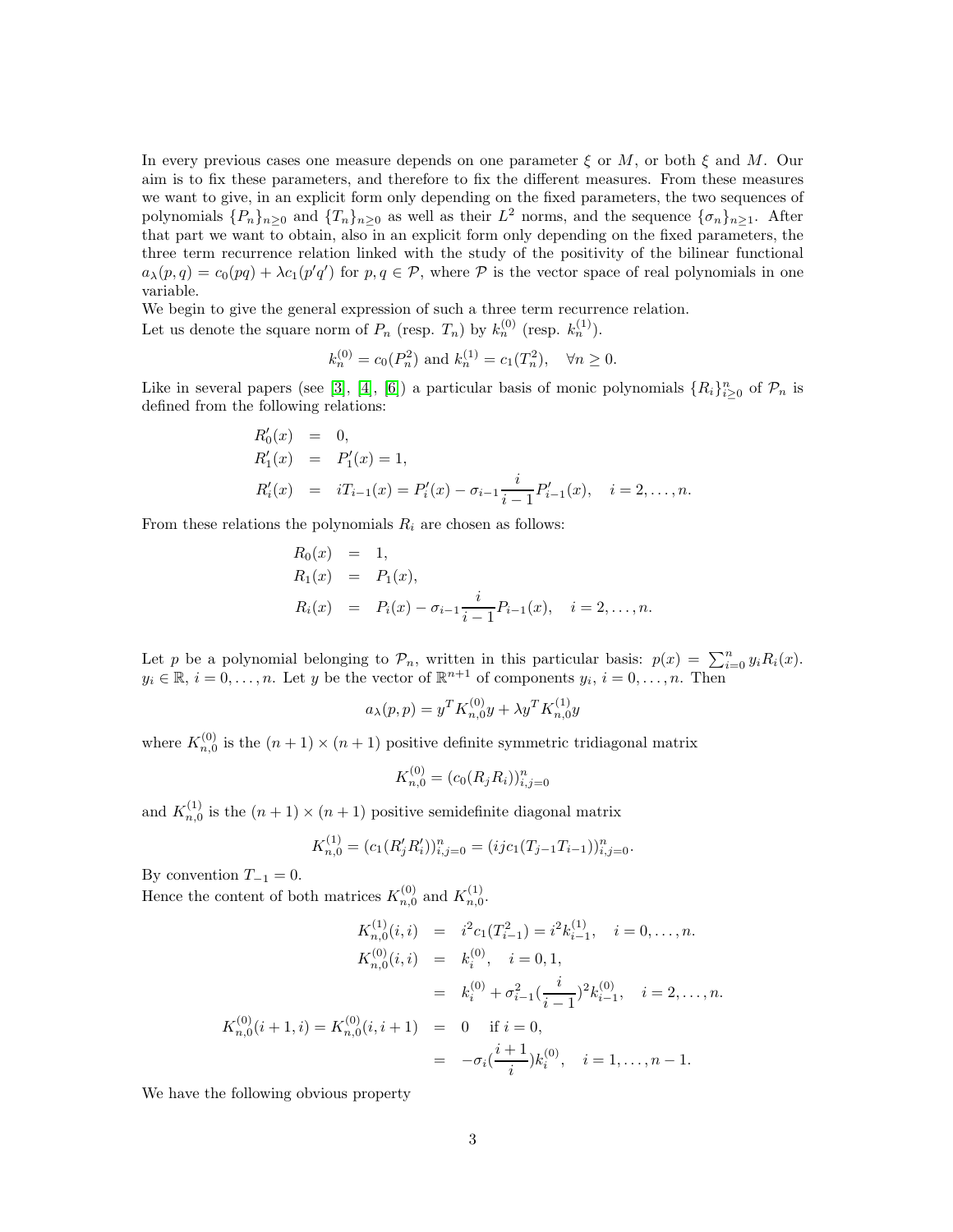In every previous cases one measure depends on one parameter  $\xi$  or  $M$ , or both  $\xi$  and  $M$ . Our aim is to fix these parameters, and therefore to fix the different measures. From these measures we want to give, in an explicit form only depending on the fixed parameters, the two sequences of polynomials  $\{P_n\}_{n\geq 0}$  and  $\{T_n\}_{n\geq 0}$  as well as their  $L^2$  norms, and the sequence  $\{\sigma_n\}_{n\geq 1}$ . After that part we want to obtain, also in an explicit form only depending on the fixed parameters, the three term recurrence relation linked with the study of the positivity of the bilinear functional  $a_{\lambda}(p,q) = c_0(pq) + \lambda c_1(p'q')$  for  $p,q \in \mathcal{P}$ , where  $\mathcal P$  is the vector space of real polynomials in one variable.

We begin to give the general expression of such a three term recurrence relation. Let us denote the square norm of  $P_n$  (resp.  $T_n$ ) by  $k_n^{(0)}$  (resp.  $k_n^{(1)}$ ).

$$
k_n^{(0)} = c_0(P_n^2)
$$
 and  $k_n^{(1)} = c_1(T_n^2)$ ,  $\forall n \ge 0$ .

Like in several papers (see [\[3\]](#page-30-2), [\[4\]](#page-30-1), [\[6\]](#page-30-8)) a particular basis of monic polynomials  $\{R_i\}_{i\geq 0}^n$  of  $\mathcal{P}_n$  is defined from the following relations:

$$
R'_0(x) = 0,
$$
  
\n
$$
R'_1(x) = P'_1(x) = 1,
$$
  
\n
$$
R'_i(x) = iT_{i-1}(x) = P'_i(x) - \sigma_{i-1} \frac{i}{i-1} P'_{i-1}(x), \quad i = 2, ..., n.
$$

From these relations the polynomials  $R_i$  are chosen as follows:

 $\sim$   $\sim$ 

$$
R_0(x) = 1,
$$
  
\n
$$
R_1(x) = P_1(x),
$$
  
\n
$$
R_i(x) = P_i(x) - \sigma_{i-1} \frac{i}{i-1} P_{i-1}(x), \quad i = 2, ..., n.
$$

Let p be a polynomial belonging to  $\mathcal{P}_n$ , written in this particular basis:  $p(x) = \sum_{i=0}^n y_i R_i(x)$ .  $y_i \in \mathbb{R}, i = 0, \ldots, n$ . Let y be the vector of  $\mathbb{R}^{n+1}$  of components  $y_i, i = 0, \ldots, n$ . Then

$$
a_{\lambda}(p, p) = y^T K_{n,0}^{(0)} y + \lambda y^T K_{n,0}^{(1)} y
$$

where  $K_{n,0}^{(0)}$  is the  $(n+1) \times (n+1)$  positive definite symmetric tridiagonal matrix

$$
K_{n,0}^{(0)} = (c_0(R_j R_i))_{i,j=0}^n
$$

and  $K_{n,0}^{(1)}$  is the  $(n+1) \times (n+1)$  positive semidefinite diagonal matrix

$$
K_{n,0}^{(1)} = (c_1(R'_jR'_i))_{i,j=0}^n = (ijc_1(T_{j-1}T_{i-1}))_{i,j=0}^n.
$$

By convention  $T_{-1} = 0$ .

Hence the content of both matrices  $K_{n,0}^{(0)}$  and  $K_{n,0}^{(1)}$ .

<span id="page-2-0"></span>
$$
K_{n,0}^{(1)}(i,i) = i^2 c_1(T_{i-1}^2) = i^2 k_{i-1}^{(1)}, \quad i = 0, \dots, n.
$$
  
\n
$$
K_{n,0}^{(0)}(i,i) = k_i^{(0)}, \quad i = 0, 1,
$$
  
\n
$$
= k_i^{(0)} + \sigma_{i-1}^2(\frac{i}{i-1})^2 k_{i-1}^{(0)}, \quad i = 2, \dots, n.
$$
  
\n
$$
K_{n,0}^{(0)}(i+1,i) = K_{n,0}^{(0)}(i,i+1) = 0 \quad \text{if } i = 0,
$$
  
\n
$$
= -\sigma_i(\frac{i+1}{i})k_i^{(0)}, \quad i = 1, \dots, n-1.
$$

We have the following obvious property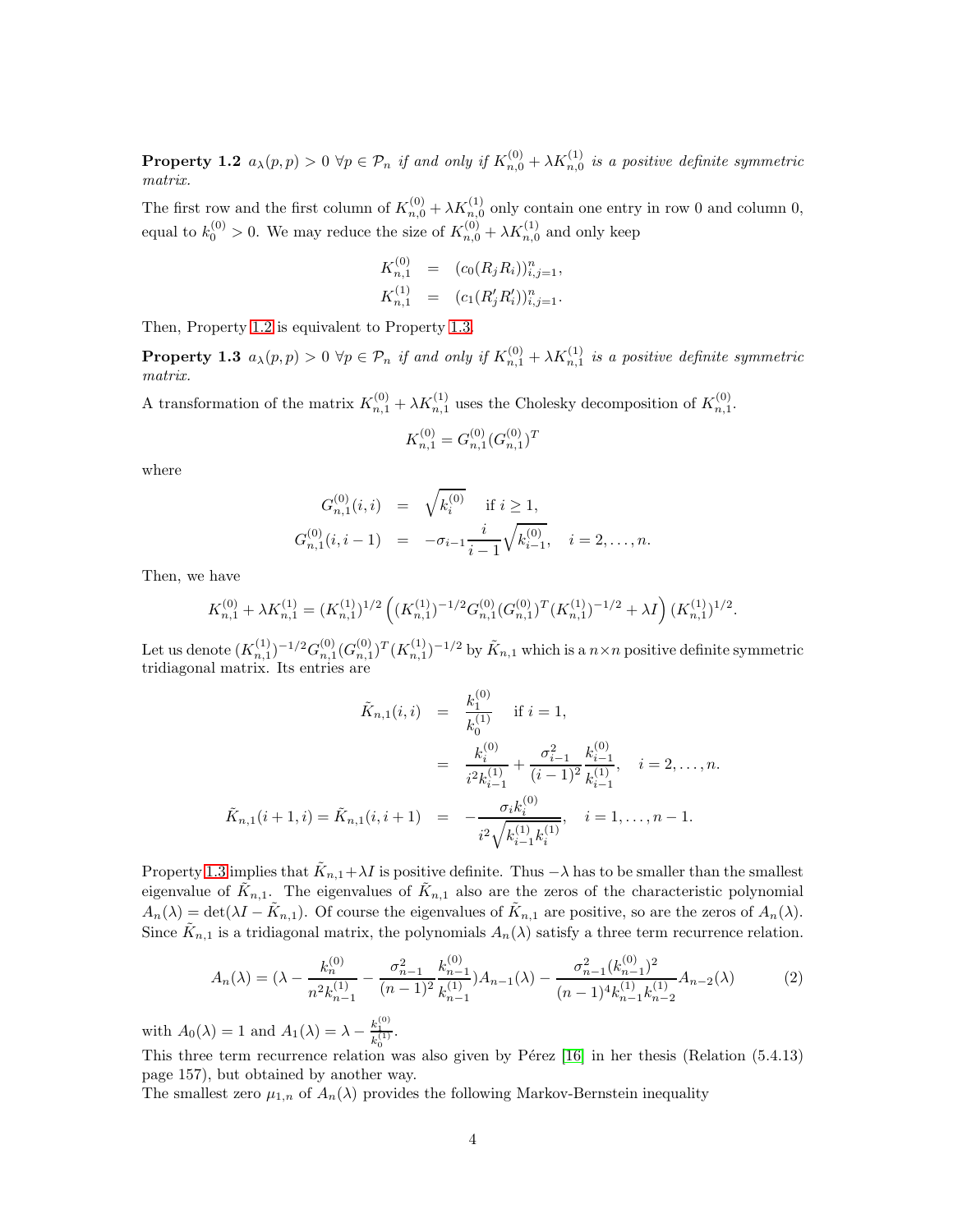**Property 1.2**  $a_{\lambda}(p, p) > 0 \ \forall p \in \mathcal{P}_n$  if and only if  $K_{n,0}^{(0)} + \lambda K_{n,0}^{(1)}$  is a positive definite symmetric matrix.

The first row and the first column of  $K_{n,0}^{(0)} + \lambda K_{n,0}^{(1)}$  only contain one entry in row 0 and column 0, equal to  $k_0^{(0)} > 0$ . We may reduce the size of  $K_{n,0}^{(0)} + \lambda K_{n,0}^{(1)}$  and only keep

<span id="page-3-0"></span>
$$
K_{n,1}^{(0)} = (c_0(R_j R_i))_{i,j=1}^n,
$$
  
\n
$$
K_{n,1}^{(1)} = (c_1(R'_j R'_i))_{i,j=1}^n.
$$

Then, Property [1.2](#page-2-0) is equivalent to Property [1.3.](#page-3-0)

**Property 1.3**  $a_{\lambda}(p, p) > 0 \ \forall p \in \mathcal{P}_n$  if and only if  $K_{n,1}^{(0)} + \lambda K_{n,1}^{(1)}$  is a positive definite symmetric matrix.

A transformation of the matrix  $K_{n,1}^{(0)} + \lambda K_{n,1}^{(1)}$  uses the Cholesky decomposition of  $K_{n,1}^{(0)}$ .

$$
K_{n,1}^{(0)} = G_{n,1}^{(0)} (G_{n,1}^{(0)})^T
$$

where

$$
G_{n,1}^{(0)}(i,i) = \sqrt{k_i^{(0)}} \quad \text{if } i \ge 1,
$$
  
\n
$$
G_{n,1}^{(0)}(i,i-1) = -\sigma_{i-1} \frac{i}{i-1} \sqrt{k_{i-1}^{(0)}}, \quad i = 2, ..., n.
$$

Then, we have

$$
K_{n,1}^{(0)} + \lambda K_{n,1}^{(1)} = (K_{n,1}^{(1)})^{1/2} \left( (K_{n,1}^{(1)})^{-1/2} G_{n,1}^{(0)} (G_{n,1}^{(0)})^T (K_{n,1}^{(1)})^{-1/2} + \lambda I \right) (K_{n,1}^{(1)})^{1/2}.
$$

Let us denote  $(K_{n,1}^{(1)})^{-1/2} G_{n,1}^{(0)} (G_{n,1}^{(0)})^T (K_{n,1}^{(1)})^{-1/2}$  by  $\tilde{K}_{n,1}$  which is a  $n \times n$  positive definite symmetric tridiagonal matrix. Its entries are

$$
\tilde{K}_{n,1}(i,i) = \frac{k_1^{(0)}}{k_0^{(1)}} \quad \text{if } i = 1,
$$
\n
$$
= \frac{k_i^{(0)}}{i^2 k_{i-1}^{(1)}} + \frac{\sigma_{i-1}^2}{(i-1)^2} \frac{k_{i-1}^{(0)}}{k_{i-1}^{(1)}}, \quad i = 2, \dots, n.
$$
\n
$$
\tilde{K}_{n,1}(i+1,i) = \tilde{K}_{n,1}(i,i+1) = -\frac{\sigma_i k_i^{(0)}}{i^2 \sqrt{k_{i-1}^{(1)} k_i^{(1)}}}, \quad i = 1, \dots, n-1.
$$

Property [1.3](#page-3-0) implies that  $\tilde{K}_{n,1} + \lambda I$  is positive definite. Thus  $-\lambda$  has to be smaller than the smallest eigenvalue of  $\tilde{K}_{n,1}$ . The eigenvalues of  $\tilde{K}_{n,1}$  also are the zeros of the characteristic polynomial  $A_n(\lambda) = \det(\lambda I - \tilde{K}_{n,1})$ . Of course the eigenvalues of  $\tilde{K}_{n,1}$  are positive, so are the zeros of  $A_n(\lambda)$ . Since  $\tilde{K}_{n,1}$  is a tridiagonal matrix, the polynomials  $A_n(\lambda)$  satisfy a three term recurrence relation.

<span id="page-3-1"></span>
$$
A_n(\lambda) = (\lambda - \frac{k_n^{(0)}}{n^2 k_{n-1}^{(1)}} - \frac{\sigma_{n-1}^2}{(n-1)^2} \frac{k_{n-1}^{(0)}}{k_{n-1}^{(1)}}) A_{n-1}(\lambda) - \frac{\sigma_{n-1}^2 (k_{n-1}^{(0)})^2}{(n-1)^4 k_{n-1}^{(1)} k_{n-2}^{(1)}} A_{n-2}(\lambda)
$$
(2)

with  $A_0(\lambda) = 1$  and  $A_1(\lambda) = \lambda - \frac{k_1^{(0)}}{k_0^{(1)}}$ .

This three term recurrence relation was also given by Pérez [\[16\]](#page-31-0) in her thesis (Relation  $(5.4.13)$ ) page 157), but obtained by another way.

The smallest zero  $\mu_{1,n}$  of  $A_n(\lambda)$  provides the following Markov-Bernstein inequality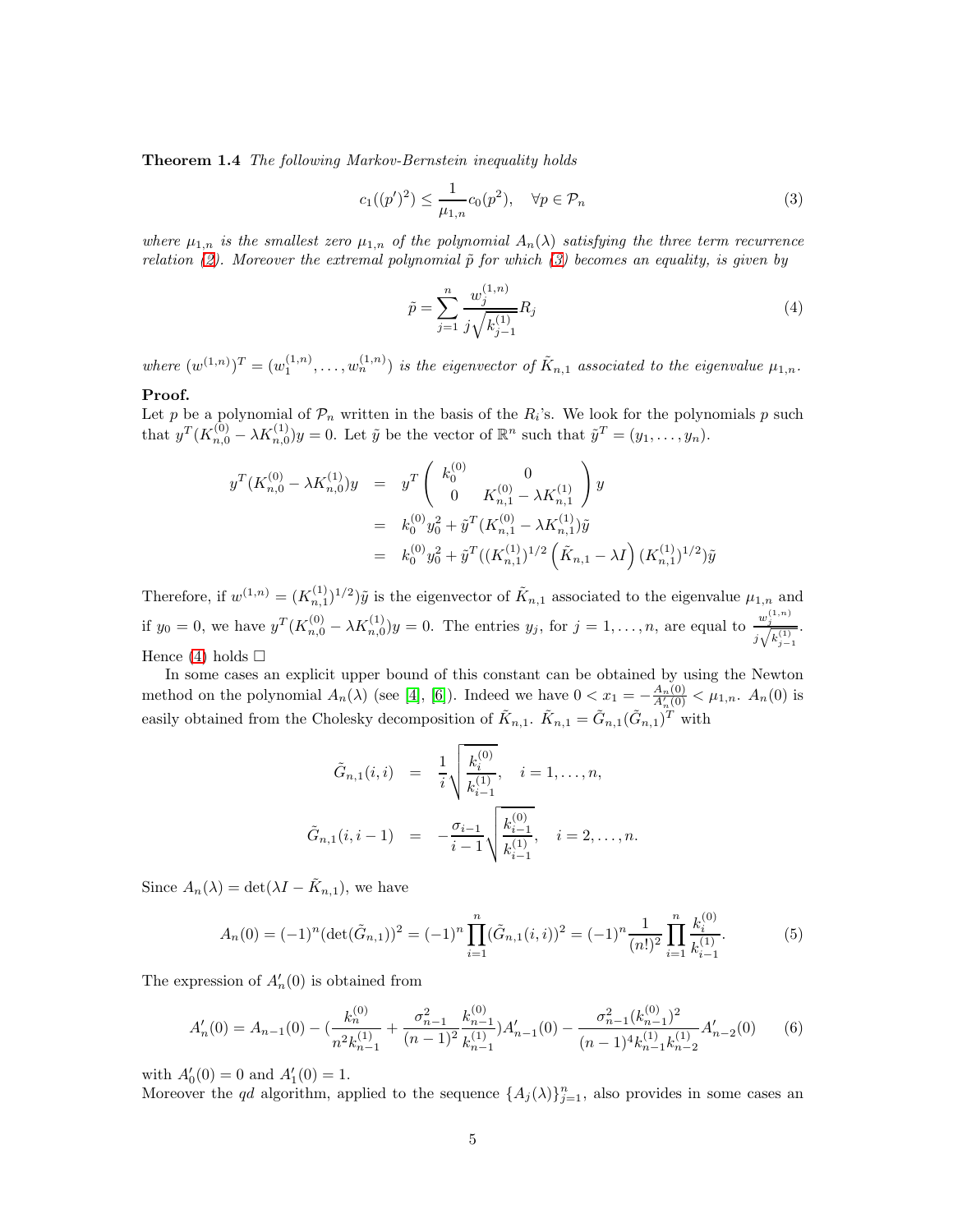Theorem 1.4 The following Markov-Bernstein inequality holds

<span id="page-4-0"></span>
$$
c_1((p')^2) \le \frac{1}{\mu_{1,n}} c_0(p^2), \quad \forall p \in \mathcal{P}_n
$$
 (3)

where  $\mu_{1,n}$  is the smallest zero  $\mu_{1,n}$  of the polynomial  $A_n(\lambda)$  satisfying the three term recurrence relation [\(2\)](#page-3-1). Moreover the extremal polynomial  $\tilde{p}$  for which [\(3\)](#page-4-0) becomes an equality, is given by

<span id="page-4-1"></span>
$$
\tilde{p} = \sum_{j=1}^{n} \frac{w_j^{(1,n)}}{j \sqrt{k_{j-1}^{(1)}}} R_j
$$
\n(4)

where  $(w^{(1,n)})^T = (w_1^{(1,n)}, \ldots, w_n^{(1,n)})$  is the eigenvector of  $\tilde{K}_{n,1}$  associated to the eigenvalue  $\mu_{1,n}$ .

### Proof.

Let p be a polynomial of  $\mathcal{P}_n$  written in the basis of the  $R_i$ 's. We look for the polynomials p such that  $y^T(K_{n,0}^{(0)} - \lambda K_{n,0}^{(1)})y = 0$ . Let  $\tilde{y}$  be the vector of  $\mathbb{R}^n$  such that  $\tilde{y}^T = (y_1, \ldots, y_n)$ .

$$
y^T(K_{n,0}^{(0)} - \lambda K_{n,0}^{(1)})y = y^T \begin{pmatrix} k_0^{(0)} & 0 \\ 0 & K_{n,1}^{(0)} - \lambda K_{n,1}^{(1)} \end{pmatrix} y
$$
  
=  $k_0^{(0)} y_0^2 + \tilde{y}^T (K_{n,1}^{(0)} - \lambda K_{n,1}^{(1)}) \tilde{y}$   
=  $k_0^{(0)} y_0^2 + \tilde{y}^T ((K_{n,1}^{(1)})^{1/2} (\tilde{K}_{n,1} - \lambda I) (K_{n,1}^{(1)})^{1/2}) \tilde{y}$ 

Therefore, if  $w^{(1,n)} = (K_{n,1}^{(1)})^{1/2}$  *y* is the eigenvector of  $K_{n,1}$  associated to the eigenvalue  $\mu_{1,n}$  and if  $y_0 = 0$ , we have  $y^T (K_{n,0}^{(0)} - \lambda K_{n,0}^{(1)}) y = 0$ . The entries  $y_j$ , for  $j = 1, ..., n$ , are equal to  $\frac{w_j^{(1,n)}}{i \sqrt{k^{(1)}}}$  $j\sqrt{k_{j-1}^{(1)}}$ . Hence [\(4\)](#page-4-1) holds  $\Box$ 

In some cases an explicit upper bound of this constant can be obtained by using the Newton method on the polynomial  $A_n(\lambda)$  (see [\[4\]](#page-30-1), [\[6\]](#page-30-8)). Indeed we have  $0 < x_1 = -\frac{A_n(0)}{A'_n(0)} < \mu_{1,n}$ .  $A_n(0)$  is easily obtained from the Cholesky decomposition of  $\tilde{K}_{n,1}$ .  $\tilde{K}_{n,1} = \tilde{G}_{n,1}(\tilde{G}_{n,1})^T$  with

$$
\tilde{G}_{n,1}(i,i) = \frac{1}{i} \sqrt{\frac{k_i^{(0)}}{k_{i-1}^{(1)}}, \quad i = 1,\ldots,n},
$$
  

$$
\tilde{G}_{n,1}(i,i-1) = -\frac{\sigma_{i-1}}{i-1} \sqrt{\frac{k_{i-1}^{(0)}}{k_{i-1}^{(1)}}, \quad i = 2,\ldots,n}.
$$

Since  $A_n(\lambda) = \det(\lambda I - \tilde{K}_{n,1}),$  we have

<span id="page-4-2"></span>
$$
A_n(0) = (-1)^n (\det(\tilde{G}_{n,1}))^2 = (-1)^n \prod_{i=1}^n (\tilde{G}_{n,1}(i,i))^2 = (-1)^n \frac{1}{(n!)^2} \prod_{i=1}^n \frac{k_i^{(0)}}{k_{i-1}^{(1)}}.
$$
 (5)

The expression of  $A'_n(0)$  is obtained from

<span id="page-4-3"></span>
$$
A'_n(0) = A_{n-1}(0) - \left(\frac{k_n^{(0)}}{n^2 k_{n-1}^{(1)}} + \frac{\sigma_{n-1}^2}{(n-1)^2} \frac{k_{n-1}^{(0)}}{k_{n-1}^{(1)}}\right) A'_{n-1}(0) - \frac{\sigma_{n-1}^2 (k_{n-1}^{(0)})^2}{(n-1)^4 k_{n-1}^{(1)} k_{n-2}^{(1)}} A'_{n-2}(0) \tag{6}
$$

with  $A'_0(0) = 0$  and  $A'_1(0) = 1$ .

Moreover the qd algorithm, applied to the sequence  $\{A_j(\lambda)\}_{j=1}^n$ , also provides in some cases an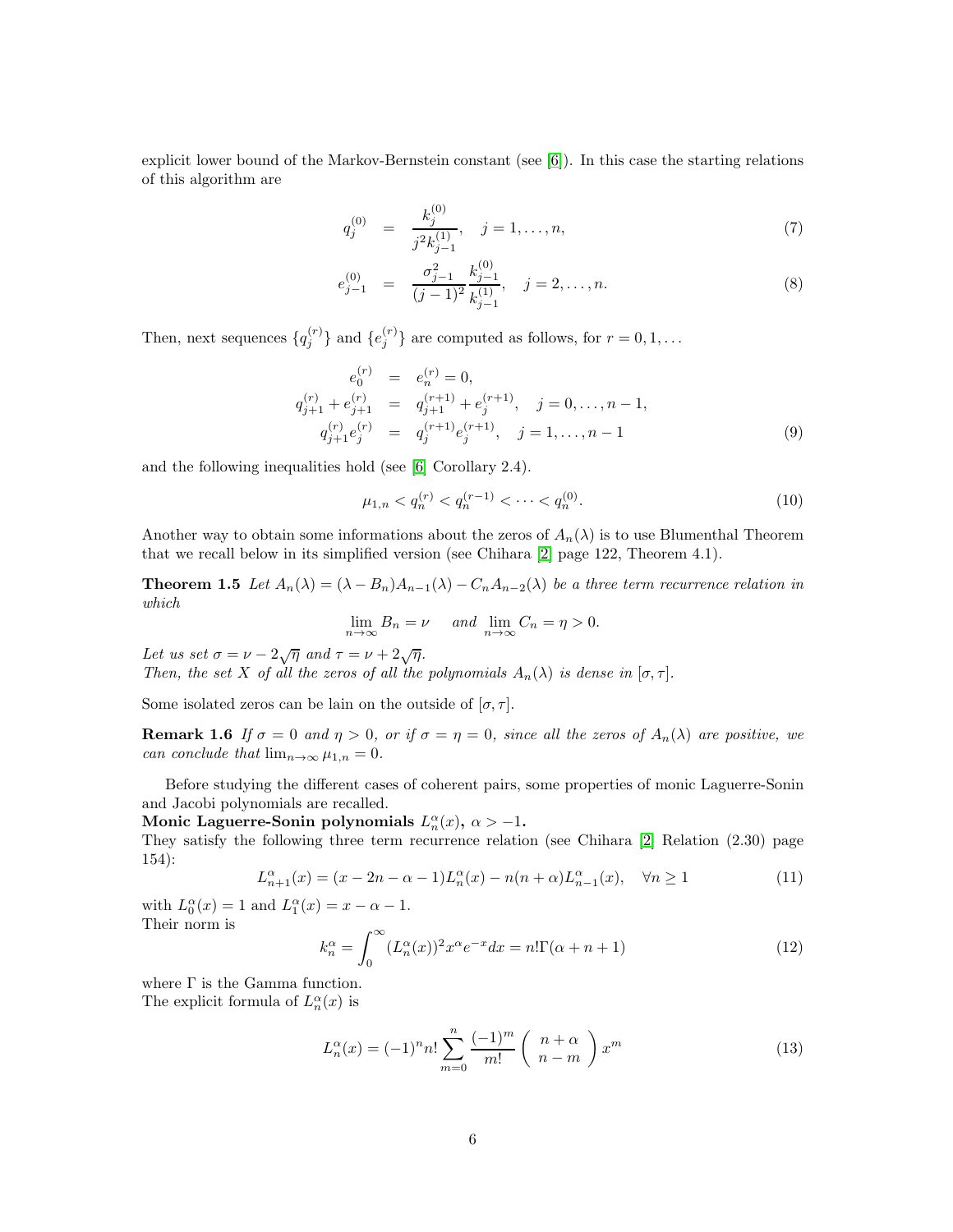explicit lower bound of the Markov-Bernstein constant (see [\[6\]](#page-30-8)). In this case the starting relations of this algorithm are

<span id="page-5-4"></span>
$$
q_j^{(0)} = \frac{k_j^{(0)}}{j^2 k_{j-1}^{(1)}}, \quad j = 1, \dots, n,
$$
\n(7)

$$
e_{j-1}^{(0)} = \frac{\sigma_{j-1}^2}{(j-1)^2} \frac{k_{j-1}^{(0)}}{k_{j-1}^{(1)}}, \quad j = 2, \dots, n.
$$
 (8)

Then, next sequences  $\{q_j^{(r)}\}$  and  $\{e_j^{(r)}\}$  are computed as follows, for  $r = 0, 1, ...$ 

<span id="page-5-5"></span>
$$
e_0^{(r)} = e_n^{(r)} = 0,
$$
  
\n
$$
q_{j+1}^{(r)} + e_{j+1}^{(r)} = q_{j+1}^{(r+1)} + e_j^{(r+1)}, \quad j = 0, \dots, n-1,
$$
  
\n
$$
q_{j+1}^{(r)} e_j^{(r)} = q_j^{(r+1)} e_j^{(r+1)}, \quad j = 1, \dots, n-1
$$
\n(9)

and the following inequalities hold (see [\[6\]](#page-30-8) Corollary 2.4).

<span id="page-5-6"></span><span id="page-5-1"></span>
$$
\mu_{1,n} < q_n^{(r)} < q_n^{(r-1)} < \dots < q_n^{(0)}.\tag{10}
$$

Another way to obtain some informations about the zeros of  $A_n(\lambda)$  is to use Blumenthal Theorem that we recall below in its simplified version (see Chihara [\[2\]](#page-30-9) page 122, Theorem 4.1).

**Theorem 1.5** Let  $A_n(\lambda) = (\lambda - B_n)A_{n-1}(\lambda) - C_nA_{n-2}(\lambda)$  be a three term recurrence relation in which

<span id="page-5-2"></span>
$$
\lim_{n \to \infty} B_n = \nu \quad \text{and} \quad \lim_{n \to \infty} C_n = \eta > 0.
$$

Let us set  $\sigma = \nu - 2\sqrt{\eta}$  and  $\tau = \nu + 2\sqrt{\eta}$ . Then, the set X of all the zeros of all the polynomials  $A_n(\lambda)$  is dense in  $[\sigma, \tau]$ .

Some isolated zeros can be lain on the outside of  $[\sigma, \tau]$ .

**Remark 1.6** If  $\sigma = 0$  and  $\eta > 0$ , or if  $\sigma = \eta = 0$ , since all the zeros of  $A_n(\lambda)$  are positive, we can conclude that  $\lim_{n\to\infty}\mu_{1,n}=0$ .

Before studying the different cases of coherent pairs, some properties of monic Laguerre-Sonin and Jacobi polynomials are recalled.

Monic Laguerre-Sonin polynomials  $L_n^{\alpha}(x)$ ,  $\alpha > -1$ .

They satisfy the following three term recurrence relation (see Chihara [\[2\]](#page-30-9) Relation (2.30) page 154):

<span id="page-5-0"></span>
$$
L_{n+1}^{\alpha}(x) = (x - 2n - \alpha - 1)L_n^{\alpha}(x) - n(n + \alpha)L_{n-1}^{\alpha}(x), \quad \forall n \ge 1
$$
 (11)

with  $L_0^{\alpha}(x) = 1$  and  $L_1^{\alpha}(x) = x - \alpha - 1$ . Their norm is

$$
k_n^{\alpha} = \int_0^{\infty} (L_n^{\alpha}(x))^2 x^{\alpha} e^{-x} dx = n! \Gamma(\alpha + n + 1)
$$
 (12)

where  $\Gamma$  is the Gamma function. The explicit formula of  $L_n^{\alpha}(x)$  is

<span id="page-5-3"></span>
$$
L_n^{\alpha}(x) = (-1)^n n! \sum_{m=0}^n \frac{(-1)^m}{m!} \begin{pmatrix} n+\alpha \\ n-m \end{pmatrix} x^m
$$
 (13)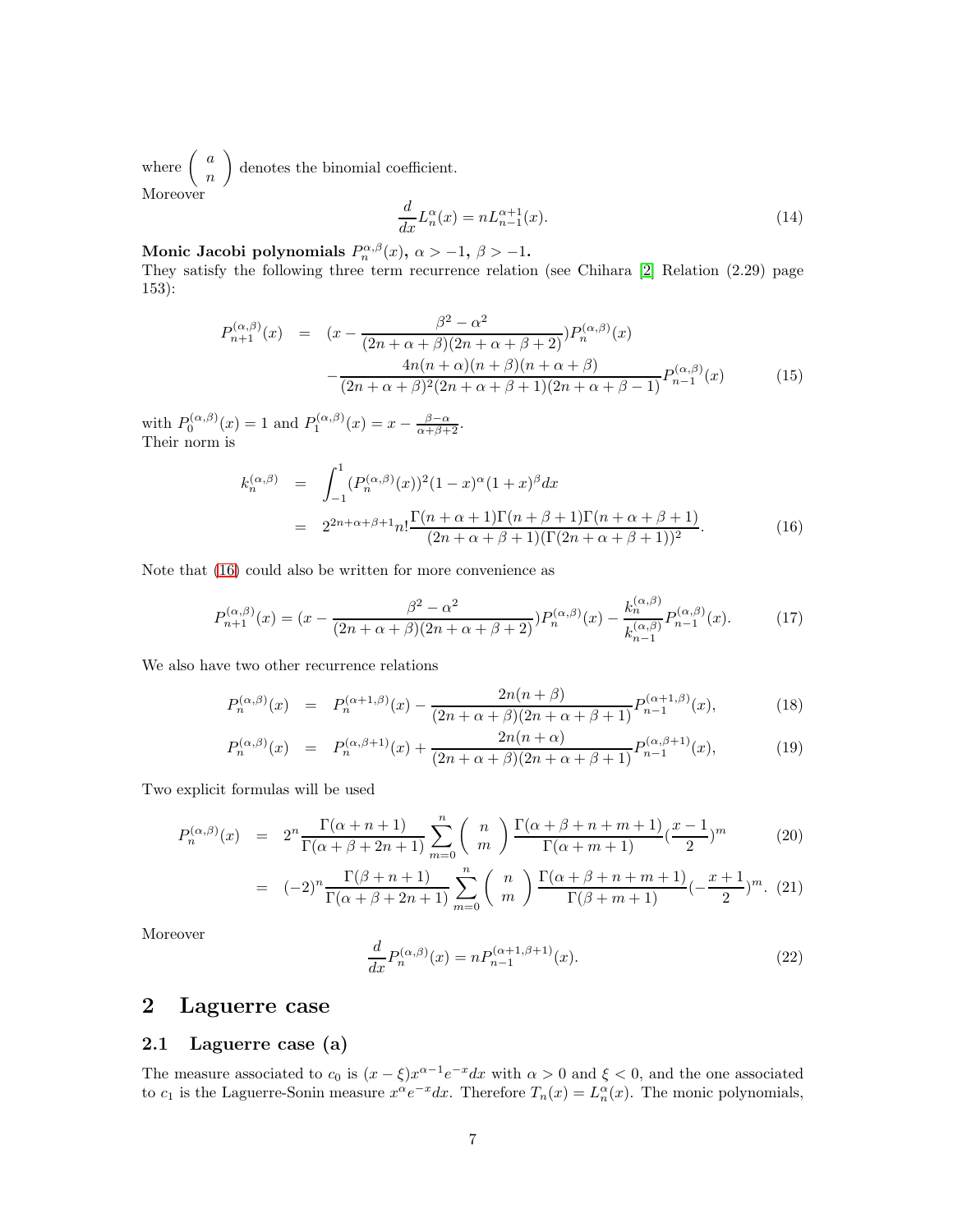where  $\begin{pmatrix} a \\ a \end{pmatrix}$ n denotes the binomial coefficient. Moreover

<span id="page-6-1"></span>
$$
\frac{d}{dx}L_n^{\alpha}(x) = nL_{n-1}^{\alpha+1}(x). \tag{14}
$$

Monic Jacobi polynomials  $P_n^{\alpha,\beta}(x)$ ,  $\alpha > -1$ ,  $\beta > -1$ .

They satisfy the following three term recurrence relation (see Chihara [\[2\]](#page-30-9) Relation (2.29) page 153):

<span id="page-6-4"></span>
$$
P_{n+1}^{(\alpha,\beta)}(x) = (x - \frac{\beta^2 - \alpha^2}{(2n + \alpha + \beta)(2n + \alpha + \beta + 2)}) P_n^{(\alpha,\beta)}(x)
$$

$$
- \frac{4n(n + \alpha)(n + \beta)(n + \alpha + \beta)}{(2n + \alpha + \beta)^2 (2n + \alpha + \beta + 1)(2n + \alpha + \beta - 1)} P_{n-1}^{(\alpha,\beta)}(x)
$$
(15)

with  $P_0^{(\alpha,\beta)}(x) = 1$  and  $P_1^{(\alpha,\beta)}(x) = x - \frac{\beta-\alpha}{\alpha+\beta+2}$ . Their norm is

<span id="page-6-0"></span>
$$
k_n^{(\alpha,\beta)} = \int_{-1}^1 (P_n^{(\alpha,\beta)}(x))^2 (1-x)^\alpha (1+x)^\beta dx
$$
  
= 
$$
2^{2n+\alpha+\beta+1} n! \frac{\Gamma(n+\alpha+1)\Gamma(n+\beta+1)\Gamma(n+\alpha+\beta+1)}{(2n+\alpha+\beta+1)(\Gamma(2n+\alpha+\beta+1))^2}.
$$
 (16)

Note that [\(16\)](#page-6-0) could also be written for more convenience as

<span id="page-6-3"></span>
$$
P_{n+1}^{(\alpha,\beta)}(x) = (x - \frac{\beta^2 - \alpha^2}{(2n + \alpha + \beta)(2n + \alpha + \beta + 2)}) P_n^{(\alpha,\beta)}(x) - \frac{k_n^{(\alpha,\beta)}}{k_{n-1}^{(\alpha,\beta)}} P_{n-1}^{(\alpha,\beta)}(x). \tag{17}
$$

We also have two other recurrence relations

<span id="page-6-6"></span>
$$
P_n^{(\alpha,\beta)}(x) = P_n^{(\alpha+1,\beta)}(x) - \frac{2n(n+\beta)}{(2n+\alpha+\beta)(2n+\alpha+\beta+1)} P_{n-1}^{(\alpha+1,\beta)}(x),
$$
\n(18)

$$
P_n^{(\alpha,\beta)}(x) = P_n^{(\alpha,\beta+1)}(x) + \frac{2n(n+\alpha)}{(2n+\alpha+\beta)(2n+\alpha+\beta+1)} P_{n-1}^{(\alpha,\beta+1)}(x),
$$
\n(19)

Two explicit formulas will be used

<span id="page-6-5"></span>
$$
P_n^{(\alpha,\beta)}(x) = 2^n \frac{\Gamma(\alpha+n+1)}{\Gamma(\alpha+\beta+2n+1)} \sum_{m=0}^n {n \choose m} \frac{\Gamma(\alpha+\beta+n+m+1)}{\Gamma(\alpha+m+1)} \left(\frac{x-1}{2}\right)^m
$$
 (20)

$$
= (-2)^n \frac{\Gamma(\beta+n+1)}{\Gamma(\alpha+\beta+2n+1)} \sum_{m=0}^n {n \choose m} \frac{\Gamma(\alpha+\beta+n+m+1)}{\Gamma(\beta+m+1)} (-\frac{x+1}{2})^m. (21)
$$

Moreover

<span id="page-6-2"></span>
$$
\frac{d}{dx}P_n^{(\alpha,\beta)}(x) = nP_{n-1}^{(\alpha+1,\beta+1)}(x).
$$
\n(22)

## 2 Laguerre case

### 2.1 Laguerre case (a)

The measure associated to  $c_0$  is  $(x - \xi)x^{\alpha - 1}e^{-x}dx$  with  $\alpha > 0$  and  $\xi < 0$ , and the one associated to  $c_1$  is the Laguerre-Sonin measure  $x^{\alpha}e^{-x}dx$ . Therefore  $T_n(x) = L_n^{\alpha}(x)$ . The monic polynomials,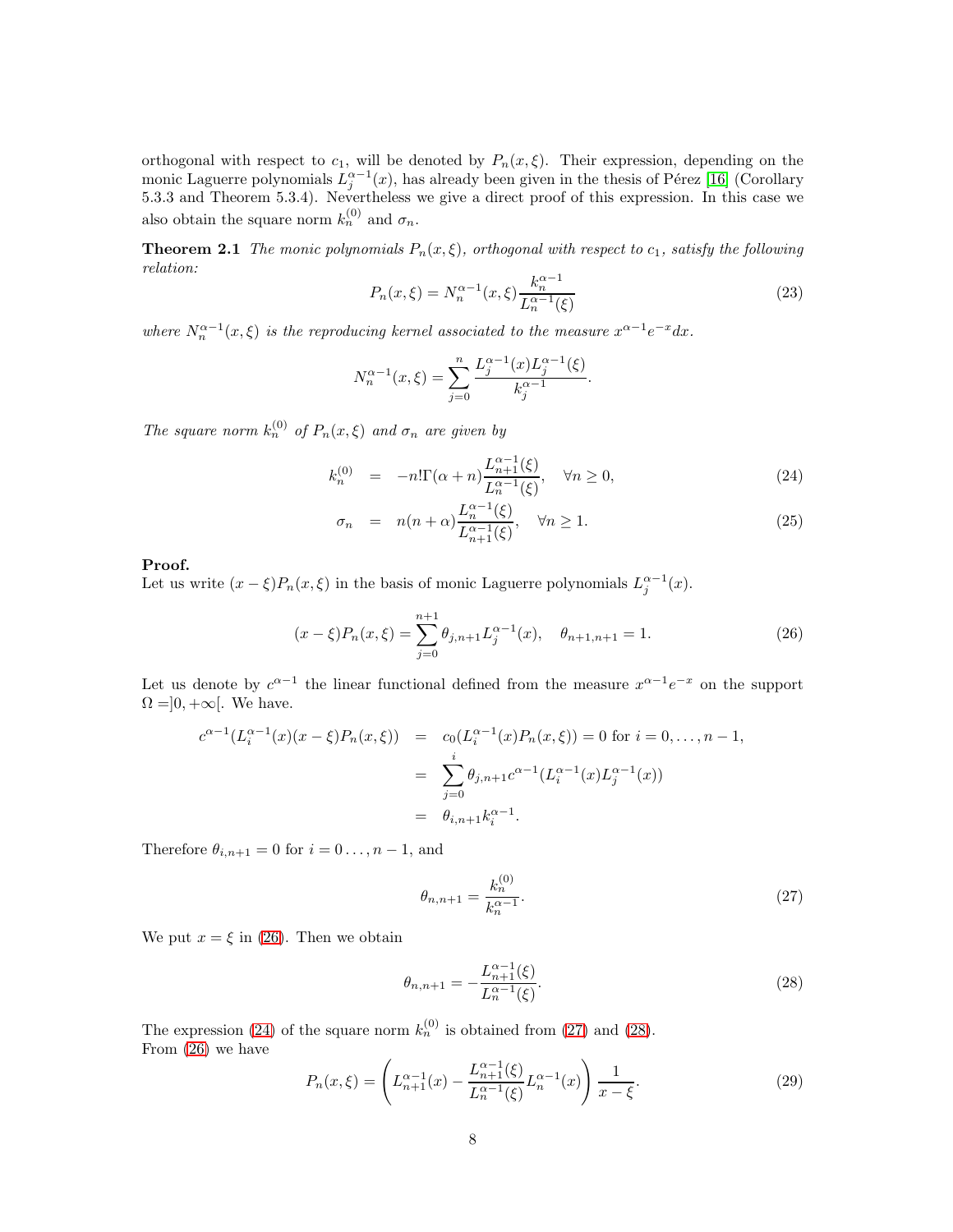orthogonal with respect to  $c_1$ , will be denoted by  $P_n(x,\xi)$ . Their expression, depending on the monic Laguerre polynomials  $L_j^{\alpha-1}(x)$ , has already been given in the thesis of Pérez [\[16\]](#page-31-0) (Corollary 5.3.3 and Theorem 5.3.4). Nevertheless we give a direct proof of this expression. In this case we also obtain the square norm  $k_n^{(0)}$  and  $\sigma_n$ .

**Theorem 2.1** The monic polynomials  $P_n(x,\xi)$ , orthogonal with respect to  $c_1$ , satisfy the following relation:

<span id="page-7-4"></span>
$$
P_n(x,\xi) = N_n^{\alpha - 1}(x,\xi) \frac{k_n^{\alpha - 1}}{L_n^{\alpha - 1}(\xi)}
$$
\n(23)

.

where  $N_n^{\alpha-1}(x,\xi)$  is the reproducing kernel associated to the measure  $x^{\alpha-1}e^{-x}dx$ .

$$
N_n^{\alpha-1}(x,\xi) = \sum_{j=0}^n \frac{L_j^{\alpha-1}(x)L_j^{\alpha-1}(\xi)}{k_j^{\alpha-1}}
$$

The square norm  $k_n^{(0)}$  of  $P_n(x,\xi)$  and  $\sigma_n$  are given by

<span id="page-7-1"></span>
$$
k_n^{(0)} = -n!\Gamma(\alpha+n)\frac{L_{n+1}^{\alpha-1}(\xi)}{L_n^{\alpha-1}(\xi)}, \quad \forall n \ge 0,
$$
\n(24)

$$
\sigma_n = n(n+\alpha) \frac{L_n^{\alpha-1}(\xi)}{L_{n+1}^{\alpha-1}(\xi)}, \quad \forall n \ge 1.
$$
\n(25)

#### Proof.

Let us write  $(x - \xi)P_n(x, \xi)$  in the basis of monic Laguerre polynomials  $L_j^{\alpha-1}(x)$ .

<span id="page-7-0"></span>
$$
(x - \xi)P_n(x, \xi) = \sum_{j=0}^{n+1} \theta_{j,n+1} L_j^{\alpha - 1}(x), \quad \theta_{n+1,n+1} = 1.
$$
 (26)

Let us denote by  $c^{\alpha-1}$  the linear functional defined from the measure  $x^{\alpha-1}e^{-x}$  on the support  $\Omega = ]0, +\infty[$ . We have.

$$
c^{\alpha-1}(L_i^{\alpha-1}(x)(x-\xi)P_n(x,\xi)) = c_0(L_i^{\alpha-1}(x)P_n(x,\xi)) = 0 \text{ for } i = 0,\dots, n-1,
$$
  

$$
= \sum_{j=0}^i \theta_{j,n+1}c^{\alpha-1}(L_i^{\alpha-1}(x)L_j^{\alpha-1}(x))
$$
  

$$
= \theta_{i,n+1}k_i^{\alpha-1}.
$$

Therefore  $\theta_{i,n+1} = 0$  for  $i = 0 \dots, n-1$ , and

<span id="page-7-2"></span>
$$
\theta_{n,n+1} = \frac{k_n^{(0)}}{k_n^{\alpha - 1}}.\tag{27}
$$

We put  $x = \xi$  in [\(26\)](#page-7-0). Then we obtain

<span id="page-7-3"></span>
$$
\theta_{n,n+1} = -\frac{L_{n+1}^{\alpha-1}(\xi)}{L_n^{\alpha-1}(\xi)}.\tag{28}
$$

The expression [\(24\)](#page-7-1) of the square norm  $k_n^{(0)}$  is obtained from [\(27\)](#page-7-2) and [\(28\)](#page-7-3). From [\(26\)](#page-7-0) we have

$$
P_n(x,\xi) = \left( L_{n+1}^{\alpha-1}(x) - \frac{L_{n+1}^{\alpha-1}(\xi)}{L_n^{\alpha-1}(\xi)} L_n^{\alpha-1}(x) \right) \frac{1}{x-\xi}.
$$
 (29)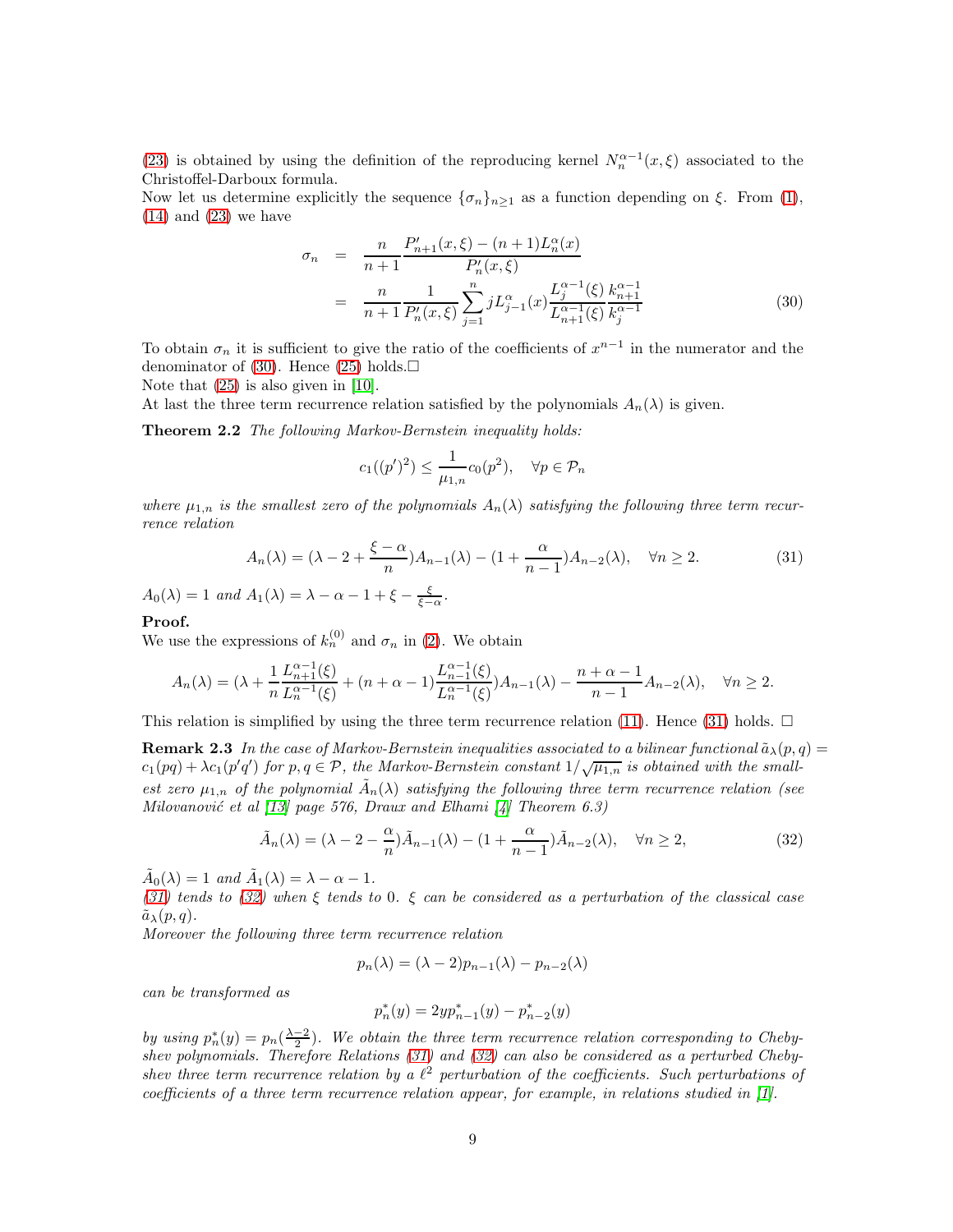[\(23\)](#page-7-4) is obtained by using the definition of the reproducing kernel  $N_n^{\alpha-1}(x,\xi)$  associated to the Christoffel-Darboux formula.

Now let us determine explicitly the sequence  $\{\sigma_n\}_{n\geq 1}$  as a function depending on  $\xi$ . From [\(1\)](#page-1-0),  $(14)$  and  $(23)$  we have

<span id="page-8-0"></span>
$$
\sigma_n = \frac{n}{n+1} \frac{P'_{n+1}(x,\xi) - (n+1)L_n^{\alpha}(x)}{P'_n(x,\xi)}
$$
  
= 
$$
\frac{n}{n+1} \frac{1}{P'_n(x,\xi)} \sum_{j=1}^n jL_{j-1}^{\alpha}(x) \frac{L_j^{\alpha-1}(\xi)}{L_{n+1}^{\alpha-1}(\xi)} \frac{k_{n+1}^{\alpha-1}}{k_j^{\alpha-1}}
$$
(30)

To obtain  $\sigma_n$  it is sufficient to give the ratio of the coefficients of  $x^{n-1}$  in the numerator and the denominator of [\(30\)](#page-8-0). Hence [\(25\)](#page-7-1) holds. $\square$ 

Note that [\(25\)](#page-7-1) is also given in [\[10\]](#page-30-10).

At last the three term recurrence relation satisfied by the polynomials  $A_n(\lambda)$  is given.

Theorem 2.2 The following Markov-Bernstein inequality holds:

$$
c_1((p')^2) \le \frac{1}{\mu_{1,n}} c_0(p^2), \quad \forall p \in \mathcal{P}_n
$$

where  $\mu_{1,n}$  is the smallest zero of the polynomials  $A_n(\lambda)$  satisfying the following three term recurrence relation

<span id="page-8-1"></span>
$$
A_n(\lambda) = (\lambda - 2 + \frac{\xi - \alpha}{n})A_{n-1}(\lambda) - (1 + \frac{\alpha}{n-1})A_{n-2}(\lambda), \quad \forall n \ge 2.
$$
 (31)

 $A_0(\lambda) = 1$  and  $A_1(\lambda) = \lambda - \alpha - 1 + \xi - \frac{\xi}{\xi - \alpha}$ .

### Proof.

We use the expressions of  $k_n^{(0)}$  and  $\sigma_n$  in [\(2\)](#page-3-1). We obtain

$$
A_n(\lambda) = (\lambda + \frac{1}{n} \frac{L_{n+1}^{\alpha-1}(\xi)}{L_n^{\alpha-1}(\xi)} + (n + \alpha - 1) \frac{L_{n-1}^{\alpha-1}(\xi)}{L_n^{\alpha-1}(\xi)} A_{n-1}(\lambda) - \frac{n + \alpha - 1}{n - 1} A_{n-2}(\lambda), \quad \forall n \ge 2.
$$

This relation is simplified by using the three term recurrence relation [\(11\)](#page-5-0). Hence [\(31\)](#page-8-1) holds.  $\Box$ 

**Remark 2.3** In the case of Markov-Bernstein inequalities associated to a bilinear functional  $\tilde{a}_{\lambda}(p,q)$  =  $c_1(pq) + \lambda c_1(p'q')$  for  $p, q \in \mathcal{P}$ , the Markov-Bernstein constant  $1/\sqrt{\mu_{1,n}}$  is obtained with the smallest zero  $\mu_{1,n}$  of the polynomial  $\tilde{A}_n(\lambda)$  satisfying the following three term recurrence relation (see Milovanović et al [\[13\]](#page-30-0) page 576, Draux and Elhami [\[4\]](#page-30-1) Theorem 6.3)

<span id="page-8-2"></span>
$$
\tilde{A}_n(\lambda) = (\lambda - 2 - \frac{\alpha}{n})\tilde{A}_{n-1}(\lambda) - (1 + \frac{\alpha}{n-1})\tilde{A}_{n-2}(\lambda), \quad \forall n \ge 2,
$$
\n(32)

 $\tilde{A}_0(\lambda) = 1$  and  $\tilde{A}_1(\lambda) = \lambda - \alpha - 1$ .

[\(31\)](#page-8-1) tends to [\(32\)](#page-8-2) when  $\xi$  tends to 0.  $\xi$  can be considered as a perturbation of the classical case  $\tilde{a}_{\lambda}(p,q)$ .

Moreover the following three term recurrence relation

<span id="page-8-3"></span>
$$
p_n(\lambda) = (\lambda - 2)p_{n-1}(\lambda) - p_{n-2}(\lambda)
$$

can be transformed as

$$
p_n^*(y) = 2yp_{n-1}^*(y) - p_{n-2}^*(y)
$$

by using  $p_n^*(y) = p_n(\frac{\lambda-2}{2})$ . We obtain the three term recurrence relation corresponding to Chebyshev polynomials. Therefore Relations [\(31\)](#page-8-1) and [\(32\)](#page-8-2) can also be considered as a perturbed Chebyshev three term recurrence relation by a  $\ell^2$  perturbation of the coefficients. Such perturbations of coefficients of a three term recurrence relation appear, for example, in relations studied in  $[1]$ .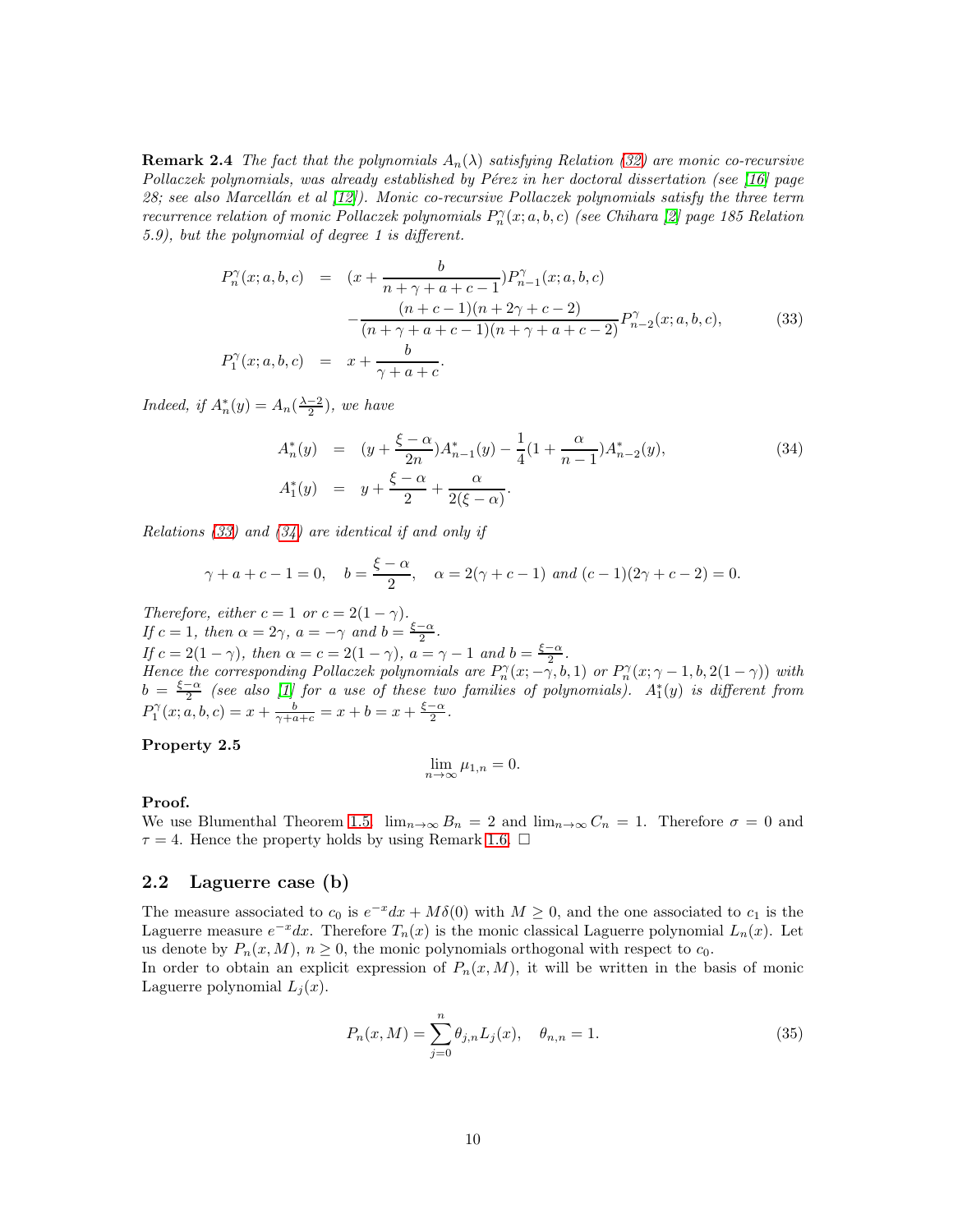**Remark 2.4** The fact that the polynomials  $A_n(\lambda)$  satisfying Relation [\(32\)](#page-8-2) are monic co-recursive Pollaczek polynomials, was already established by Pérez in her doctoral dissertation (see  $[16]$  page 28; see also Marcellán et al  $(12)$ ). Monic co-recursive Pollaczek polynomials satisfy the three term recurrence relation of monic Pollaczek polynomials  $P_n^{\gamma}(x;a,b,c)$  (see Chihara [\[2\]](#page-30-9) page 185 Relation 5.9), but the polynomial of degree 1 is different.

<span id="page-9-0"></span>
$$
P_n^{\gamma}(x;a,b,c) = (x + \frac{b}{n+\gamma+a+c-1})P_{n-1}^{\gamma}(x;a,b,c)
$$

$$
-\frac{(n+c-1)(n+2\gamma+c-2)}{(n+\gamma+a+c-1)(n+\gamma+a+c-2)}P_{n-2}^{\gamma}(x;a,b,c), \qquad (33)
$$

$$
P_1^{\gamma}(x;a,b,c) = x + \frac{b}{\gamma+a+c}.
$$

*Indeed, if*  $A_n^*(y) = A_n(\frac{\lambda-2}{2})$ *, we have* 

<span id="page-9-1"></span>
$$
A_n^*(y) = (y + \frac{\xi - \alpha}{2n})A_{n-1}^*(y) - \frac{1}{4}(1 + \frac{\alpha}{n-1})A_{n-2}^*(y),
$$
  
\n
$$
A_1^*(y) = y + \frac{\xi - \alpha}{2} + \frac{\alpha}{2(\xi - \alpha)}.
$$
\n(34)

Relations  $(33)$  and  $(34)$  are identical if and only if

$$
\gamma + a + c - 1 = 0
$$
,  $b = \frac{\xi - \alpha}{2}$ ,  $\alpha = 2(\gamma + c - 1)$  and  $(c - 1)(2\gamma + c - 2) = 0$ .

Therefore, either  $c = 1$  or  $c = 2(1 - \gamma)$ . If  $c = 1$ , then  $\alpha = 2\gamma$ ,  $a = -\gamma$  and  $b = \frac{\xi - \alpha}{2}$ . If  $c = 2(1 - \gamma)$ , then  $\alpha = c = 2(1 - \gamma)$ ,  $a = \gamma - 1$  and  $b = \frac{\xi - \alpha}{2}$ . Hence the corresponding Pollaczek polynomials are  $P_n^{\gamma}(x; -\gamma, b, 1)$  or  $P_n^{\gamma}(x; \gamma - 1, b, 2(1 - \gamma))$  with  $b = \frac{\xi - \alpha}{2}$  (see also [\[1\]](#page-30-5) for a use of these two families of polynomials).  $A_1^*(y)$  is different from  $P_1^{\gamma}(x; a, b, c) = x + \frac{b}{\gamma + a + c} = x + b = x + \frac{\xi - \alpha}{2}.$ 

### Property 2.5

$$
\lim_{n \to \infty} \mu_{1,n} = 0.
$$

#### Proof.

We use Blumenthal Theorem [1.5.](#page-5-1)  $\lim_{n\to\infty} B_n = 2$  and  $\lim_{n\to\infty} C_n = 1$ . Therefore  $\sigma = 0$  and  $\tau = 4$ . Hence the property holds by using Remark [1.6.](#page-5-2)  $\Box$ 

### 2.2 Laguerre case (b)

The measure associated to  $c_0$  is  $e^{-x}dx + M\delta(0)$  with  $M \geq 0$ , and the one associated to  $c_1$  is the Laguerre measure  $e^{-x}dx$ . Therefore  $T_n(x)$  is the monic classical Laguerre polynomial  $L_n(x)$ . Let us denote by  $P_n(x, M)$ ,  $n \geq 0$ , the monic polynomials orthogonal with respect to  $c_0$ .

In order to obtain an explicit expression of  $P_n(x, M)$ , it will be written in the basis of monic Laguerre polynomial  $L_i(x)$ .

$$
P_n(x,M) = \sum_{j=0}^{n} \theta_{j,n} L_j(x), \quad \theta_{n,n} = 1.
$$
 (35)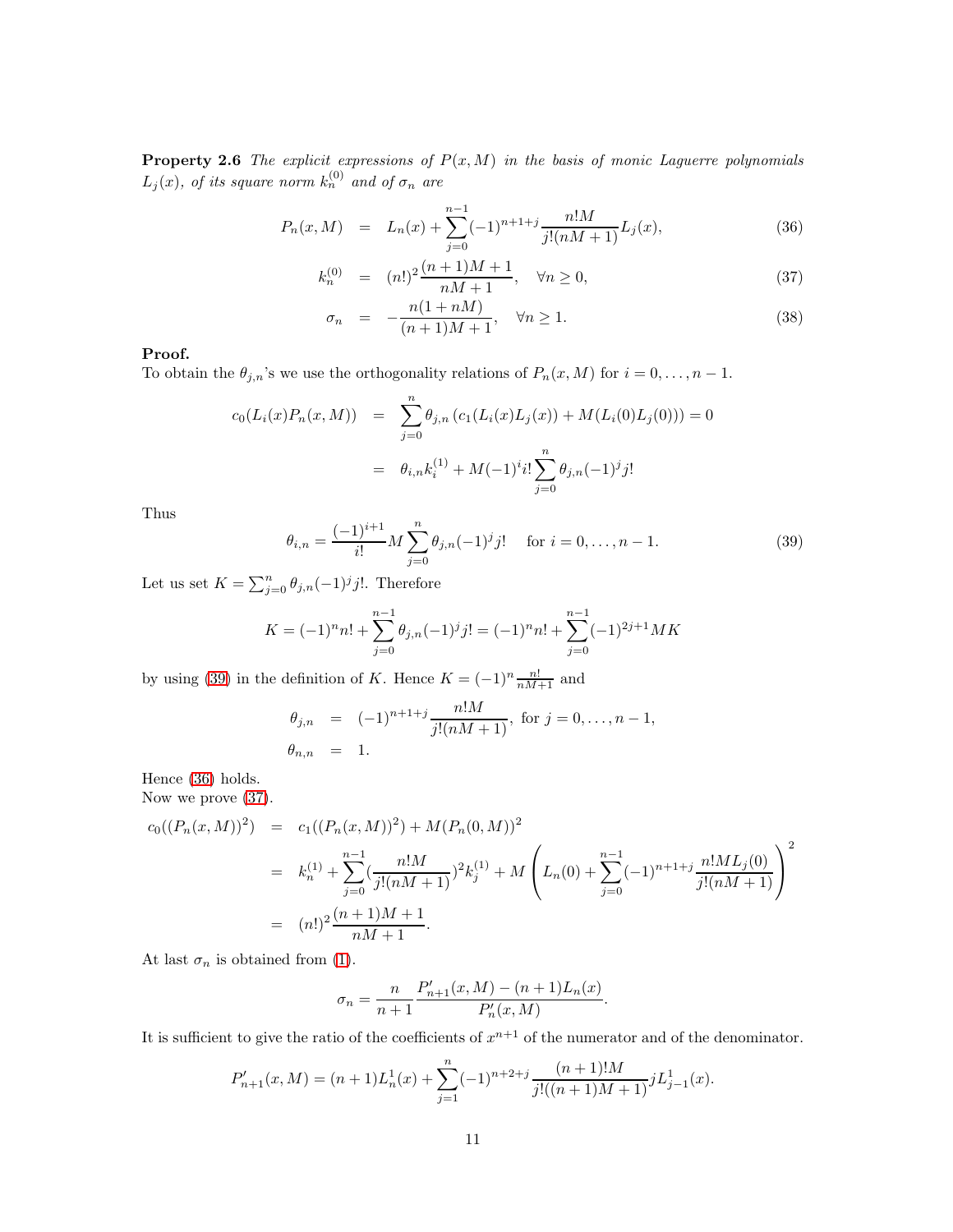**Property 2.6** The explicit expressions of  $P(x, M)$  in the basis of monic Laguerre polynomials  $L_j(x),$  of its square norm  $k_n^{(0)}$  and of  $\sigma_n$  are

<span id="page-10-1"></span>
$$
P_n(x,M) = L_n(x) + \sum_{j=0}^{n-1} (-1)^{n+1+j} \frac{n!M}{j!(nM+1)} L_j(x), \qquad (36)
$$

$$
k_n^{(0)} = (n!)^2 \frac{(n+1)M+1}{nM+1}, \quad \forall n \ge 0,
$$
\n(37)

$$
\sigma_n = -\frac{n(1+nM)}{(n+1)M+1}, \quad \forall n \ge 1.
$$
\n
$$
(38)
$$

### Proof.

To obtain the  $\theta_{j,n}$ 's we use the orthogonality relations of  $P_n(x, M)$  for  $i = 0, \ldots, n - 1$ .

$$
c_0(L_i(x)P_n(x,M)) = \sum_{j=0}^n \theta_{j,n} (c_1(L_i(x)L_j(x)) + M(L_i(0)L_j(0))) = 0
$$
  
=  $\theta_{i,n}k_i^{(1)} + M(-1)^i i! \sum_{j=0}^n \theta_{j,n}(-1)^j j!$ 

Thus

<span id="page-10-0"></span>
$$
\theta_{i,n} = \frac{(-1)^{i+1}}{i!} M \sum_{j=0}^{n} \theta_{j,n} (-1)^j j! \quad \text{for } i = 0, \dots, n-1.
$$
 (39)

Let us set  $K = \sum_{j=0}^{n} \theta_{j,n}(-1)^{j}j!$ . Therefore

$$
K = (-1)^{n} n! + \sum_{j=0}^{n-1} \theta_{j,n} (-1)^{j} j! = (-1)^{n} n! + \sum_{j=0}^{n-1} (-1)^{2j+1} MK
$$

by using [\(39\)](#page-10-0) in the definition of K. Hence  $K = (-1)^n \frac{n!}{nM+1}$  and

$$
\theta_{j,n} = (-1)^{n+1+j} \frac{n!M}{j!(nM+1)}, \text{ for } j = 0, ..., n-1,
$$
  
\n $\theta_{n,n} = 1.$ 

Hence [\(36\)](#page-10-1) holds.

Now we prove [\(37\)](#page-10-1).

$$
c_0((P_n(x,M))^2) = c_1((P_n(x,M))^2) + M(P_n(0,M))^2
$$
  
=  $k_n^{(1)} + \sum_{j=0}^{n-1} \left(\frac{n!M}{j!(nM+1)}\right)^2 k_j^{(1)} + M\left(L_n(0) + \sum_{j=0}^{n-1} (-1)^{n+1+j} \frac{n!ML_j(0)}{j!(nM+1)}\right)^2$   
=  $(n!)^2 \frac{(n+1)M+1}{nM+1}.$ 

At last  $\sigma_n$  is obtained from [\(1\)](#page-1-0).

$$
\sigma_n = \frac{n}{n+1} \frac{P'_{n+1}(x,M) - (n+1)L_n(x)}{P'_n(x,M)}.
$$

It is sufficient to give the ratio of the coefficients of  $x^{n+1}$  of the numerator and of the denominator.

$$
P'_{n+1}(x,M) = (n+1)L_n^1(x) + \sum_{j=1}^n (-1)^{n+2+j} \frac{(n+1)!M}{j!((n+1)M+1)} jL_{j-1}^1(x).
$$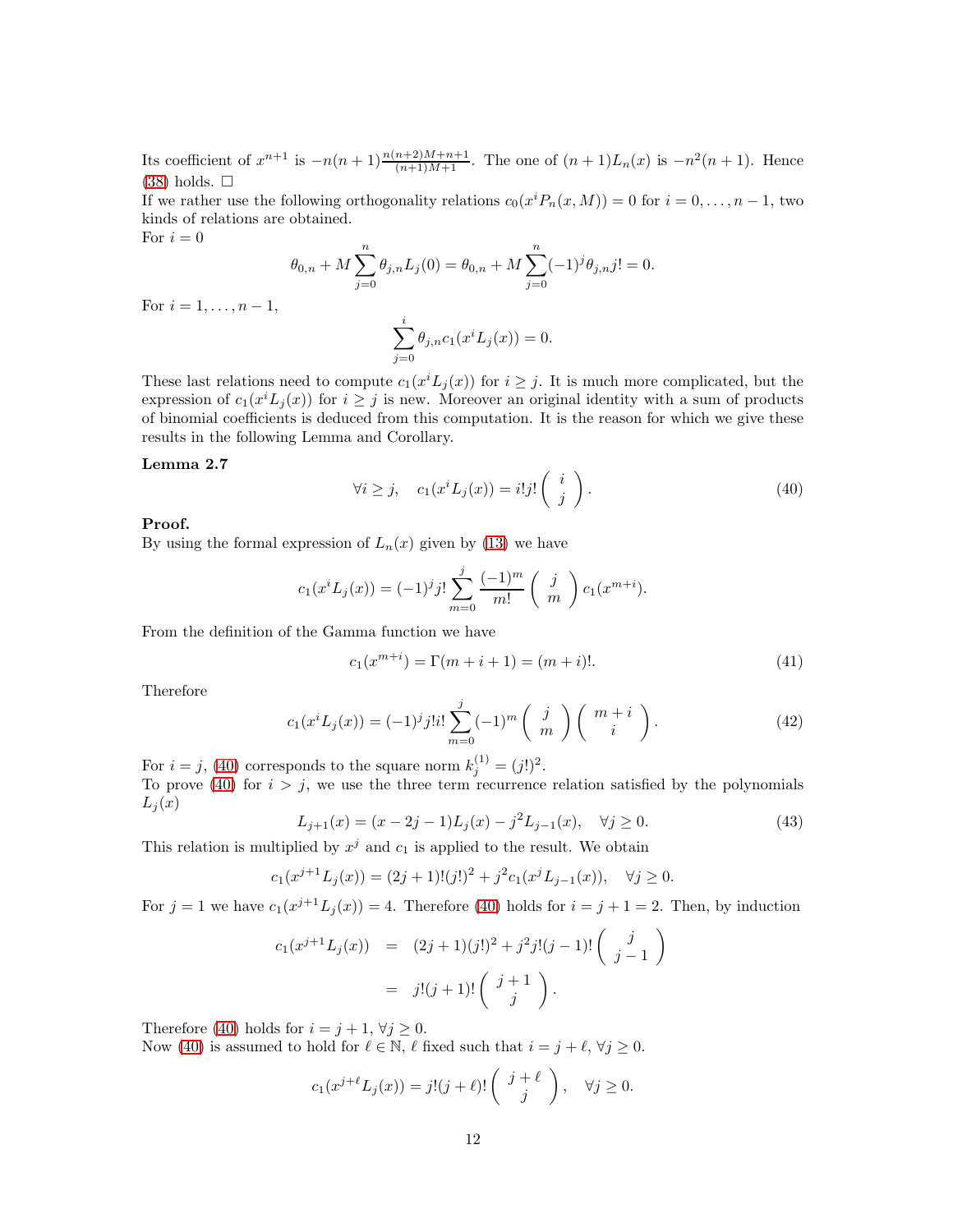Its coefficient of  $x^{n+1}$  is  $-n(n+1)\frac{n(n+2)M+n+1}{(n+1)M+1}$ . The one of  $(n+1)L_n(x)$  is  $-n^2(n+1)$ . Hence  $(38)$  holds.  $\Box$ 

If we rather use the following orthogonality relations  $c_0(x^i P_n(x, M)) = 0$  for  $i = 0, \ldots, n - 1$ , two kinds of relations are obtained.

For  $i = 0$ 

$$
\theta_{0,n} + M \sum_{j=0}^{n} \theta_{j,n} L_j(0) = \theta_{0,n} + M \sum_{j=0}^{n} (-1)^j \theta_{j,n} j! = 0.
$$

For  $i = 1, ..., n - 1$ ,

$$
\sum_{j=0}^{i} \theta_{j,n} c_1(x^i L_j(x)) = 0.
$$

These last relations need to compute  $c_1(x^i L_j(x))$  for  $i \geq j$ . It is much more complicated, but the expression of  $c_1(x^i L_j(x))$  for  $i \geq j$  is new. Moreover an original identity with a sum of products of binomial coefficients is deduced from this computation. It is the reason for which we give these results in the following Lemma and Corollary.

#### Lemma 2.7

<span id="page-11-0"></span>
$$
\forall i \ge j, \quad c_1(x^i L_j(x)) = i!j! \begin{pmatrix} i \\ j \end{pmatrix}.
$$
 (40)

### Proof.

By using the formal expression of  $L_n(x)$  given by [\(13\)](#page-5-3) we have

$$
c_1(x^i L_j(x)) = (-1)^j j! \sum_{m=0}^j \frac{(-1)^m}{m!} \binom{j}{m} c_1(x^{m+i}).
$$

From the definition of the Gamma function we have

$$
c_1(x^{m+i}) = \Gamma(m+i+1) = (m+i)!.
$$
 (41)

Therefore

<span id="page-11-2"></span>
$$
c_1(x^i L_j(x)) = (-1)^j j! i! \sum_{m=0}^j (-1)^m \begin{pmatrix} j \\ m \end{pmatrix} \begin{pmatrix} m+i \\ i \end{pmatrix}.
$$
 (42)

For  $i = j$ , [\(40\)](#page-11-0) corresponds to the square norm  $k_j^{(1)} = (j!)^2$ .

To prove [\(40\)](#page-11-0) for  $i > j$ , we use the three term recurrence relation satisfied by the polynomials  $L_i(x)$ 

<span id="page-11-1"></span>
$$
L_{j+1}(x) = (x - 2j - 1)L_j(x) - j^2 L_{j-1}(x), \quad \forall j \ge 0.
$$
\n(43)

This relation is multiplied by  $x^j$  and  $c_1$  is applied to the result. We obtain

$$
c_1(x^{j+1}L_j(x)) = (2j+1)!(j!)^2 + j^2c_1(x^jL_{j-1}(x)), \quad \forall j \ge 0.
$$

For  $j = 1$  we have  $c_1(x^{j+1}L_j(x)) = 4$ . Therefore [\(40\)](#page-11-0) holds for  $i = j + 1 = 2$ . Then, by induction

$$
c_1(x^{j+1}L_j(x)) = (2j+1)(j!)^2 + j^2 j!(j-1)!\begin{pmatrix} j \\ j-1 \end{pmatrix}
$$
  
=  $j!(j+1)!\begin{pmatrix} j+1 \\ j \end{pmatrix}$ .

Therefore [\(40\)](#page-11-0) holds for  $i = j + 1, \forall j \geq 0$ .

Now [\(40\)](#page-11-0) is assumed to hold for  $\ell \in \mathbb{N}$ ,  $\ell$  fixed such that  $i = j + \ell$ ,  $\forall j \geq 0$ .

$$
c_1(x^{j+\ell}L_j(x)) = j!(j+\ell)! \left( \begin{array}{c} j+\ell \\ j \end{array} \right), \quad \forall j \ge 0.
$$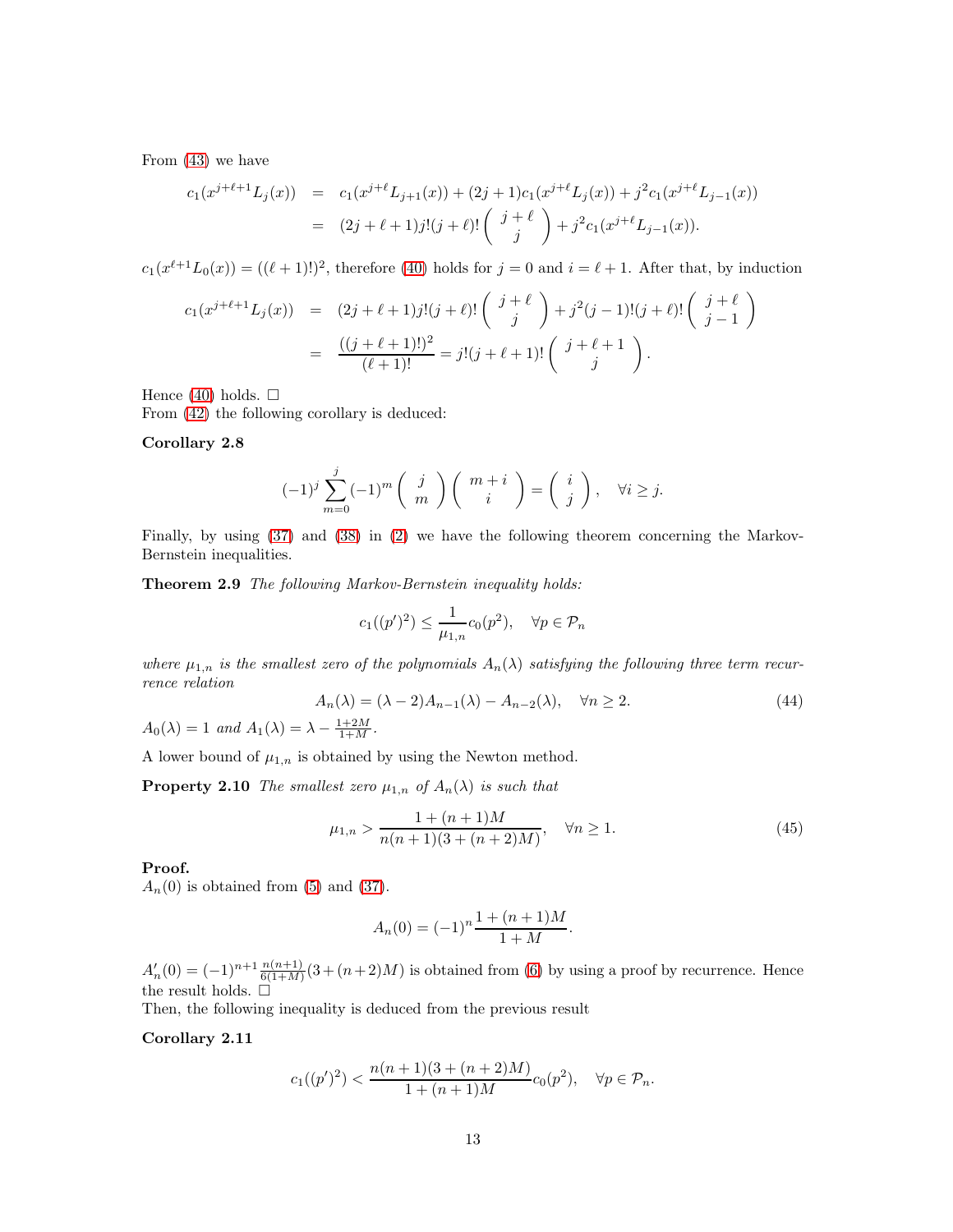From [\(43\)](#page-11-1) we have

$$
c_1(x^{j+\ell+1}L_j(x)) = c_1(x^{j+\ell}L_{j+1}(x)) + (2j+1)c_1(x^{j+\ell}L_j(x)) + j^2c_1(x^{j+\ell}L_{j-1}(x))
$$
  

$$
= (2j+\ell+1)j!(j+\ell)! \binom{j+\ell}{j} + j^2c_1(x^{j+\ell}L_{j-1}(x)).
$$

 $c_1(x^{\ell+1}L_0(x)) = ((\ell+1)!)^2$ , therefore [\(40\)](#page-11-0) holds for  $j = 0$  and  $i = \ell+1$ . After that, by induction

$$
c_1(x^{j+\ell+1}L_j(x)) = (2j+\ell+1)j!(j+\ell)! \binom{j+\ell}{j} + j^2(j-1)!(j+\ell)! \binom{j+\ell}{j-1}
$$
  
= 
$$
\frac{((j+\ell+1)!)^2}{(\ell+1)!} = j!(j+\ell+1)! \binom{j+\ell+1}{j}.
$$

Hence [\(40\)](#page-11-0) holds.  $\square$ 

From [\(42\)](#page-11-2) the following corollary is deduced:

#### Corollary 2.8

$$
(-1)^j \sum_{m=0}^j (-1)^m \binom{j}{m} \binom{m+i}{i} = \binom{i}{j}, \quad \forall i \ge j.
$$

Finally, by using [\(37\)](#page-10-1) and [\(38\)](#page-10-1) in [\(2\)](#page-3-1) we have the following theorem concerning the Markov-Bernstein inequalities.

Theorem 2.9 The following Markov-Bernstein inequality holds:

$$
c_1((p')^2) \le \frac{1}{\mu_{1,n}} c_0(p^2), \quad \forall p \in \mathcal{P}_n
$$

where  $\mu_{1,n}$  is the smallest zero of the polynomials  $A_n(\lambda)$  satisfying the following three term recurrence relation

$$
A_n(\lambda) = (\lambda - 2)A_{n-1}(\lambda) - A_{n-2}(\lambda), \quad \forall n \ge 2.
$$
\n
$$
A_0(\lambda) = 1 \text{ and } A_1(\lambda) = \lambda - \frac{1+2M}{1+M}.
$$
\n
$$
(44)
$$

A lower bound of  $\mu_{1,n}$  is obtained by using the Newton method.

**Property 2.10** The smallest zero  $\mu_{1,n}$  of  $A_n(\lambda)$  is such that

$$
\mu_{1,n} > \frac{1 + (n+1)M}{n(n+1)(3 + (n+2)M)}, \quad \forall n \ge 1.
$$
\n(45)

Proof.

 $A_n(0)$  is obtained from [\(5\)](#page-4-2) and [\(37\)](#page-10-1).

$$
A_n(0) = (-1)^n \frac{1 + (n+1)M}{1+M}.
$$

 $A'_n(0) = (-1)^{n+1} \frac{n(n+1)}{6(1+M)} (3+(n+2)M)$  is obtained from [\(6\)](#page-4-3) by using a proof by recurrence. Hence the result holds.  $\Box$ 

Then, the following inequality is deduced from the previous result

### Corollary 2.11

$$
c_1((p')^2) < \frac{n(n+1)(3 + (n+2)M)}{1 + (n+1)M}c_0(p^2), \quad \forall p \in \mathcal{P}_n.
$$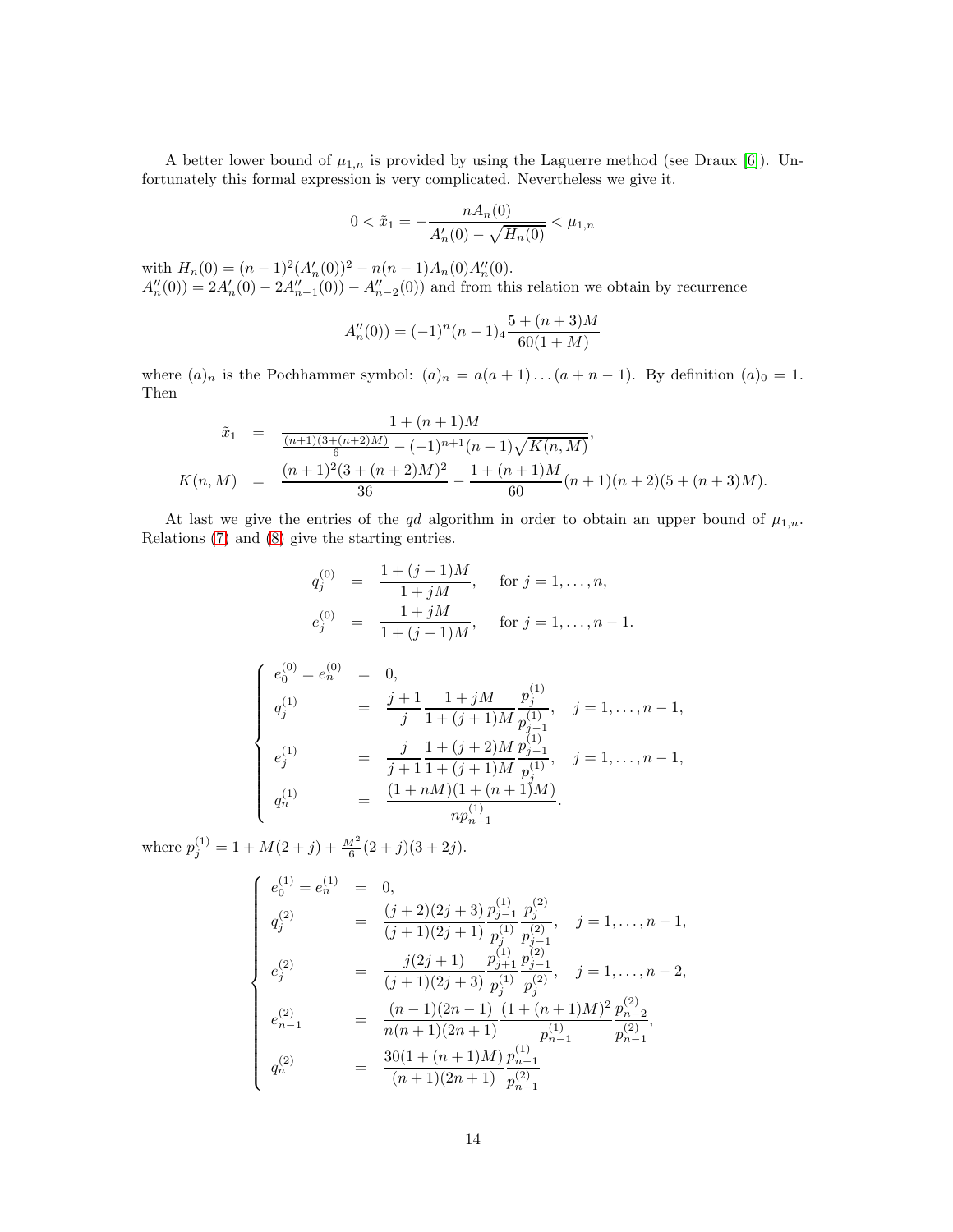A better lower bound of  $\mu_{1,n}$  is provided by using the Laguerre method (see Draux [\[6\]](#page-30-8)). Unfortunately this formal expression is very complicated. Nevertheless we give it.

$$
0 < \tilde{x}_1 = -\frac{n A_n(0)}{A'_n(0) - \sqrt{H_n(0)}} < \mu_{1,n}
$$

with  $H_n(0) = (n-1)^2 (A'_n(0))^2 - n(n-1)A_n(0)A''_n(0)$ .  $A''_n(0) = 2A'_n(0) - 2A''_{n-1}(0) - A''_{n-2}(0)$  and from this relation we obtain by recurrence

$$
A_n''(0)) = (-1)^n (n-1)_4 \frac{5 + (n+3)M}{60(1+M)}
$$

where  $(a)_n$  is the Pochhammer symbol:  $(a)_n = a(a+1)...(a+n-1)$ . By definition  $(a)_0 = 1$ . Then

$$
\tilde{x}_1 = \frac{1 + (n+1)M}{\frac{(n+1)(3 + (n+2)M)}{6} - (-1)^{n+1}(n-1)\sqrt{K(n,M)}},
$$
\n
$$
K(n, M) = \frac{(n+1)^2(3 + (n+2)M)^2}{36} - \frac{1 + (n+1)M}{60}(n+1)(n+2)(5 + (n+3)M).
$$

At last we give the entries of the qd algorithm in order to obtain an upper bound of  $\mu_{1,n}$ . Relations [\(7\)](#page-5-4) and [\(8\)](#page-5-4) give the starting entries.

$$
q_j^{(0)} = \frac{1 + (j+1)M}{1 + jM}, \quad \text{for } j = 1, ..., n,
$$
  

$$
e_j^{(0)} = \frac{1 + jM}{1 + (j+1)M}, \quad \text{for } j = 1, ..., n-1.
$$

$$
\begin{cases}\ne_{0}^{(0)} = e_{n}^{(0)} = 0, \\
q_{j}^{(1)} = \frac{j+1}{j} \frac{1+jM}{1+(j+1)M} \frac{p_{j}^{(1)}}{p_{j-1}^{(1)}}, \quad j = 1, \ldots, n-1, \\
e_{j}^{(1)} = \frac{j}{j+1} \frac{1+(j+2)M}{1+(j+1)M} \frac{p_{j-1}^{(1)}}{p_{j}^{(1)}}, \quad j = 1, \ldots, n-1, \\
q_{n}^{(1)} = \frac{(1+nM)(1+(n+1)M)}{np_{n-1}^{(1)}}.\n\end{cases}
$$

where  $p_j^{(1)} = 1 + M(2+j) + \frac{M^2}{6}(2+j)(3+2j)$ .

$$
\begin{cases}\ne_{0}^{(1)} = e_{n}^{(1)} = 0, \\
q_{j}^{(2)} = \frac{(j+2)(2j+3)}{(j+1)(2j+1)} \frac{p_{j-1}^{(1)}}{p_{j}^{(1)}} \frac{p_{j}^{(2)}}{p_{j-1}^{(2)}}, \quad j = 1, ..., n-1, \\
e_{j}^{(2)} = \frac{j(2j+1)}{(j+1)(2j+3)} \frac{p_{j+1}^{(1)}}{p_{j}^{(1)}} \frac{p_{j-1}^{(2)}}{p_{j}^{(2)}}, \quad j = 1, ..., n-2, \\
e_{n-1}^{(2)} = \frac{(n-1)(2n-1)}{n(n+1)(2n+1)} \frac{(1+(n+1)M)^{2}}{p_{n-1}^{(1)}} \frac{p_{n-2}^{(2)}}{p_{n-1}^{(2)}}, \\
q_{n}^{(2)} = \frac{30(1+(n+1)M)}{(n+1)(2n+1)} \frac{p_{n-1}^{(1)}}{p_{n-1}^{(2)}}\n\end{cases}
$$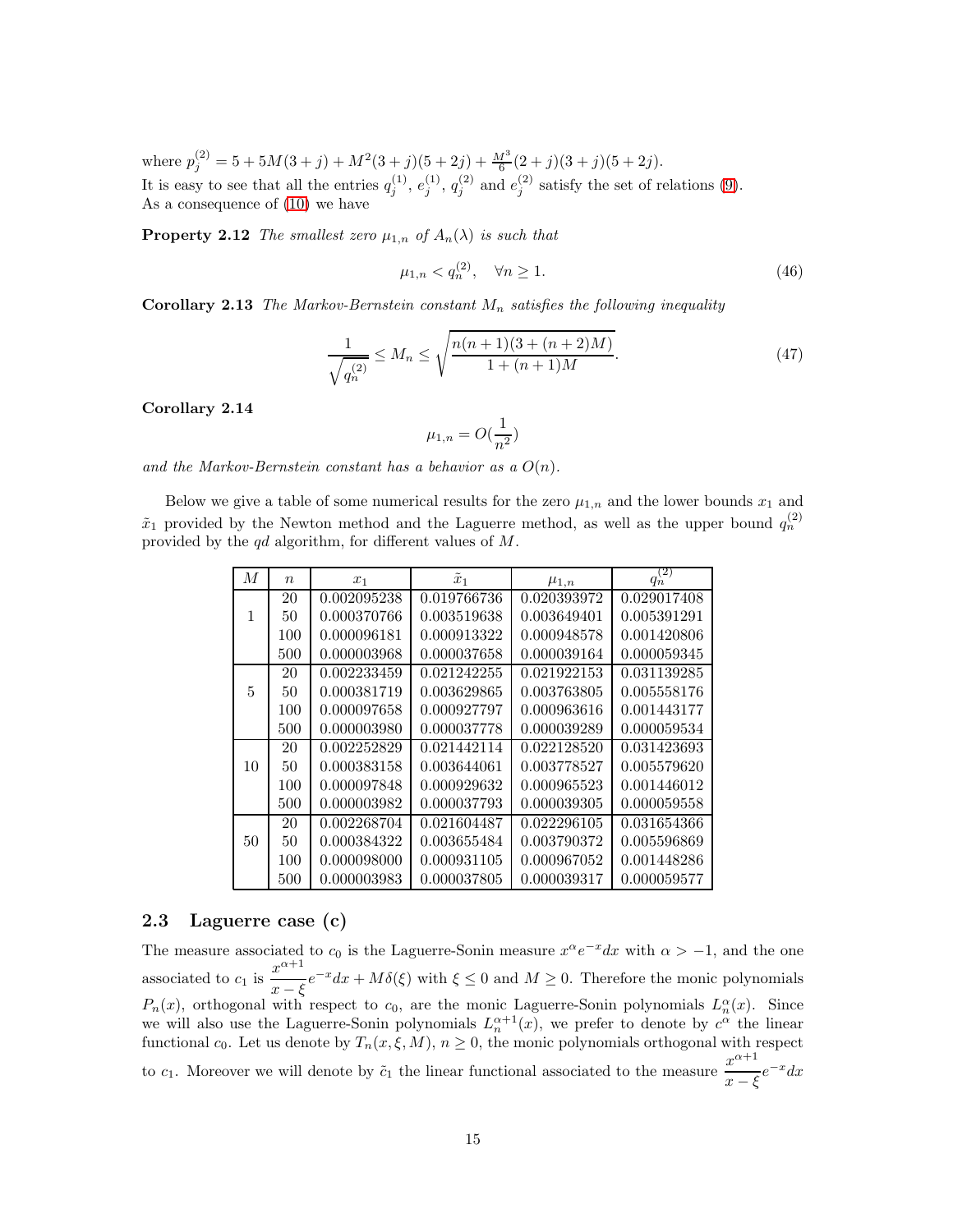where  $p_j^{(2)} = 5 + 5M(3+j) + M^2(3+j)(5+2j) + \frac{M^3}{6}(2+j)(3+j)(5+2j).$ It is easy to see that all the entries  $q_j^{(1)}, e_j^{(1)}, q_j^{(2)}$  and  $e_j^{(2)}$  satisfy the set of relations [\(9\)](#page-5-5). As a consequence of [\(10\)](#page-5-6) we have

**Property 2.12** The smallest zero  $\mu_{1,n}$  of  $A_n(\lambda)$  is such that

$$
\mu_{1,n} < q_n^{(2)}, \quad \forall n \ge 1. \tag{46}
$$

**Corollary 2.13** The Markov-Bernstein constant  $M_n$  satisfies the following inequality

$$
\frac{1}{\sqrt{q_n^{(2)}}} \le M_n \le \sqrt{\frac{n(n+1)(3+(n+2)M)}{1+(n+1)M}}.\tag{47}
$$

Corollary 2.14

$$
\mu_{1,n}=O(\frac{1}{n^2})
$$

and the Markov-Bernstein constant has a behavior as a  $O(n)$ .

Below we give a table of some numerical results for the zero  $\mu_{1,n}$  and the lower bounds  $x_1$  and  $\tilde{x}_1$  provided by the Newton method and the Laguerre method, as well as the upper bound  $q_n^{(2)}$ provided by the qd algorithm, for different values of M.

| М  | $\eta$ |             | $\tilde{x}_1$ |             | $q_n^{(2)}$ |
|----|--------|-------------|---------------|-------------|-------------|
|    |        | $x_1$       |               | $\mu_{1,n}$ |             |
|    | 20     | 0.002095238 | 0.019766736   | 0.020393972 | 0.029017408 |
| 1  | 50     | 0.000370766 | 0.003519638   | 0.003649401 | 0.005391291 |
|    | 100    | 0.000096181 | 0.000913322   | 0.000948578 | 0.001420806 |
|    | 500    | 0.000003968 | 0.000037658   | 0.000039164 | 0.000059345 |
|    | 20     | 0.002233459 | 0.021242255   | 0.021922153 | 0.031139285 |
| 5  | 50     | 0.000381719 | 0.003629865   | 0.003763805 | 0.005558176 |
|    | 100    | 0.000097658 | 0.000927797   | 0.000963616 | 0.001443177 |
|    | 500    | 0.000003980 | 0.000037778   | 0.000039289 | 0.000059534 |
|    | 20     | 0.002252829 | 0.021442114   | 0.022128520 | 0.031423693 |
| 10 | 50     | 0.000383158 | 0.003644061   | 0.003778527 | 0.005579620 |
|    | 100    | 0.000097848 | 0.000929632   | 0.000965523 | 0.001446012 |
|    | 500    | 0.000003982 | 0.000037793   | 0.000039305 | 0.000059558 |
|    | 20     | 0.002268704 | 0.021604487   | 0.022296105 | 0.031654366 |
| 50 | 50     | 0.000384322 | 0.003655484   | 0.003790372 | 0.005596869 |
|    | 100    | 0.000098000 | 0.000931105   | 0.000967052 | 0.001448286 |
|    | 500    | 0.000003983 | 0.000037805   | 0.000039317 | 0.000059577 |

### 2.3 Laguerre case (c)

The measure associated to  $c_0$  is the Laguerre-Sonin measure  $x^{\alpha}e^{-x}dx$  with  $\alpha > -1$ , and the one associated to  $c_1$  is  $\frac{x^{\alpha+1}}{x}$  $\frac{x}{x-\xi}e^{-x}dx + M\delta(\xi)$  with  $\xi \le 0$  and  $M \ge 0$ . Therefore the monic polynomials  $P_n(x)$ , orthogonal with respect to  $c_0$ , are the monic Laguerre-Sonin polynomials  $L_n^{\alpha}(x)$ . Since we will also use the Laguerre-Sonin polynomials  $L_n^{\alpha+1}(x)$ , we prefer to denote by  $c^{\alpha}$  the linear functional  $c_0$ . Let us denote by  $T_n(x, \xi, M)$ ,  $n \geq 0$ , the monic polynomials orthogonal with respect to  $c_1$ . Moreover we will denote by  $\tilde{c}_1$  the linear functional associated to the measure  $\frac{x^{\alpha+1}}{x^{n}}$  $\frac{x}{x-\xi}e^{-x}dx$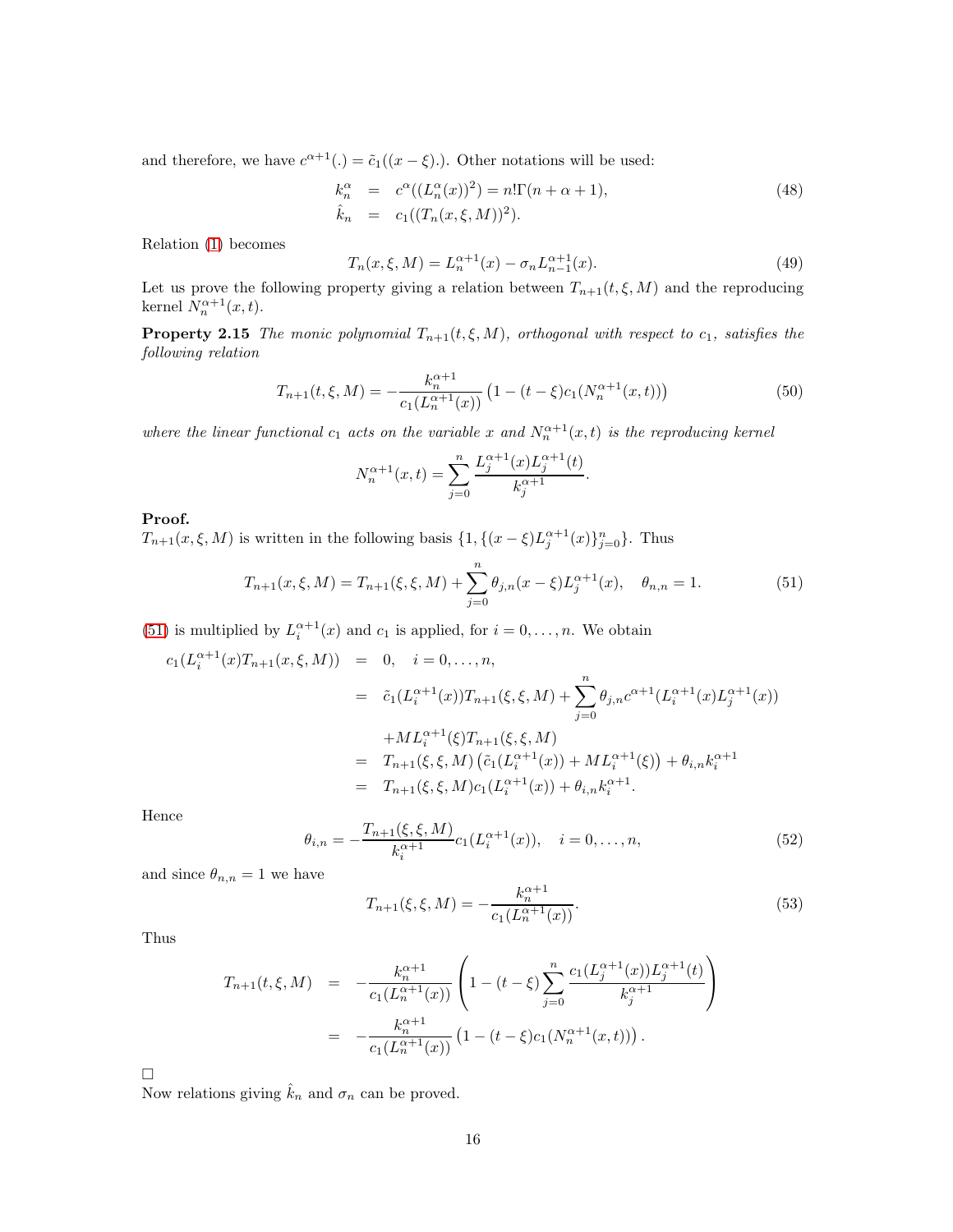and therefore, we have  $c^{\alpha+1}(.) = \tilde{c}_1((x - \xi))$ . Other notations will be used:

<span id="page-15-3"></span>
$$
k_n^{\alpha} = c^{\alpha}((L_n^{\alpha}(x))^2) = n!\Gamma(n+\alpha+1),
$$
  
\n
$$
\hat{k}_n = c_1((T_n(x,\xi,M))^2).
$$
\n(48)

Relation [\(1\)](#page-1-0) becomes

<span id="page-15-2"></span>
$$
T_n(x,\xi,M) = L_n^{\alpha+1}(x) - \sigma_n L_{n-1}^{\alpha+1}(x). \tag{49}
$$

Let us prove the following property giving a relation between  $T_{n+1}(t, \xi, M)$  and the reproducing kernel  $N_n^{\alpha+1}(x,t)$ .

**Property 2.15** The monic polynomial  $T_{n+1}(t, \xi, M)$ , orthogonal with respect to  $c_1$ , satisfies the following relation

<span id="page-15-4"></span>
$$
T_{n+1}(t,\xi,M) = -\frac{k_n^{\alpha+1}}{c_1(L_n^{\alpha+1}(x))} \left(1 - (t-\xi)c_1(N_n^{\alpha+1}(x,t))\right)
$$
(50)

where the linear functional  $c_1$  acts on the variable x and  $N_n^{\alpha+1}(x,t)$  is the reproducing kernel

$$
N_n^{\alpha+1}(x,t) = \sum_{j=0}^n \frac{L_j^{\alpha+1}(x)L_j^{\alpha+1}(t)}{k_j^{\alpha+1}}.
$$

#### Proof.

 $T_{n+1}(x,\xi,M)$  is written in the following basis  $\{1, \{(x-\xi)L_j^{\alpha+1}(x)\}_{j=0}^n\}$ . Thus

<span id="page-15-0"></span>
$$
T_{n+1}(x,\xi,M) = T_{n+1}(\xi,\xi,M) + \sum_{j=0}^{n} \theta_{j,n}(x-\xi)L_j^{\alpha+1}(x), \quad \theta_{n,n} = 1.
$$
 (51)

[\(51\)](#page-15-0) is multiplied by  $L_i^{\alpha+1}(x)$  and  $c_1$  is applied, for  $i = 0, \ldots, n$ . We obtain

$$
c_1(L_i^{\alpha+1}(x)T_{n+1}(x,\xi,M)) = 0, \quad i = 0,\ldots,n,
$$
  
\n
$$
= \tilde{c}_1(L_i^{\alpha+1}(x))T_{n+1}(\xi,\xi,M) + \sum_{j=0}^n \theta_{j,n}c^{\alpha+1}(L_i^{\alpha+1}(x)L_j^{\alpha+1}(x))
$$
  
\n
$$
+ ML_i^{\alpha+1}(\xi)T_{n+1}(\xi,\xi,M)
$$
  
\n
$$
= T_{n+1}(\xi,\xi,M) (\tilde{c}_1(L_i^{\alpha+1}(x)) + ML_i^{\alpha+1}(\xi)) + \theta_{i,n}k_i^{\alpha+1}
$$
  
\n
$$
= T_{n+1}(\xi,\xi,M)c_1(L_i^{\alpha+1}(x)) + \theta_{i,n}k_i^{\alpha+1}.
$$

Hence

$$
\theta_{i,n} = -\frac{T_{n+1}(\xi, \xi, M)}{k_i^{\alpha+1}} c_1(L_i^{\alpha+1}(x)), \quad i = 0, \dots, n,
$$
\n(52)

and since  $\theta_{n,n} = 1$  we have

<span id="page-15-5"></span><span id="page-15-1"></span>
$$
T_{n+1}(\xi, \xi, M) = -\frac{k_n^{\alpha+1}}{c_1(L_n^{\alpha+1}(x))}.
$$
\n(53)

Thus

$$
T_{n+1}(t,\xi,M) = -\frac{k_n^{\alpha+1}}{c_1(L_n^{\alpha+1}(x))} \left(1 - (t-\xi) \sum_{j=0}^n \frac{c_1(L_j^{\alpha+1}(x))L_j^{\alpha+1}(t)}{k_j^{\alpha+1}}\right)
$$
  
= 
$$
-\frac{k_n^{\alpha+1}}{c_1(L_n^{\alpha+1}(x))} \left(1 - (t-\xi)c_1(N_n^{\alpha+1}(x,t))\right).
$$

 $\Box$ 

Now relations giving  $\hat{k}_n$  and  $\sigma_n$  can be proved.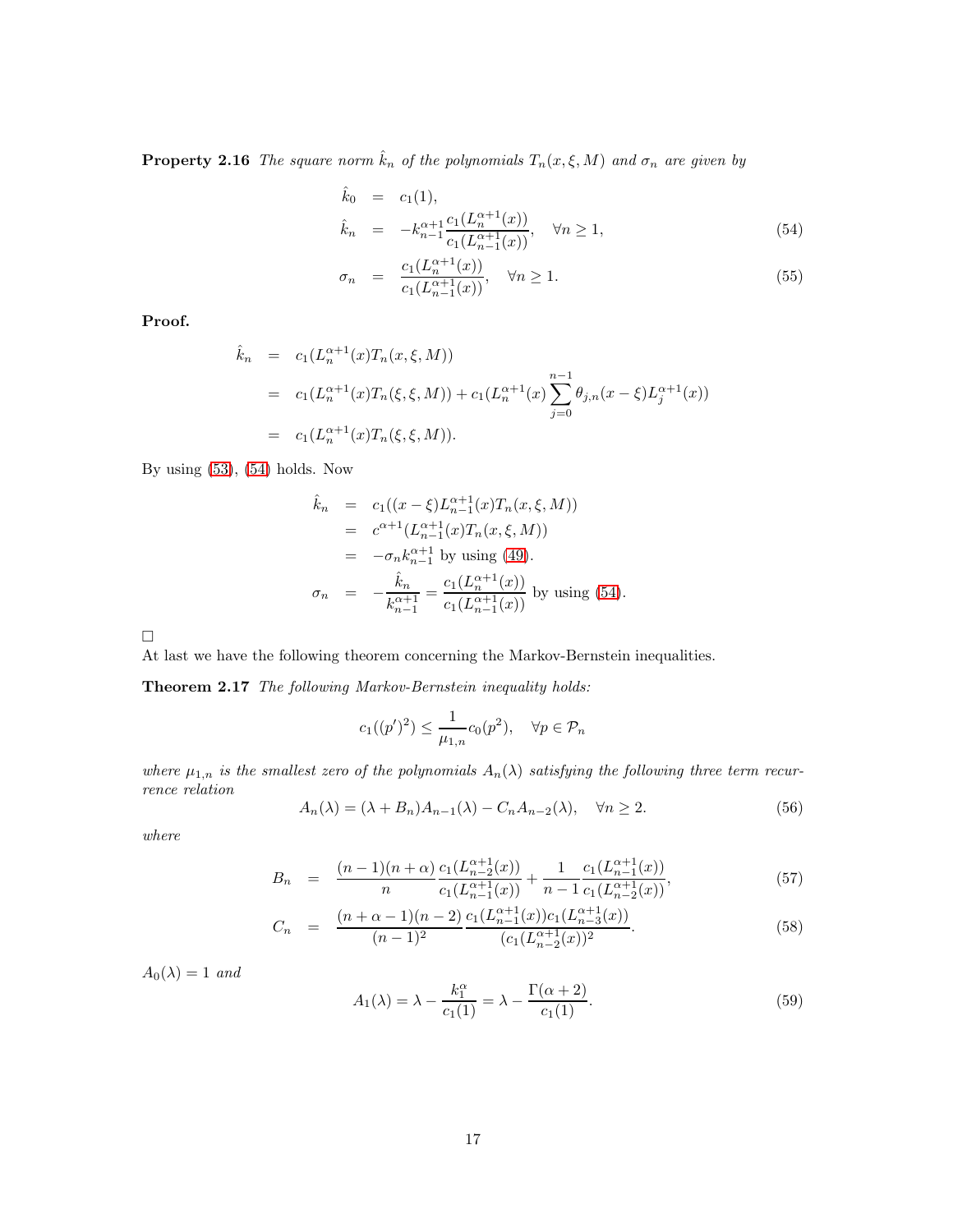**Property 2.16** The square norm  $\hat{k}_n$  of the polynomials  $T_n(x,\xi,M)$  and  $\sigma_n$  are given by

<span id="page-16-0"></span>
$$
\hat{k}_0 = c_1(1), \n\hat{k}_n = -k_{n-1}^{\alpha+1} \frac{c_1(L_n^{\alpha+1}(x))}{c_1(L_{n-1}^{\alpha+1}(x))}, \quad \forall n \ge 1,
$$
\n(54)

$$
\sigma_n = \frac{c_1(L_n^{\alpha+1}(x))}{c_1(L_{n-1}^{\alpha+1}(x))}, \quad \forall n \ge 1.
$$
\n(55)

Proof.

$$
\hat{k}_n = c_1(L_n^{\alpha+1}(x)T_n(x,\xi,M))
$$
\n
$$
= c_1(L_n^{\alpha+1}(x)T_n(\xi,\xi,M)) + c_1(L_n^{\alpha+1}(x)) \sum_{j=0}^{n-1} \theta_{j,n}(x-\xi)L_j^{\alpha+1}(x))
$$
\n
$$
= c_1(L_n^{\alpha+1}(x)T_n(\xi,\xi,M)).
$$

By using [\(53\)](#page-15-1), [\(54\)](#page-16-0) holds. Now

$$
\hat{k}_n = c_1((x - \xi)L_{n-1}^{\alpha+1}(x)T_n(x, \xi, M))
$$
\n
$$
= c^{\alpha+1}(L_{n-1}^{\alpha+1}(x)T_n(x, \xi, M))
$$
\n
$$
= -\sigma_n k_{n-1}^{\alpha+1} \text{ by using (49)}.
$$
\n
$$
\sigma_n = -\frac{\hat{k}_n}{k_{n-1}^{\alpha+1}} = \frac{c_1(L_n^{\alpha+1}(x))}{c_1(L_{n-1}^{\alpha+1}(x))} \text{ by using (54)}.
$$

 $\Box$ 

At last we have the following theorem concerning the Markov-Bernstein inequalities.

Theorem 2.17 The following Markov-Bernstein inequality holds:

<span id="page-16-3"></span>
$$
c_1((p')^2) \leq \frac{1}{\mu_{1,n}} c_0(p^2), \quad \forall p \in \mathcal{P}_n
$$

where  $\mu_{1,n}$  is the smallest zero of the polynomials  $A_n(\lambda)$  satisfying the following three term recurrence relation

<span id="page-16-1"></span>
$$
A_n(\lambda) = (\lambda + B_n)A_{n-1}(\lambda) - C_n A_{n-2}(\lambda), \quad \forall n \ge 2.
$$
 (56)

where

<span id="page-16-2"></span>
$$
B_n = \frac{(n-1)(n+\alpha)}{n} \frac{c_1(L_{n-1}^{\alpha+1}(x))}{c_1(L_{n-1}^{\alpha+1}(x))} + \frac{1}{n-1} \frac{c_1(L_{n-1}^{\alpha+1}(x))}{c_1(L_{n-2}^{\alpha+1}(x))},
$$
(57)

$$
C_n = \frac{(n+\alpha-1)(n-2)}{(n-1)^2} \frac{c_1(L_{n-1}^{\alpha+1}(x))c_1(L_{n-3}^{\alpha+1}(x))}{(c_1(L_{n-2}^{\alpha+1}(x))^2}.
$$
 (58)

 $A_0(\lambda) = 1$  and

$$
A_1(\lambda) = \lambda - \frac{k_1^{\alpha}}{c_1(1)} = \lambda - \frac{\Gamma(\alpha + 2)}{c_1(1)}.
$$
\n
$$
(59)
$$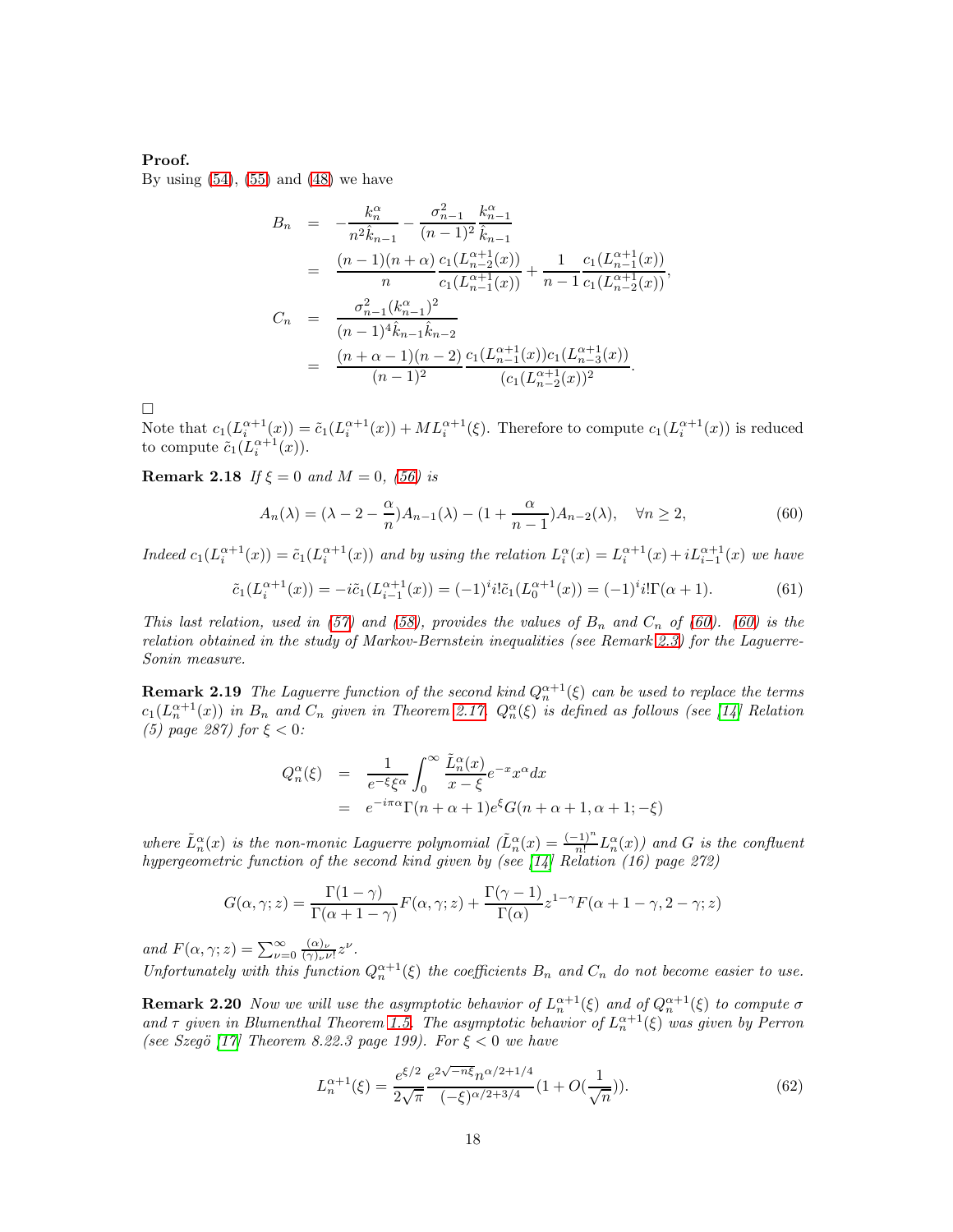#### Proof.

By using  $(54)$ ,  $(55)$  and  $(48)$  we have

$$
B_n = -\frac{k_n^{\alpha}}{n^2 \hat{k}_{n-1}} - \frac{\sigma_{n-1}^2}{(n-1)^2} \frac{k_{n-1}^{\alpha}}{\hat{k}_{n-1}}
$$
  
\n
$$
= \frac{(n-1)(n+\alpha)}{n} \frac{c_1(L_{n-1}^{\alpha+1}(x))}{c_1(L_{n-1}^{\alpha+1}(x))} + \frac{1}{n-1} \frac{c_1(L_{n-1}^{\alpha+1}(x))}{c_1(L_{n-2}^{\alpha+1}(x))},
$$
  
\n
$$
C_n = \frac{\sigma_{n-1}^2(k_{n-1}^{\alpha})^2}{(n-1)^4 \hat{k}_{n-1} \hat{k}_{n-2}}
$$
  
\n
$$
= \frac{(n+\alpha-1)(n-2)}{(n-1)^2} \frac{c_1(L_{n-1}^{\alpha+1}(x))c_1(L_{n-3}^{\alpha+1}(x))}{(c_1(L_{n-2}^{\alpha+1}(x))^2}.
$$

 $\Box$ 

Note that  $c_1(L_i^{\alpha+1}(x)) = \tilde{c}_1(L_i^{\alpha+1}(x)) + ML_i^{\alpha+1}(\xi)$ . Therefore to compute  $c_1(L_i^{\alpha+1}(x))$  is reduced to compute  $\tilde{c}_1(L_i^{\alpha+1}(x))$ .

**Remark 2.18** If  $\xi = 0$  and  $M = 0$ , [\(56\)](#page-16-1) is

<span id="page-17-1"></span><span id="page-17-0"></span>
$$
A_n(\lambda) = (\lambda - 2 - \frac{\alpha}{n})A_{n-1}(\lambda) - (1 + \frac{\alpha}{n-1})A_{n-2}(\lambda), \quad \forall n \ge 2,
$$
\n
$$
(60)
$$

Indeed  $c_1(L_i^{\alpha+1}(x)) = \tilde{c}_1(L_i^{\alpha+1}(x))$  and by using the relation  $L_i^{\alpha}(x) = L_i^{\alpha+1}(x) + iL_{i-1}^{\alpha+1}(x)$  we have

$$
\tilde{c}_1(L_i^{\alpha+1}(x)) = -i\tilde{c}_1(L_{i-1}^{\alpha+1}(x)) = (-1)^i i! \tilde{c}_1(L_0^{\alpha+1}(x)) = (-1)^i i! \Gamma(\alpha+1). \tag{61}
$$

This last relation, used in [\(57\)](#page-16-2) and [\(58\)](#page-16-2), provides the values of  $B_n$  and  $C_n$  of [\(60\)](#page-17-0). (60) is the relation obtained in the study of Markov-Bernstein inequalities (see Remark [2.3\)](#page-8-3) for the Laguerre-Sonin measure.

**Remark 2.19** The Laguerre function of the second kind  $Q_n^{\alpha+1}(\xi)$  can be used to replace the terms  $c_1(L_n^{\alpha+1}(x))$  in  $B_n$  and  $C_n$  given in Theorem [2.17.](#page-16-3)  $Q_n^{\alpha}(\xi)$  is defined as follows (see [\[14\]](#page-30-12) Relation (5) page 287) for  $\xi < 0$ :

$$
Q_n^{\alpha}(\xi) = \frac{1}{e^{-\xi}\xi^{\alpha}} \int_0^{\infty} \frac{\tilde{L}_n^{\alpha}(x)}{x - \xi} e^{-x} x^{\alpha} dx
$$
  
=  $e^{-i\pi\alpha} \Gamma(n + \alpha + 1) e^{\xi} G(n + \alpha + 1, \alpha + 1; -\xi)$ 

where  $\tilde{L}_n^{\alpha}(x)$  is the non-monic Laguerre polynomial  $(\tilde{L}_n^{\alpha}(x)) = \frac{(-1)^n}{n!} L_n^{\alpha}(x)$  and G is the confluent hypergeometric function of the second kind given by (see [\[14\]](#page-30-12) Relation (16) page 272)

$$
G(\alpha, \gamma; z) = \frac{\Gamma(1 - \gamma)}{\Gamma(\alpha + 1 - \gamma)} F(\alpha, \gamma; z) + \frac{\Gamma(\gamma - 1)}{\Gamma(\alpha)} z^{1 - \gamma} F(\alpha + 1 - \gamma, 2 - \gamma; z)
$$

and  $F(\alpha, \gamma; z) = \sum_{\nu=0}^{\infty} \frac{(\alpha)_{\nu}}{(\gamma)_{\nu}i}$  $\frac{(\alpha)_{\nu}}{(\gamma)_{\nu}\nu!}z^{\nu}.$ 

Unfortunately with this function  $Q_n^{\alpha+1}(\xi)$  the coefficients  $B_n$  and  $C_n$  do not become easier to use.

**Remark 2.20** Now we will use the asymptotic behavior of  $L_n^{\alpha+1}(\xi)$  and of  $Q_n^{\alpha+1}(\xi)$  to compute  $\sigma$ and  $\tau$  given in Blumenthal Theorem [1.5.](#page-5-1) The asymptotic behavior of  $L_n^{\alpha+1}(\xi)$  was given by Perron (see Szegö [\[17\]](#page-31-1) Theorem 8.22.3 page 199). For  $\xi < 0$  we have

$$
L_n^{\alpha+1}(\xi) = \frac{e^{\xi/2}}{2\sqrt{\pi}} \frac{e^{2\sqrt{-n\xi}} n^{\alpha/2+1/4}}{(-\xi)^{\alpha/2+3/4}} (1 + O(\frac{1}{\sqrt{n}})).
$$
\n(62)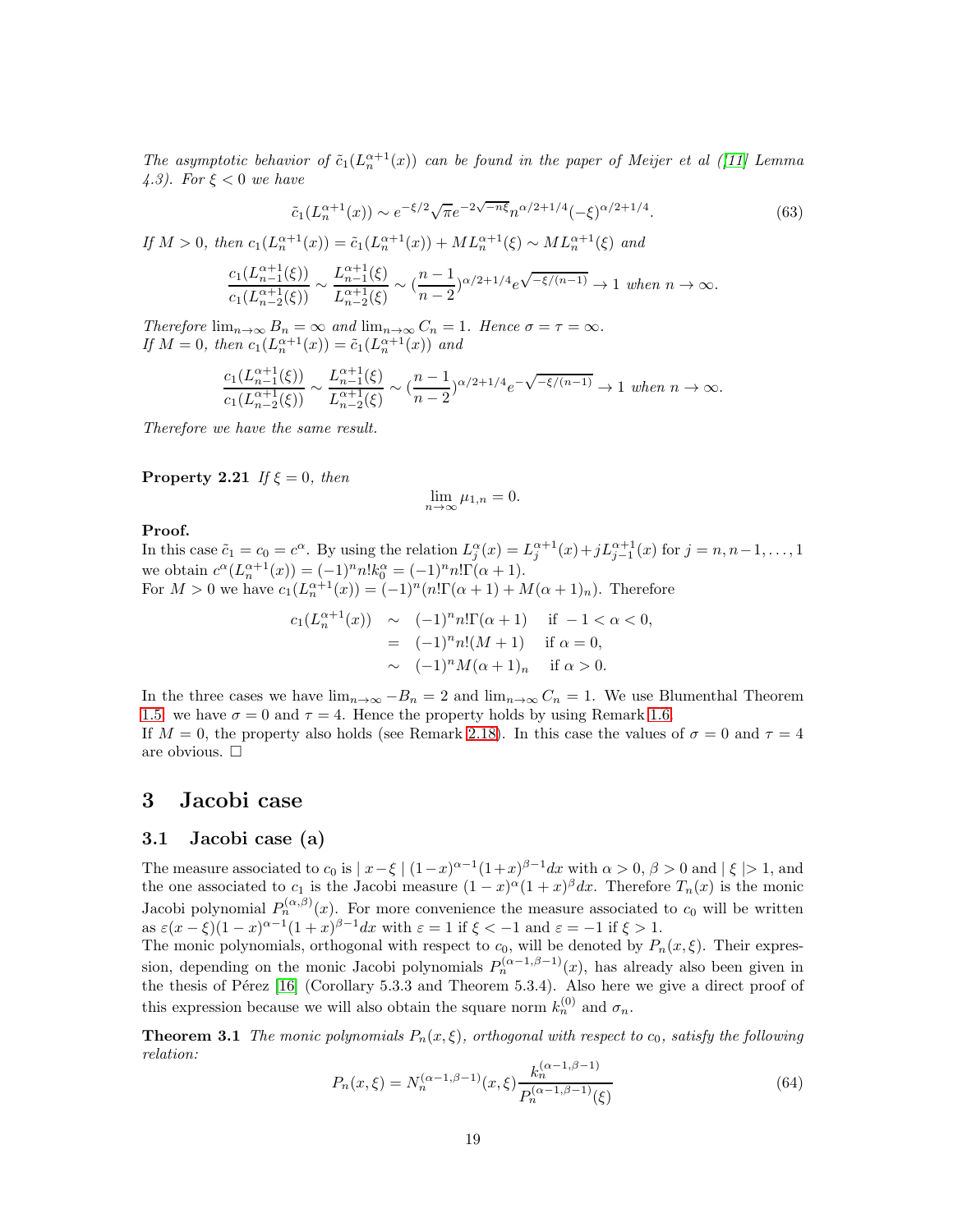The asymptotic behavior of  $\tilde{c}_1(L_n^{\alpha+1}(x))$  can be found in the paper of Meijer et al ([\[11\]](#page-30-13) Lemma 4.3). For  $\xi < 0$  we have

$$
\tilde{c}_1(L_n^{\alpha+1}(x)) \sim e^{-\xi/2} \sqrt{\pi} e^{-2\sqrt{-n\xi}} n^{\alpha/2+1/4} (-\xi)^{\alpha/2+1/4}.
$$
 (63)

If  $M > 0$ , then  $c_1(L_n^{\alpha+1}(x)) = \tilde{c}_1(L_n^{\alpha+1}(x)) + ML_n^{\alpha+1}(\xi) \sim ML_n^{\alpha+1}(\xi)$  and

$$
\frac{c_1(L_{n-1}^{\alpha+1}(\xi))}{c_1(L_{n-2}^{\alpha+1}(\xi))} \sim \frac{L_{n-1}^{\alpha+1}(\xi)}{L_{n-2}^{\alpha+1}(\xi)} \sim (\frac{n-1}{n-2})^{\alpha/2+1/4} e^{\sqrt{-\xi/(n-1)}} \to 1 \text{ when } n \to \infty.
$$

Therefore  $\lim_{n\to\infty} B_n = \infty$  and  $\lim_{n\to\infty} C_n = 1$ . Hence  $\sigma = \tau = \infty$ . If  $M = 0$ , then  $c_1(L_n^{\alpha+1}(x)) = \tilde{c}_1(L_n^{\alpha+1}(x))$  and

$$
\frac{c_1(L_{n-1}^{\alpha+1}(\xi))}{c_1(L_{n-2}^{\alpha+1}(\xi))} \sim \frac{L_{n-1}^{\alpha+1}(\xi)}{L_{n-2}^{\alpha+1}(\xi)} \sim (\frac{n-1}{n-2})^{\alpha/2+1/4} e^{-\sqrt{-\xi/(n-1)}} \to 1 \text{ when } n \to \infty.
$$

Therefore we have the same result.

**Property 2.21** If  $\xi = 0$ , then

$$
\lim_{n \to \infty} \mu_{1,n} = 0.
$$

#### Proof.

In this case  $\tilde{c}_1 = c_0 = c^{\alpha}$ . By using the relation  $L_j^{\alpha}(x) = L_j^{\alpha+1}(x) + jL_{j-1}^{\alpha+1}(x)$  for  $j = n, n-1, \ldots, 1$ we obtain  $c^{\alpha}(L_n^{\alpha+1}(x)) = (-1)^n n! k_0^{\alpha} = (-1)^n n! \Gamma(\alpha+1)$ . For  $M > 0$  we have  $c_1(L_n^{\alpha+1}(x)) = (-1)^n (n! \Gamma(\alpha+1) + M(\alpha+1)_n)$ . Therefore

$$
c_1(L_n^{\alpha+1}(x)) \sim (-1)^n n! \Gamma(\alpha+1) \quad \text{if } -1 < \alpha < 0,
$$
  
= 
$$
(-1)^n n! (M+1) \quad \text{if } \alpha = 0,
$$
  

$$
\sim (-1)^n M(\alpha+1)_n \quad \text{if } \alpha > 0.
$$

In the three cases we have  $\lim_{n\to\infty}-B_n=2$  and  $\lim_{n\to\infty}C_n=1$ . We use Blumenthal Theorem [1.5:](#page-5-1) we have  $\sigma = 0$  and  $\tau = 4$ . Hence the property holds by using Remark [1.6.](#page-5-2)

If  $M = 0$ , the property also holds (see Remark [2.18\)](#page-17-1). In this case the values of  $\sigma = 0$  and  $\tau = 4$ are obvious.  $\Box$ 

### 3 Jacobi case

### 3.1 Jacobi case (a)

The measure associated to  $c_0$  is  $\lfloor x-\xi \rfloor (1-x)^{\alpha-1}(1+x)^{\beta-1}dx$  with  $\alpha > 0, \beta > 0$  and  $\lfloor \xi \rfloor > 1$ , and the one associated to  $c_1$  is the Jacobi measure  $(1-x)^\alpha (1+x)^\beta dx$ . Therefore  $T_n(x)$  is the monic Jacobi polynomial  $P_n^{(\alpha,\beta)}(x)$ . For more convenience the measure associated to  $c_0$  will be written as  $\varepsilon(x-\xi)(1-x)^{\alpha-1}(1+x)^{\beta-1}dx$  with  $\varepsilon=1$  if  $\xi<-1$  and  $\varepsilon=-1$  if  $\xi>1$ .

The monic polynomials, orthogonal with respect to  $c_0$ , will be denoted by  $P_n(x,\xi)$ . Their expression, depending on the monic Jacobi polynomials  $P_n^{(\alpha-1,\beta-1)}(x)$ , has already also been given in the thesis of Pérez  $[16]$  (Corollary 5.3.3 and Theorem 5.3.4). Also here we give a direct proof of this expression because we will also obtain the square norm  $k_n^{(0)}$  and  $\sigma_n$ .

**Theorem 3.1** The monic polynomials  $P_n(x,\xi)$ , orthogonal with respect to  $c_0$ , satisfy the following relation:

<span id="page-18-0"></span>
$$
P_n(x,\xi) = N_n^{(\alpha-1,\beta-1)}(x,\xi) \frac{k_n^{(\alpha-1,\beta-1)}}{P_n^{(\alpha-1,\beta-1)}(\xi)}
$$
(64)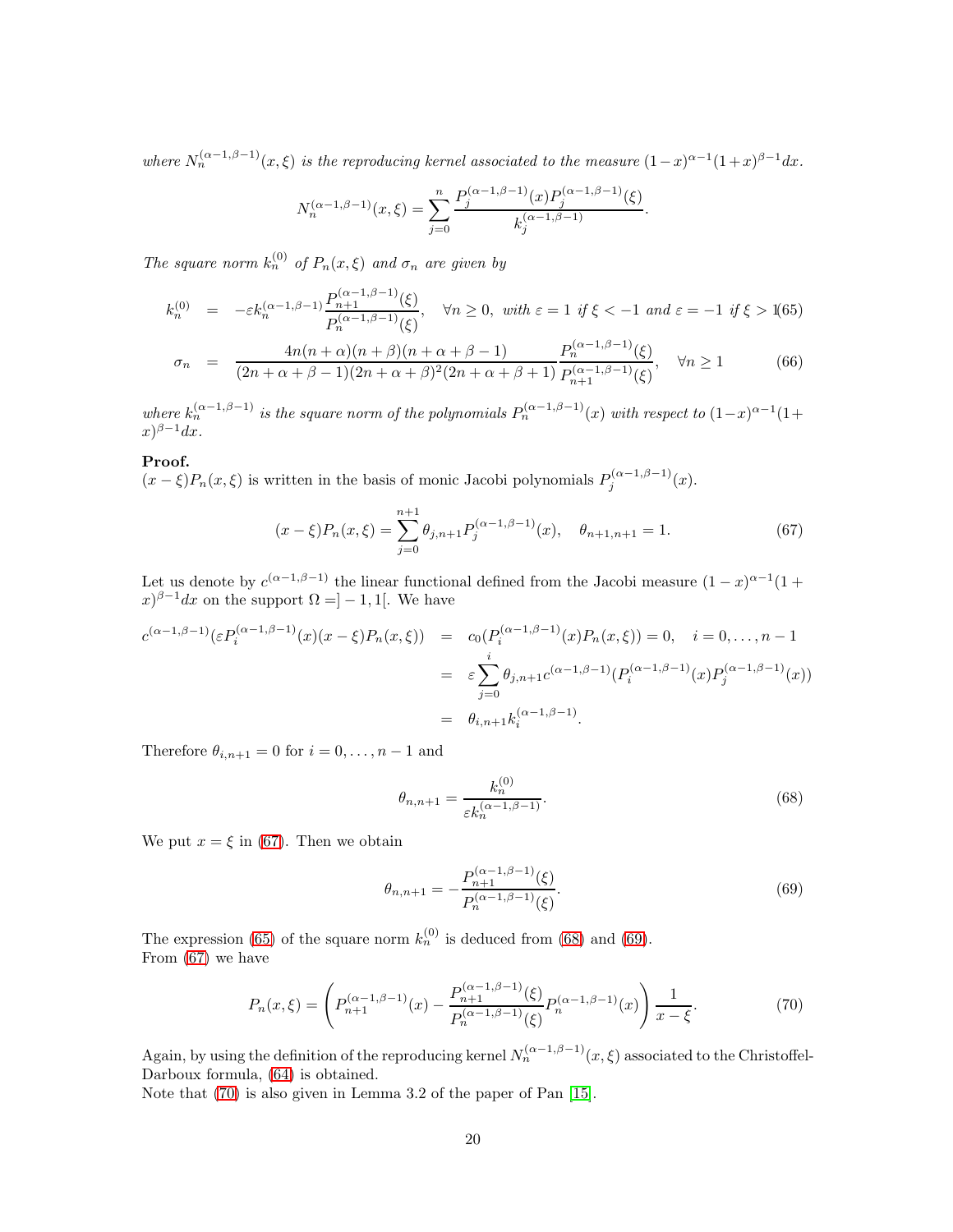where  $N_n^{(\alpha-1,\beta-1)}(x,\xi)$  is the reproducing kernel associated to the measure  $(1-x)^{\alpha-1}(1+x)^{\beta-1}dx$ .

$$
N_n^{(\alpha-1,\beta-1)}(x,\xi) = \sum_{j=0}^n \frac{P_j^{(\alpha-1,\beta-1)}(x)P_j^{(\alpha-1,\beta-1)}(\xi)}{k_j^{(\alpha-1,\beta-1)}}.
$$

The square norm  $k_n^{(0)}$  of  $P_n(x,\xi)$  and  $\sigma_n$  are given by

<span id="page-19-1"></span>
$$
k_n^{(0)} = -\varepsilon k_n^{(\alpha - 1, \beta - 1)} \frac{P_{n+1}^{(\alpha - 1, \beta - 1)}(\xi)}{P_n^{(\alpha - 1, \beta - 1)}(\xi)}, \quad \forall n \ge 0, \text{ with } \varepsilon = 1 \text{ if } \xi < -1 \text{ and } \varepsilon = -1 \text{ if } \xi > 1
$$
(65)

$$
\sigma_n = \frac{4n(n+\alpha)(n+\beta)(n+\alpha+\beta-1)}{(2n+\alpha+\beta-1)(2n+\alpha+\beta)^2(2n+\alpha+\beta+1)} \frac{P_n^{(\alpha-1,\beta-1)}(\xi)}{P_{n+1}^{(\alpha-1,\beta-1)}(\xi)}, \quad \forall n \ge 1
$$
\n(66)

where  $k_n^{(\alpha-1,\beta-1)}$  is the square norm of the polynomials  $P_n^{(\alpha-1,\beta-1)}(x)$  with respect to  $(1-x)^{\alpha-1}(1+y)$  $f(x)^{\beta-1}dx$ .

### Proof.

 $(x - \xi)P_n(x, \xi)$  is written in the basis of monic Jacobi polynomials  $P_j^{(\alpha-1,\beta-1)}(x)$ .

<span id="page-19-0"></span>
$$
(x - \xi)P_n(x, \xi) = \sum_{j=0}^{n+1} \theta_{j,n+1} P_j^{(\alpha - 1, \beta - 1)}(x), \quad \theta_{n+1,n+1} = 1.
$$
 (67)

Let us denote by  $c^{(\alpha-1,\beta-1)}$  the linear functional defined from the Jacobi measure  $(1-x)^{\alpha-1}(1+\alpha)$  $f(x)^{\beta-1}dx$  on the support  $\Omega = ]-1,1[$ . We have

$$
c^{(\alpha-1,\beta-1)}(\varepsilon P_i^{(\alpha-1,\beta-1)}(x)(x-\xi)P_n(x,\xi)) = c_0(P_i^{(\alpha-1,\beta-1)}(x)P_n(x,\xi)) = 0, \quad i = 0,\ldots,n-1
$$
  

$$
= \varepsilon \sum_{j=0}^i \theta_{j,n+1} c^{(\alpha-1,\beta-1)}(P_i^{(\alpha-1,\beta-1)}(x)P_j^{(\alpha-1,\beta-1)}(x))
$$
  

$$
= \theta_{i,n+1} k_i^{(\alpha-1,\beta-1)}.
$$

Therefore  $\theta_{i,n+1} = 0$  for  $i = 0, \ldots, n-1$  and

<span id="page-19-2"></span>
$$
\theta_{n,n+1} = \frac{k_n^{(0)}}{\varepsilon k_n^{(\alpha-1,\beta-1)}}.\tag{68}
$$

We put  $x = \xi$  in [\(67\)](#page-19-0). Then we obtain

<span id="page-19-3"></span>
$$
\theta_{n,n+1} = -\frac{P_{n+1}^{(\alpha-1,\beta-1)}(\xi)}{P_n^{(\alpha-1,\beta-1)}(\xi)}.
$$
\n(69)

The expression [\(65\)](#page-19-1) of the square norm  $k_n^{(0)}$  is deduced from [\(68\)](#page-19-2) and [\(69\)](#page-19-3). From [\(67\)](#page-19-0) we have

<span id="page-19-4"></span>
$$
P_n(x,\xi) = \left( P_{n+1}^{(\alpha-1,\beta-1)}(x) - \frac{P_{n+1}^{(\alpha-1,\beta-1)}(\xi)}{P_n^{(\alpha-1,\beta-1)}(\xi)} P_n^{(\alpha-1,\beta-1)}(x) \right) \frac{1}{x-\xi}.
$$
(70)

Again, by using the definition of the reproducing kernel  $N_n^{(\alpha-1,\beta-1)}(x,\xi)$  associated to the Christoffel-Darboux formula, [\(64\)](#page-18-0) is obtained.

Note that [\(70\)](#page-19-4) is also given in Lemma 3.2 of the paper of Pan [\[15\]](#page-30-14).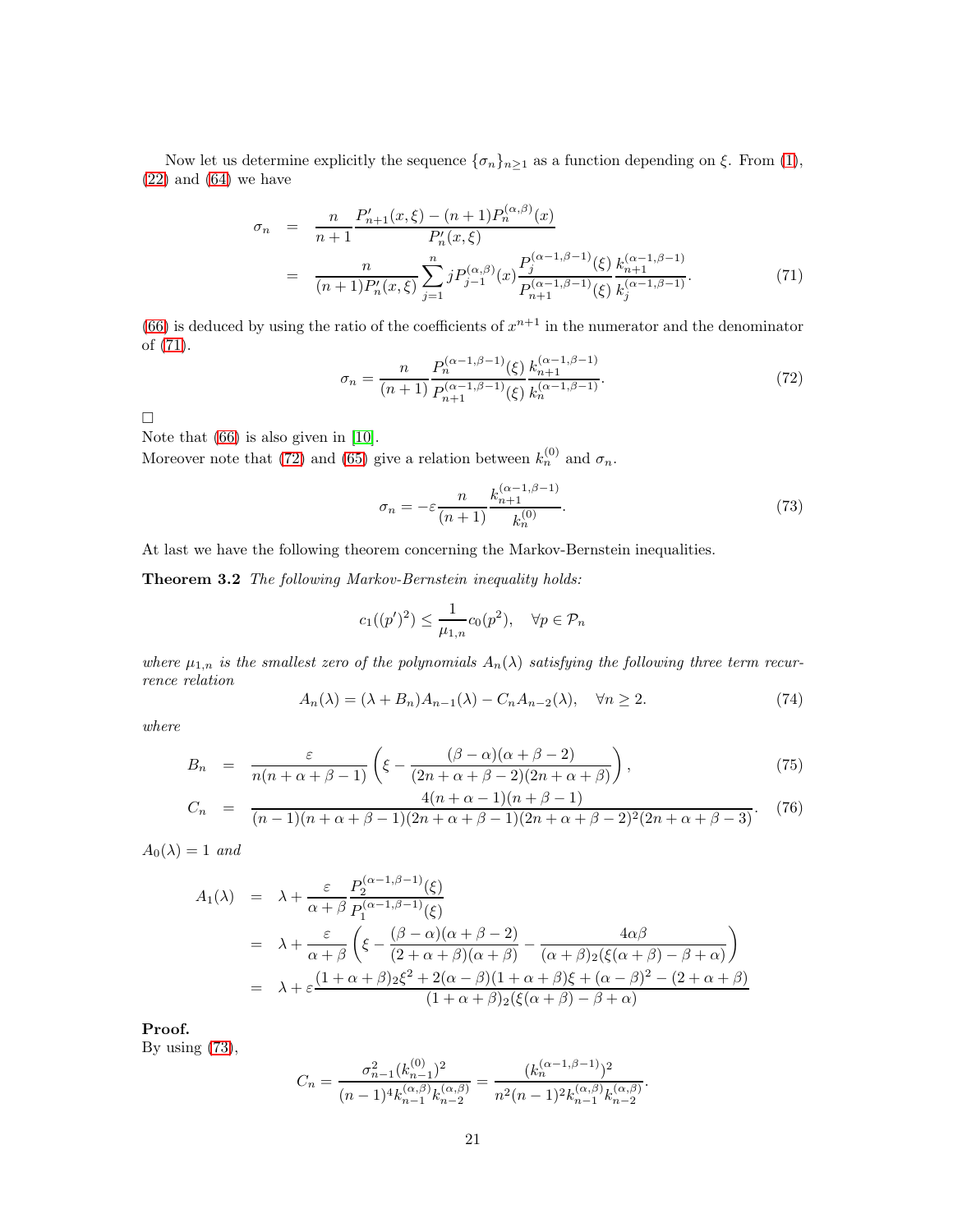Now let us determine explicitly the sequence  $\{\sigma_n\}_{n\geq 1}$  as a function depending on  $\xi$ . From [\(1\)](#page-1-0),  $(22)$  and  $(64)$  we have

<span id="page-20-0"></span>
$$
\sigma_n = \frac{n}{n+1} \frac{P'_{n+1}(x,\xi) - (n+1)P_n^{(\alpha,\beta)}(x)}{P'_n(x,\xi)} \n= \frac{n}{(n+1)P'_n(x,\xi)} \sum_{j=1}^n j P_{j-1}^{(\alpha,\beta)}(x) \frac{P_j^{(\alpha-1,\beta-1)}(\xi)}{P_{n+1}^{(\alpha-1,\beta-1)}(\xi)} \frac{k_{n+1}^{(\alpha-1,\beta-1)}}{k_j^{(\alpha-1,\beta-1)}}.
$$
\n(71)

[\(66\)](#page-19-1) is deduced by using the ratio of the coefficients of  $x^{n+1}$  in the numerator and the denominator of [\(71\)](#page-20-0).

<span id="page-20-1"></span>
$$
\sigma_n = \frac{n}{(n+1)} \frac{P_n^{(\alpha-1,\beta-1)}(\xi)}{P_{n+1}^{(\alpha-1,\beta-1)}(\xi)} \frac{k_{n+1}^{(\alpha-1,\beta-1)}}{k_n^{(\alpha-1,\beta-1)}}.
$$
\n(72)

 $\Box$ 

Note that [\(66\)](#page-19-1) is also given in [\[10\]](#page-30-10).

Moreover note that [\(72\)](#page-20-1) and [\(65\)](#page-19-1) give a relation between  $k_n^{(0)}$  and  $\sigma_n$ .

<span id="page-20-2"></span>
$$
\sigma_n = -\varepsilon \frac{n}{(n+1)} \frac{k_{n+1}^{(\alpha-1,\beta-1)}}{k_n^{(0)}}.
$$
\n
$$
(73)
$$

At last we have the following theorem concerning the Markov-Bernstein inequalities.

Theorem 3.2 The following Markov-Bernstein inequality holds:

$$
c_1((p')^2) \le \frac{1}{\mu_{1,n}} c_0(p^2), \quad \forall p \in \mathcal{P}_n
$$

where  $\mu_{1,n}$  is the smallest zero of the polynomials  $A_n(\lambda)$  satisfying the following three term recurrence relation

$$
A_n(\lambda) = (\lambda + B_n)A_{n-1}(\lambda) - C_n A_{n-2}(\lambda), \quad \forall n \ge 2.
$$
 (74)

where

<span id="page-20-3"></span>
$$
B_n = \frac{\varepsilon}{n(n+\alpha+\beta-1)} \left( \xi - \frac{(\beta-\alpha)(\alpha+\beta-2)}{(2n+\alpha+\beta-2)(2n+\alpha+\beta)} \right),\tag{75}
$$

$$
C_n = \frac{4(n+\alpha-1)(n+\beta-1)}{(n-1)(n+\alpha+\beta-1)(2n+\alpha+\beta-1)(2n+\alpha+\beta-2)^2(2n+\alpha+\beta-3)}.
$$
 (76)

 $A_0(\lambda) = 1$  and

$$
A_1(\lambda) = \lambda + \frac{\varepsilon}{\alpha + \beta} \frac{P_2^{(\alpha - 1, \beta - 1)}(\xi)}{P_1^{(\alpha - 1, \beta - 1)}(\xi)}
$$
  
=  $\lambda + \frac{\varepsilon}{\alpha + \beta} \left( \xi - \frac{(\beta - \alpha)(\alpha + \beta - 2)}{(2 + \alpha + \beta)(\alpha + \beta)} - \frac{4\alpha\beta}{(\alpha + \beta)2(\xi(\alpha + \beta) - \beta + \alpha)} \right)$   
=  $\lambda + \varepsilon \frac{(1 + \alpha + \beta)2\xi^2 + 2(\alpha - \beta)(1 + \alpha + \beta)\xi + (\alpha - \beta)^2 - (2 + \alpha + \beta)}{(1 + \alpha + \beta)2(\xi(\alpha + \beta) - \beta + \alpha)}$ 

Proof.

By using  $(73)$ ,

$$
C_n = \frac{\sigma_{n-1}^2 (k_{n-1}^{(0)})^2}{(n-1)^4 k_{n-1}^{(\alpha,\beta)} k_{n-2}^{(\alpha,\beta)}} = \frac{(k_n^{(\alpha-1,\beta-1)})^2}{n^2 (n-1)^2 k_{n-1}^{(\alpha,\beta)} k_{n-2}^{(\alpha,\beta)}}.
$$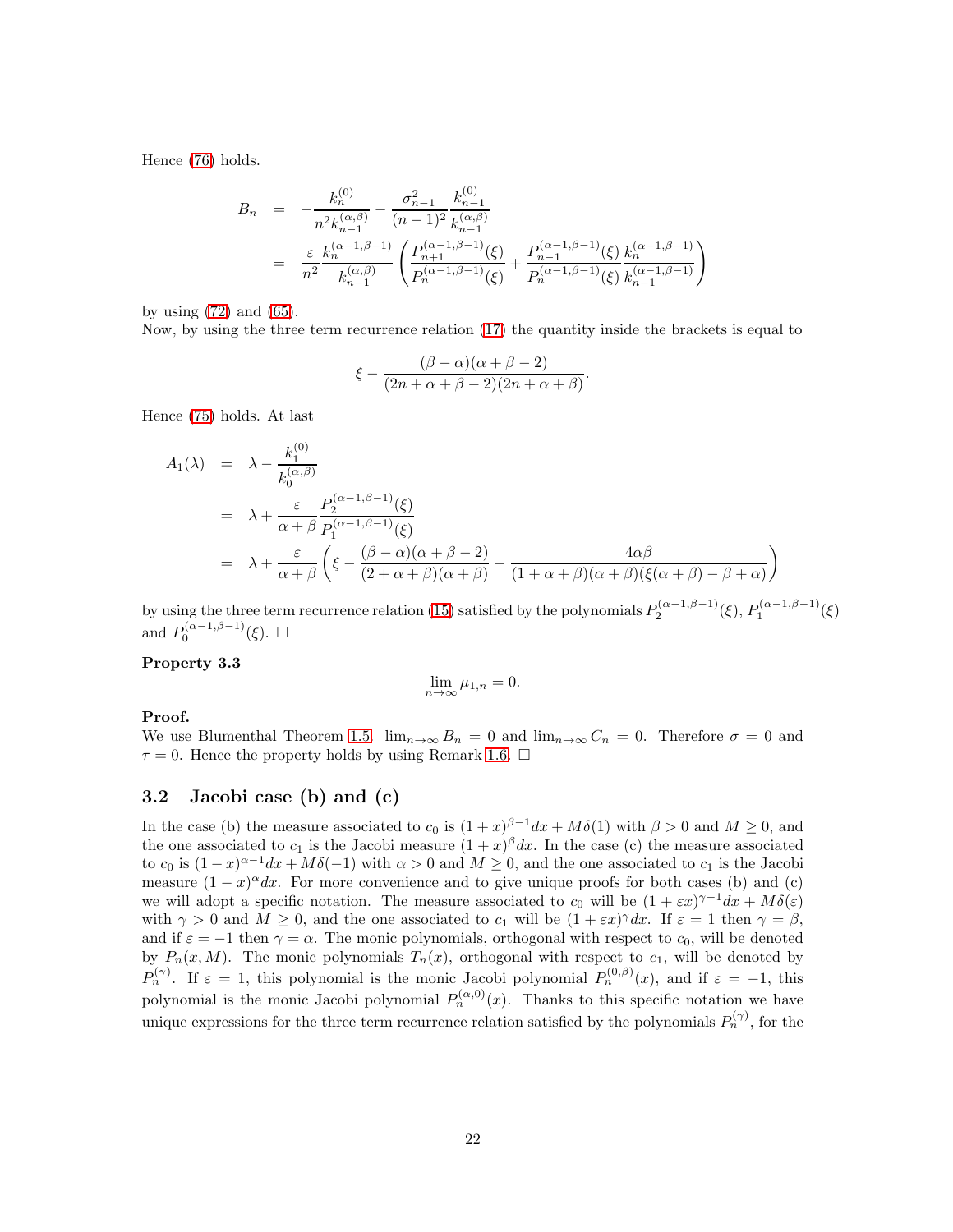Hence [\(76\)](#page-20-3) holds.

$$
B_n = -\frac{k_n^{(0)}}{n^2 k_{n-1}^{(\alpha,\beta)}} - \frac{\sigma_{n-1}^2}{(n-1)^2} \frac{k_{n-1}^{(0)}}{k_{n-1}^{(\alpha,\beta)}}
$$
  
= 
$$
\frac{\varepsilon}{n^2} \frac{k_n^{(\alpha-1,\beta-1)}}{k_{n-1}^{(\alpha,\beta)}} \left( \frac{P_{n+1}^{(\alpha-1,\beta-1)}(\xi)}{P_n^{(\alpha-1,\beta-1)}(\xi)} + \frac{P_{n-1}^{(\alpha-1,\beta-1)}(\xi)}{P_n^{(\alpha-1,\beta-1)}(\xi)} \frac{k_n^{(\alpha-1,\beta-1)}}{k_{n-1}^{(\alpha-1,\beta-1)}} \right)
$$

by using  $(72)$  and  $(65)$ .

Now, by using the three term recurrence relation [\(17\)](#page-6-3) the quantity inside the brackets is equal to

$$
\xi - \frac{(\beta - \alpha)(\alpha + \beta - 2)}{(2n + \alpha + \beta - 2)(2n + \alpha + \beta)}.
$$

Hence [\(75\)](#page-20-3) holds. At last

$$
A_1(\lambda) = \lambda - \frac{k_1^{(0)}}{k_0^{(\alpha,\beta)}}
$$
  
=  $\lambda + \frac{\varepsilon}{\alpha + \beta} \frac{P_2^{(\alpha-1,\beta-1)}(\xi)}{P_1^{(\alpha-1,\beta-1)}(\xi)}$   
=  $\lambda + \frac{\varepsilon}{\alpha + \beta} \left( \xi - \frac{(\beta - \alpha)(\alpha + \beta - 2)}{(2 + \alpha + \beta)(\alpha + \beta)} - \frac{4\alpha\beta}{(1 + \alpha + \beta)(\alpha + \beta)(\xi(\alpha + \beta) - \beta + \alpha)} \right)$ 

by using the three term recurrence relation [\(15\)](#page-6-4) satisfied by the polynomials  $P_2^{(\alpha-1,\beta-1)}(\xi), P_1^{(\alpha-1,\beta-1)}(\xi)$ and  $P_0^{(\alpha-1,\beta-1)}(\xi)$ .  $\Box$ 

### Property 3.3

$$
\lim_{n \to \infty} \mu_{1,n} = 0.
$$

### Proof.

We use Blumenthal Theorem [1.5.](#page-5-1)  $\lim_{n\to\infty} B_n = 0$  and  $\lim_{n\to\infty} C_n = 0$ . Therefore  $\sigma = 0$  and  $\tau = 0$ . Hence the property holds by using Remark [1.6.](#page-5-2)  $\Box$ 

### 3.2 Jacobi case (b) and (c)

In the case (b) the measure associated to  $c_0$  is  $(1+x)^{\beta-1}dx + M\delta(1)$  with  $\beta > 0$  and  $M \ge 0$ , and the one associated to  $c_1$  is the Jacobi measure  $(1+x)^{\beta} dx$ . In the case (c) the measure associated to  $c_0$  is  $(1-x)^{\alpha-1}dx + M\delta(-1)$  with  $\alpha > 0$  and  $M \ge 0$ , and the one associated to  $c_1$  is the Jacobi measure  $(1-x)^{\alpha}dx$ . For more convenience and to give unique proofs for both cases (b) and (c) we will adopt a specific notation. The measure associated to  $c_0$  will be  $(1 + \varepsilon x)^{\gamma - 1} dx + M \delta(\varepsilon)$ with  $\gamma > 0$  and  $M \geq 0$ , and the one associated to  $c_1$  will be  $(1 + \varepsilon x)^{\gamma} dx$ . If  $\varepsilon = 1$  then  $\gamma = \beta$ , and if  $\varepsilon = -1$  then  $\gamma = \alpha$ . The monic polynomials, orthogonal with respect to  $c_0$ , will be denoted by  $P_n(x, M)$ . The monic polynomials  $T_n(x)$ , orthogonal with respect to  $c_1$ , will be denoted by  $P_n^{(\gamma)}$ . If  $\varepsilon = 1$ , this polynomial is the monic Jacobi polynomial  $P_n^{(0,\beta)}(x)$ , and if  $\varepsilon = -1$ , this polynomial is the monic Jacobi polynomial  $P_n^{(\alpha,0)}(x)$ . Thanks to this specific notation we have unique expressions for the three term recurrence relation satisfied by the polynomials  $P_n^{(\gamma)}$ , for the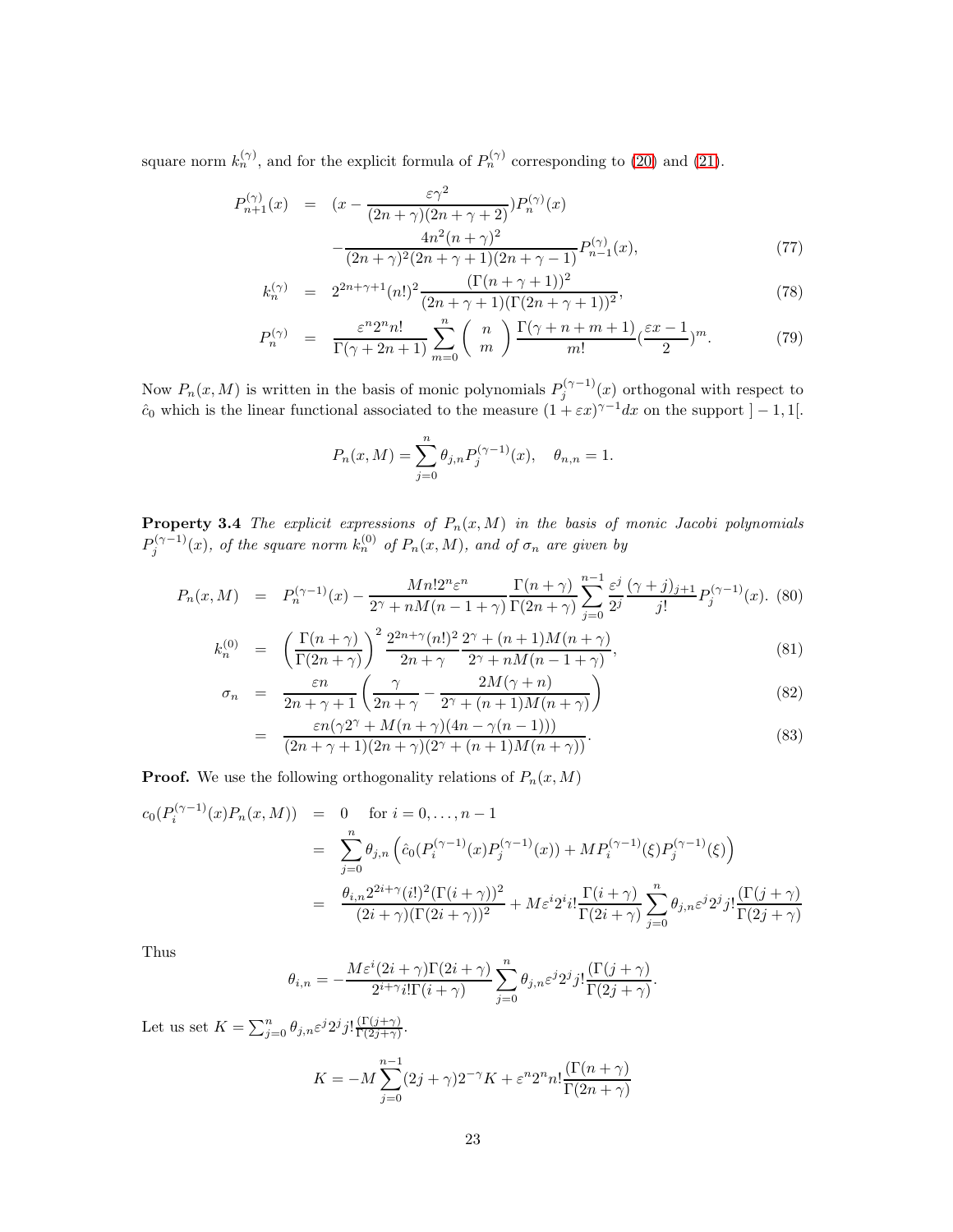square norm  $k_n^{(\gamma)}$ , and for the explicit formula of  $P_n^{(\gamma)}$  corresponding to [\(20\)](#page-6-5) and [\(21\)](#page-6-5).

<span id="page-22-1"></span>
$$
P_{n+1}^{(\gamma)}(x) = (x - \frac{\varepsilon \gamma^2}{(2n+\gamma)(2n+\gamma+2)}) P_n^{(\gamma)}(x)
$$

$$
-\frac{4n^2(n+\gamma)^2}{(2n+\gamma)^2(2n+\gamma+1)(2n+\gamma-1)} P_{n-1}^{(\gamma)}(x), \tag{77}
$$

$$
k_n^{(\gamma)} = 2^{2n+\gamma+1}(n!)^2 \frac{(\Gamma(n+\gamma+1))^2}{(2n+\gamma+1)(\Gamma(2n+\gamma+1))^2},
$$
\n(78)

$$
P_n^{(\gamma)} = \frac{\varepsilon^n 2^n n!}{\Gamma(\gamma + 2n + 1)} \sum_{m=0}^n \binom{n}{m} \frac{\Gamma(\gamma + n + m + 1)}{m!} (\frac{\varepsilon x - 1}{2})^m. \tag{79}
$$

Now  $P_n(x, M)$  is written in the basis of monic polynomials  $P_j^{(\gamma-1)}(x)$  orthogonal with respect to  $\hat{c}_0$  which is the linear functional associated to the measure  $(1 + \varepsilon x)^{\gamma - 1} dx$  on the support  $]-1,1[$ .

$$
P_n(x,M) = \sum_{j=0}^n \theta_{j,n} P_j^{(\gamma-1)}(x), \quad \theta_{n,n} = 1.
$$

**Property 3.4** The explicit expressions of  $P_n(x, M)$  in the basis of monic Jacobi polynomials  $P_j^{(\gamma-1)}(x),$  of the square norm  $k_n^{(0)}$  of  $P_n(x,M)$ , and of  $\sigma_n$  are given by

<span id="page-22-0"></span>
$$
P_n(x,M) = P_n^{(\gamma-1)}(x) - \frac{Mn!2^n \varepsilon^n}{2^{\gamma} + nM(n-1+\gamma)} \frac{\Gamma(n+\gamma)}{\Gamma(2n+\gamma)} \sum_{j=0}^{n-1} \frac{\varepsilon^j}{2^j} \frac{(\gamma+j)_{j+1}}{j!} P_j^{(\gamma-1)}(x). \tag{80}
$$

$$
k_n^{(0)} = \left(\frac{\Gamma(n+\gamma)}{\Gamma(2n+\gamma)}\right)^2 \frac{2^{2n+\gamma}(n!)^2}{2n+\gamma} \frac{2^{\gamma}+(n+1)M(n+\gamma)}{2^{\gamma}+nM(n-1+\gamma)},
$$
\n(81)

$$
\sigma_n = \frac{\varepsilon n}{2n + \gamma + 1} \left( \frac{\gamma}{2n + \gamma} - \frac{2M(\gamma + n)}{2\gamma + (n + 1)M(n + \gamma)} \right)
$$
(82)

$$
= \frac{\varepsilon n(\gamma 2^{\gamma} + M(n+\gamma)(4n-\gamma(n-1)))}{(2n+\gamma+1)(2n+\gamma)(2^{\gamma} + (n+1)M(n+\gamma))}.
$$
\n(83)

**Proof.** We use the following orthogonality relations of  $P_n(x, M)$ 

$$
c_0(P_i^{(\gamma-1)}(x)P_n(x,M)) = 0 \text{ for } i = 0, ..., n-1
$$
  
= 
$$
\sum_{j=0}^n \theta_{j,n} \left( \hat{c}_0(P_i^{(\gamma-1)}(x)P_j^{(\gamma-1)}(x)) + MP_i^{(\gamma-1)}(\xi)P_j^{(\gamma-1)}(\xi) \right)
$$
  
= 
$$
\frac{\theta_{i,n} 2^{2i+\gamma} (i!)^2 (\Gamma(i+\gamma))^2}{(2i+\gamma)(\Gamma(2i+\gamma))^2} + Me^{i2i}i! \frac{\Gamma(i+\gamma)}{\Gamma(2i+\gamma)} \sum_{j=0}^n \theta_{j,n} \varepsilon^j 2^j j! \frac{(\Gamma(j+\gamma))^2}{\Gamma(2j+\gamma)}
$$

Thus

$$
\theta_{i,n}=-\frac{M\varepsilon^i(2i+\gamma)\Gamma(2i+\gamma)}{2^{i+\gamma}i!\Gamma(i+\gamma)}\sum_{j=0}^n\theta_{j,n}\varepsilon^j2^jj!\frac{(\Gamma(j+\gamma)}{\Gamma(2j+\gamma)}.
$$

Let us set  $K = \sum_{j=0}^n \theta_{j,n} \varepsilon^j 2^j j! \frac{\Gamma(j+\gamma)}{\Gamma(2j+\gamma)}$  $\frac{(1 (j + \gamma)}{\Gamma(2j + \gamma)}$ .

$$
K = -M \sum_{j=0}^{n-1} (2j+\gamma)2^{-\gamma} K + \varepsilon^n 2^n n! \frac{(\Gamma(n+\gamma))}{\Gamma(2n+\gamma)}
$$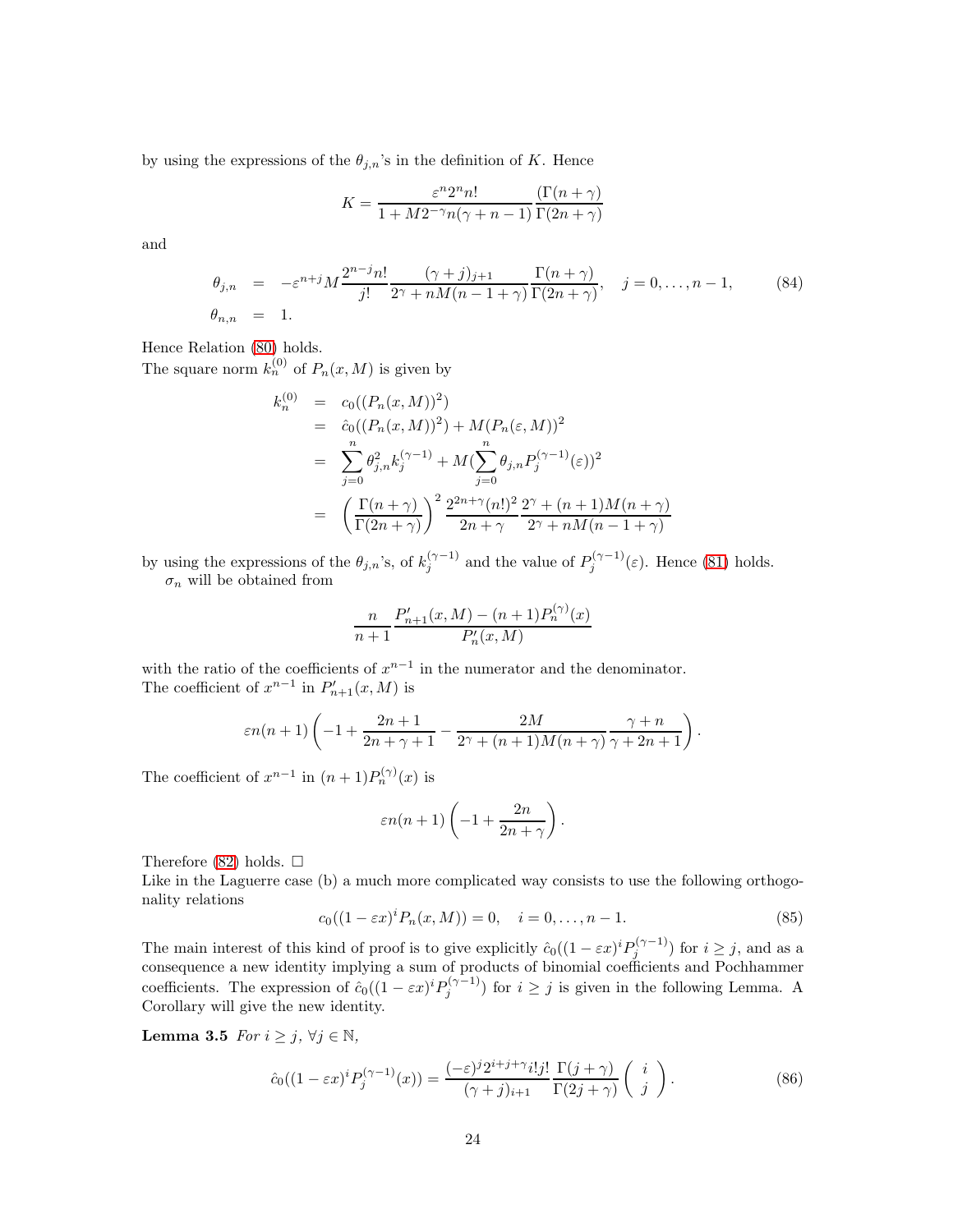by using the expressions of the  $\theta_{j,n}$ 's in the definition of K. Hence

$$
K=\frac{\varepsilon^n2^nn!}{1+M2^{-\gamma}n(\gamma+n-1)}\frac{\left(\Gamma(n+\gamma)\right)}{\Gamma(2n+\gamma)}
$$

and

$$
\theta_{j,n} = -\varepsilon^{n+j} M \frac{2^{n-j} n!}{j!} \frac{(\gamma+j)_{j+1}}{2^{\gamma} + nM(n-1+\gamma)} \frac{\Gamma(n+\gamma)}{\Gamma(2n+\gamma)}, \quad j = 0, \dots, n-1,
$$
\n(84)

Hence Relation [\(80\)](#page-22-0) holds.

The square norm  $k_n^{(0)}$  of  $P_n(x,M)$  is given by

$$
k_n^{(0)} = c_0((P_n(x, M))^2)
$$
  
=  $\hat{c}_0((P_n(x, M))^2) + M(P_n(\varepsilon, M))^2$   
=  $\sum_{j=0}^n \theta_{j,n}^2 k_j^{(\gamma - 1)} + M(\sum_{j=0}^n \theta_{j,n} P_j^{(\gamma - 1)}(\varepsilon))^2$   
=  $\left(\frac{\Gamma(n + \gamma)}{\Gamma(2n + \gamma)}\right)^2 \frac{2^{2n + \gamma}(n!)^2}{2n + \gamma} \frac{2^{\gamma} + (n + 1)M(n + \gamma)}{2\gamma + nM(n - 1 + \gamma)}$ 

by using the expressions of the  $\theta_{j,n}$ 's, of  $k_j^{(\gamma-1)}$  and the value of  $P_j^{(\gamma-1)}(\varepsilon)$ . Hence [\(81\)](#page-22-0) holds.  $\sigma_n$  will be obtained from

$$
\frac{n}{n+1} \frac{P'_{n+1}(x,M) - (n+1)P_n^{(\gamma)}(x)}{P'_n(x,M)}
$$

with the ratio of the coefficients of  $x^{n-1}$  in the numerator and the denominator. The coefficient of  $x^{n-1}$  in  $P'_{n+1}(x, M)$  is

$$
\varepsilon n(n+1)\left(-1+\frac{2n+1}{2n+\gamma+1}-\frac{2M}{2^{\gamma}+(n+1)M(n+\gamma)}\frac{\gamma+n}{\gamma+2n+1}\right).
$$

The coefficient of  $x^{n-1}$  in  $(n+1)P_n^{(\gamma)}(x)$  is

$$
\varepsilon n(n+1)\left(-1+\frac{2n}{2n+\gamma}\right).
$$

Therefore [\(82\)](#page-22-0) holds.  $\square$ 

Like in the Laguerre case (b) a much more complicated way consists to use the following orthogonality relations

<span id="page-23-1"></span>
$$
c_0((1 - \varepsilon x)^i P_n(x, M)) = 0, \quad i = 0, \dots, n - 1.
$$
 (85)

The main interest of this kind of proof is to give explicitly  $\hat{c}_0((1-\varepsilon x)^i P_j^{(\gamma-1)})$  for  $i \geq j$ , and as a consequence a new identity implying a sum of products of binomial coefficients and Pochhammer coefficients. The expression of  $\hat{c}_0((1 - \varepsilon x)^i P_j^{(\gamma - 1)})$  for  $i \geq j$  is given in the following Lemma. A Corollary will give the new identity.

Lemma 3.5  $For i \geq j, \forall j \in \mathbb{N}$ ,

<span id="page-23-0"></span>
$$
\hat{c}_0((1-\varepsilon x)^i P_j^{(\gamma-1)}(x)) = \frac{(-\varepsilon)^j 2^{i+j+\gamma} i! j!}{(\gamma+j)_{i+1}} \frac{\Gamma(j+\gamma)}{\Gamma(2j+\gamma)} \begin{pmatrix} i \\ j \end{pmatrix}.
$$
 (86)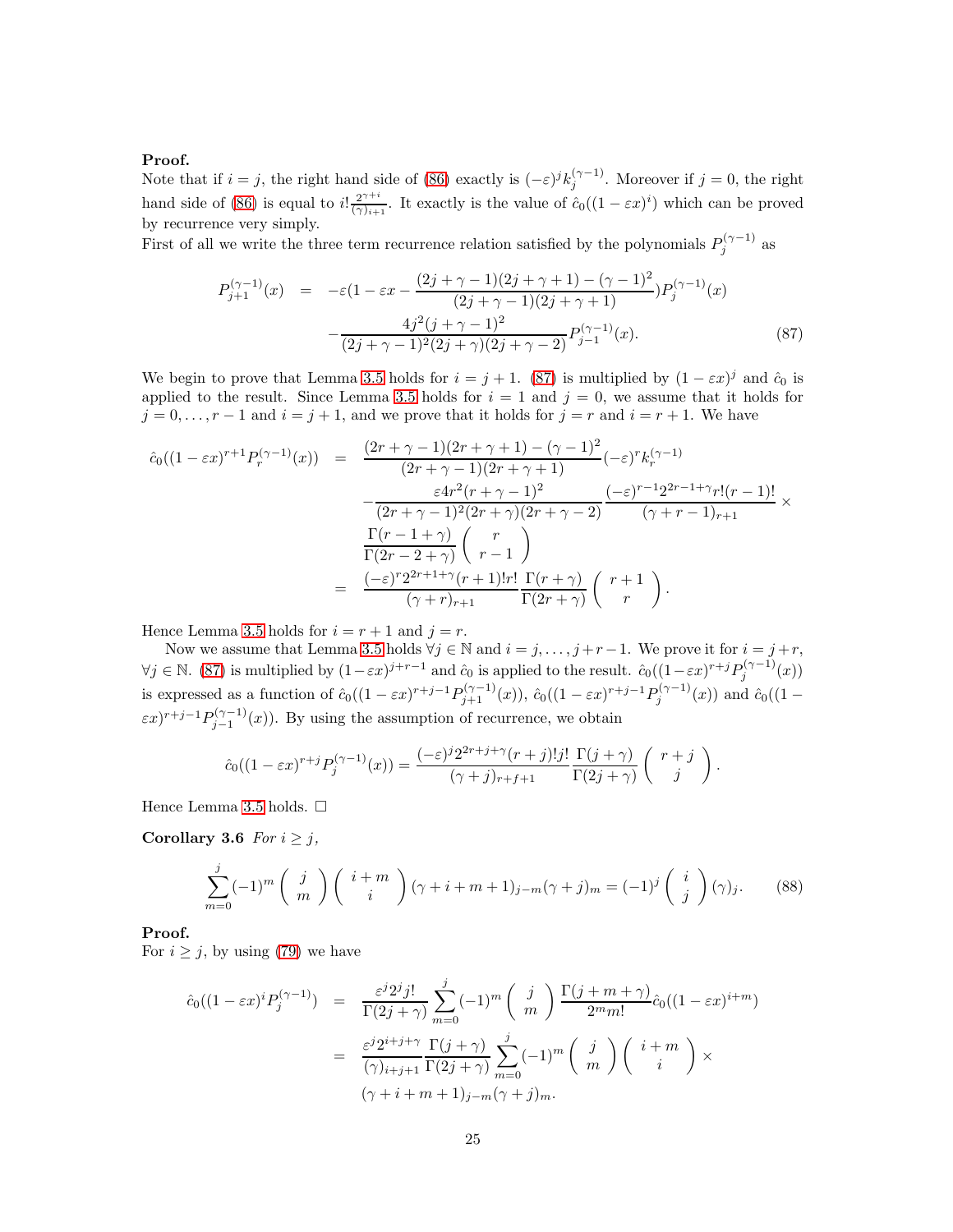#### Proof.

Note that if  $i = j$ , the right hand side of [\(86\)](#page-23-0) exactly is  $(-\varepsilon)^j k_j^{(\gamma - 1)}$ . Moreover if  $j = 0$ , the right hand side of [\(86\)](#page-23-0) is equal to  $i! \frac{2^{\gamma+i}}{(\gamma+i)}$  $\frac{2^{\gamma+i}}{(\gamma)_{i+1}}$ . It exactly is the value of  $\hat{c}_0((1-\varepsilon x)^i)$  which can be proved by recurrence very simply.

First of all we write the three term recurrence relation satisfied by the polynomials  $P_j^{(\gamma-1)}$  as

<span id="page-24-0"></span>
$$
P_{j+1}^{(\gamma-1)}(x) = -\varepsilon (1 - \varepsilon x - \frac{(2j + \gamma - 1)(2j + \gamma + 1) - (\gamma - 1)^2}{(2j + \gamma - 1)(2j + \gamma + 1)}) P_j^{(\gamma-1)}(x)
$$

$$
- \frac{4j^2(j + \gamma - 1)^2}{(2j + \gamma - 1)^2(2j + \gamma)(2j + \gamma - 2)} P_{j-1}^{(\gamma-1)}(x).
$$
(87)

We begin to prove that Lemma [3.5](#page-23-1) holds for  $i = j + 1$ . [\(87\)](#page-24-0) is multiplied by  $(1 - \varepsilon x)^j$  and  $\hat{c}_0$  is applied to the result. Since Lemma [3.5](#page-23-1) holds for  $i = 1$  and  $j = 0$ , we assume that it holds for  $j = 0, \ldots, r - 1$  and  $i = j + 1$ , and we prove that it holds for  $j = r$  and  $i = r + 1$ . We have

$$
\hat{c}_0((1-\varepsilon x)^{r+1}P_r^{(\gamma-1)}(x)) = \frac{(2r+\gamma-1)(2r+\gamma+1) - (\gamma-1)^2}{(2r+\gamma-1)(2r+\gamma+1)}(-\varepsilon)^r k_r^{(\gamma-1)} \n- \frac{\varepsilon 4r^2(r+\gamma-1)^2}{(2r+\gamma-1)^2(2r+\gamma)(2r+\gamma-2)} \frac{(-\varepsilon)^{r-1}2^{2r-1+\gamma}r!(r-1)!}{(\gamma+r-1)_{r+1}} \times \n\frac{\Gamma(r-1+\gamma)}{\Gamma(2r-2+\gamma)}\left(\begin{array}{c} r \\ r-1 \end{array}\right) \n= \frac{(-\varepsilon)^r 2^{2r+1+\gamma}(r+1)!r!}{(\gamma+r)_{r+1}} \frac{\Gamma(r+\gamma)}{\Gamma(2r+\gamma)}\left(\begin{array}{c} r+1 \\ r \end{array}\right).
$$

Hence Lemma [3.5](#page-23-1) holds for  $i = r + 1$  and  $j = r$ .

Now we assume that Lemma [3.5](#page-23-1) holds  $\forall j \in \mathbb{N}$  and  $i = j, \ldots, j + r - 1$ . We prove it for  $i = j + r$ ,  $\forall j \in \mathbb{N}$ . [\(87\)](#page-24-0) is multiplied by  $(1 - \varepsilon x)^{j+r-1}$  and  $\hat{c}_0$  is applied to the result.  $\hat{c}_0((1 - \varepsilon x)^{r+j}P_j^{(\gamma-1)}(x))$ is expressed as a function of  $\hat{c}_0((1-\varepsilon x)^{r+j-1}P_{j+1}^{(\gamma-1)}(x))$ ,  $\hat{c}_0((1-\varepsilon x)^{r+j-1}P_j^{(\gamma-1)}(x))$  and  $\hat{c}_0((1-\varepsilon x)^{r+j-1}P_j^{(\gamma-1)}(x))$  $(\varepsilon x)^{r+j-1} P_{j-1}^{(\gamma-1)}(x)$ . By using the assumption of recurrence, we obtain

$$
\hat{c}_0((1-\varepsilon x)^{r+j}P_j^{(\gamma-1)}(x)) = \frac{(-\varepsilon)^j 2^{2r+j+\gamma}(r+j)!j!}{(\gamma+j)_{r+f+1}} \frac{\Gamma(j+\gamma)}{\Gamma(2j+\gamma)} \left( \begin{array}{c} r+j \\ j \end{array} \right).
$$

Hence Lemma [3.5](#page-23-1) holds.  $\square$ 

Corollary 3.6 For  $i \geq j$ ,

<span id="page-24-1"></span>
$$
\sum_{m=0}^{j} (-1)^m \binom{j}{m} \binom{i+m}{i} (\gamma + i + m + 1)_{j-m} (\gamma + j)_m = (-1)^j \binom{i}{j} (\gamma)_j. \tag{88}
$$

### Proof.

For  $i \geq j$ , by using [\(79\)](#page-22-1) we have

$$
\hat{c}_0((1-\varepsilon x)^i P_j^{(\gamma-1)}) = \frac{\varepsilon^j 2^j j!}{\Gamma(2j+\gamma)} \sum_{m=0}^j (-1)^m \left(\begin{array}{c}j\\m\end{array}\right) \frac{\Gamma(j+m+\gamma)}{2^m m!} \hat{c}_0((1-\varepsilon x)^{i+m})
$$

$$
= \frac{\varepsilon^j 2^{i+j+\gamma}}{(\gamma)_{i+j+1}} \frac{\Gamma(j+\gamma)}{\Gamma(2j+\gamma)} \sum_{m=0}^j (-1)^m \left(\begin{array}{c}j\\m\end{array}\right) \left(\begin{array}{c}i+m\\i\end{array}\right) \times
$$

$$
(\gamma+i+m+1)_{j-m}(\gamma+j)_m.
$$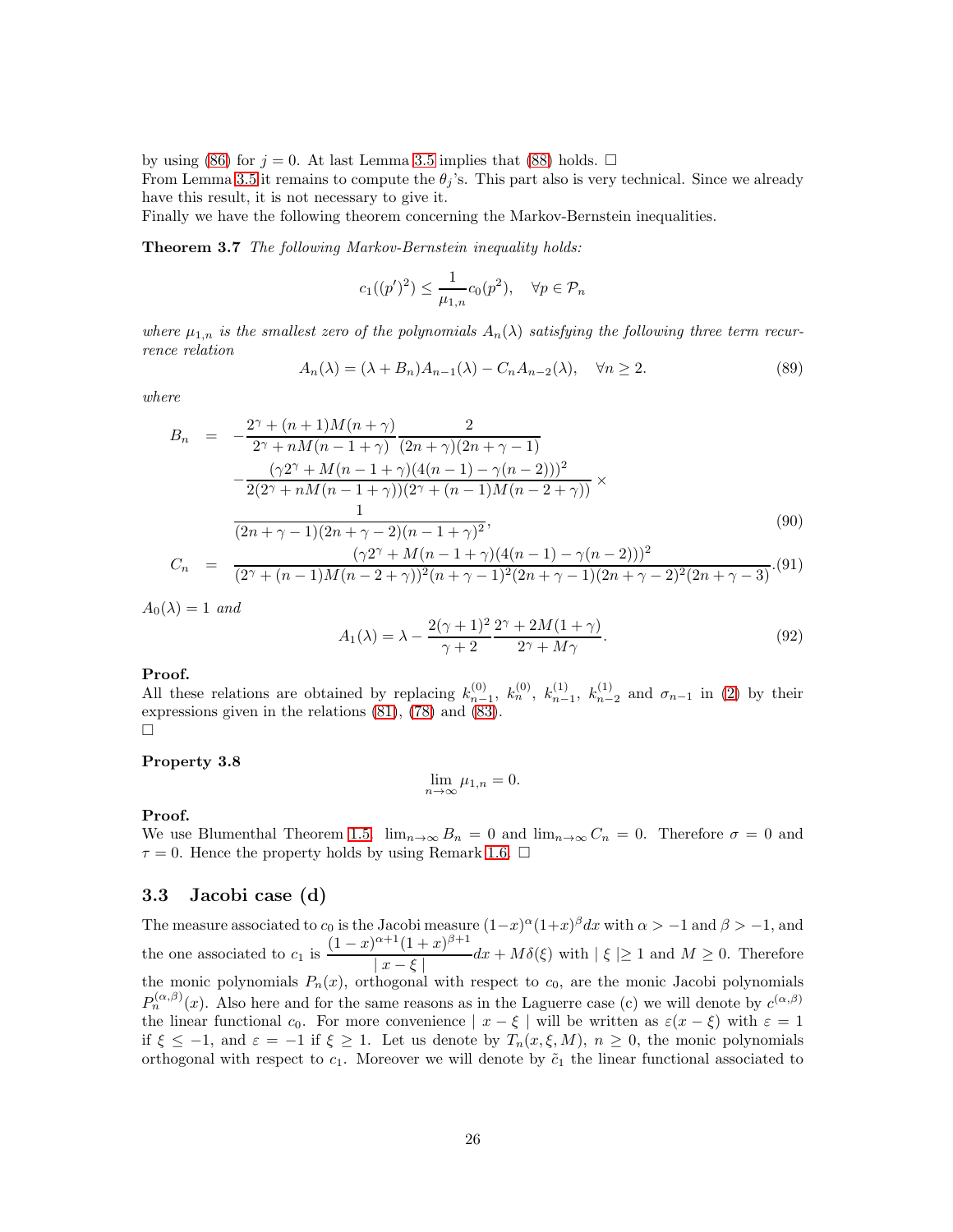by using [\(86\)](#page-23-0) for  $j = 0$ . At last Lemma [3.5](#page-23-1) implies that [\(88\)](#page-24-1) holds.  $\Box$ 

From Lemma [3.5](#page-23-1) it remains to compute the  $\theta_i$ 's. This part also is very technical. Since we already have this result, it is not necessary to give it.

Finally we have the following theorem concerning the Markov-Bernstein inequalities.

Theorem 3.7 The following Markov-Bernstein inequality holds:

$$
c_1((p')^2) \le \frac{1}{\mu_{1,n}} c_0(p^2), \quad \forall p \in \mathcal{P}_n
$$

where  $\mu_{1,n}$  is the smallest zero of the polynomials  $A_n(\lambda)$  satisfying the following three term recurrence relation

$$
A_n(\lambda) = (\lambda + B_n)A_{n-1}(\lambda) - C_n A_{n-2}(\lambda), \quad \forall n \ge 2.
$$
 (89)

where

$$
B_n = -\frac{2^{\gamma} + (n+1)M(n+\gamma)}{2^{\gamma} + nM(n-1+\gamma)} \frac{2}{(2n+\gamma)(2n+\gamma-1)}
$$
  
 
$$
-\frac{(\gamma 2^{\gamma} + M(n-1+\gamma)(4(n-1) - \gamma(n-2)))^{2}}{2(2^{\gamma} + nM(n-1+\gamma))(2^{\gamma} + (n-1)M(n-2+\gamma))} \times \frac{1}{(2n+\gamma-1)(2n+\gamma-2)(n-1+\gamma)^{2}},
$$
\n(90)

$$
C_n = \frac{(\gamma 2^{\gamma} + M(n-1+\gamma)(4(n-1)-\gamma(n-2)))^2}{(2^{\gamma} + (n-1)M(n-2+\gamma))^2(n+\gamma-1)^2(2n+\gamma-1)(2n+\gamma-2)^2(2n+\gamma-3)}.
$$
(91)

 $A_0(\lambda) = 1$  and

$$
A_1(\lambda) = \lambda - \frac{2(\gamma + 1)^2}{\gamma + 2} \frac{2^{\gamma} + 2M(1 + \gamma)}{2^{\gamma} + M\gamma}.
$$
\n(92)

#### Proof.

All these relations are obtained by replacing  $k_{n-1}^{(0)}$ ,  $k_n^{(0)}$ ,  $k_{n-1}^{(1)}$ ,  $k_{n-2}^{(1)}$  and  $\sigma_{n-1}$  in [\(2\)](#page-3-1) by their expressions given in the relations [\(81\)](#page-22-0), [\(78\)](#page-22-1) and [\(83\)](#page-22-0).  $\Box$ 

#### Property 3.8

$$
\lim_{n \to \infty} \mu_{1,n} = 0.
$$

#### Proof.

We use Blumenthal Theorem [1.5.](#page-5-1)  $\lim_{n\to\infty} B_n = 0$  and  $\lim_{n\to\infty} C_n = 0$ . Therefore  $\sigma = 0$  and  $\tau = 0$ . Hence the property holds by using Remark [1.6.](#page-5-2)  $\Box$ 

### 3.3 Jacobi case (d)

The measure associated to  $c_0$  is the Jacobi measure  $(1-x)^\alpha (1+x)^\beta dx$  with  $\alpha > -1$  and  $\beta > -1$ , and the one associated to  $c_1$  is  $\frac{(1-x)^{\alpha+1}(1+x)^{\beta+1}}{\alpha+1}$  $\frac{(1+x)}{|x-\xi|}dx + M\delta(\xi)$  with  $|\xi| \ge 1$  and  $M \ge 0$ . Therefore the monic polynomials  $P_n(x)$ , orthogonal with respect to  $c_0$ , are the monic Jacobi polynomials  $P_n^{(\alpha,\beta)}(x)$ . Also here and for the same reasons as in the Laguerre case (c) we will denote by  $c^{(\alpha,\beta)}$ the linear functional  $c_0$ . For more convenience  $|x-\xi|$  will be written as  $\varepsilon(x-\xi)$  with  $\varepsilon=1$ if  $\xi \le -1$ , and  $\varepsilon = -1$  if  $\xi \ge 1$ . Let us denote by  $T_n(x, \xi, M)$ ,  $n \ge 0$ , the monic polynomials orthogonal with respect to  $c_1$ . Moreover we will denote by  $\tilde{c}_1$  the linear functional associated to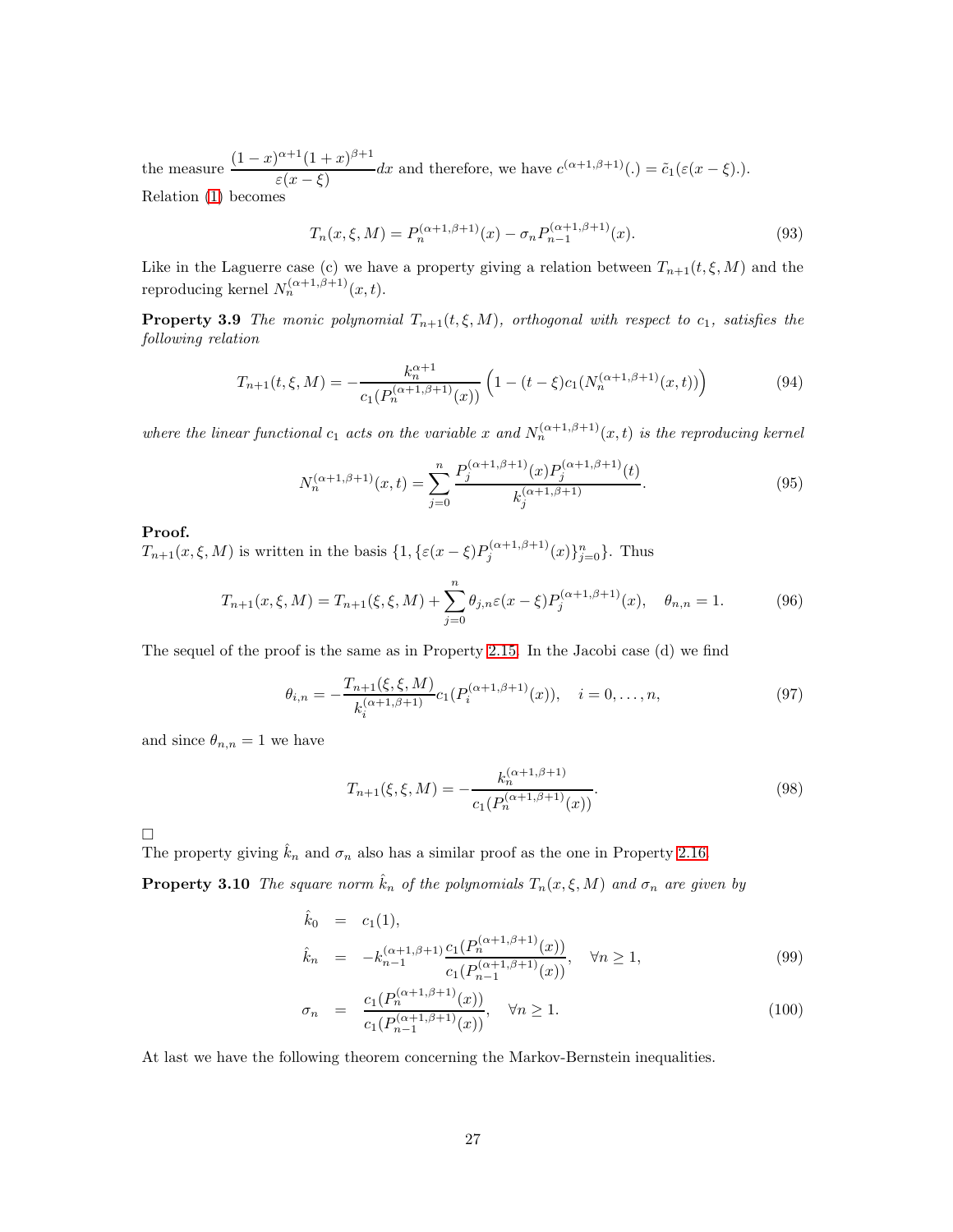the measure  $\frac{(1-x)^{\alpha+1}(1+x)^{\beta+1}}{(x-x)^{\beta+1}}$  $\frac{(1+x)}{\varepsilon(x-\xi)}dx$  and therefore, we have  $c^{(\alpha+1,\beta+1)}(.) = \tilde{c}_1(\varepsilon(x-\xi)).$ Relation [\(1\)](#page-1-0) becomes

$$
T_n(x,\xi,M) = P_n^{(\alpha+1,\beta+1)}(x) - \sigma_n P_{n-1}^{(\alpha+1,\beta+1)}(x). \tag{93}
$$

Like in the Laguerre case (c) we have a property giving a relation between  $T_{n+1}(t, \xi, M)$  and the reproducing kernel  $N_n^{(\alpha+1,\beta+1)}(x,t)$ .

**Property 3.9** The monic polynomial  $T_{n+1}(t, \xi, M)$ , orthogonal with respect to  $c_1$ , satisfies the following relation

$$
T_{n+1}(t,\xi,M) = -\frac{k_n^{\alpha+1}}{c_1(P_n^{(\alpha+1,\beta+1)}(x))} \left(1 - (t-\xi)c_1(N_n^{(\alpha+1,\beta+1)}(x,t))\right) \tag{94}
$$

where the linear functional  $c_1$  acts on the variable x and  $N_n^{(\alpha+1,\beta+1)}(x,t)$  is the reproducing kernel

$$
N_n^{(\alpha+1,\beta+1)}(x,t) = \sum_{j=0}^n \frac{P_j^{(\alpha+1,\beta+1)}(x)P_j^{(\alpha+1,\beta+1)}(t)}{k_j^{(\alpha+1,\beta+1)}}.
$$
\n(95)

### Proof.

 $T_{n+1}(x,\xi,M)$  is written in the basis  $\{1,\{\varepsilon(x-\xi)P_j^{(\alpha+1,\beta+1)}(x)\}_{j=0}^n\}$ . Thus

$$
T_{n+1}(x,\xi,M) = T_{n+1}(\xi,\xi,M) + \sum_{j=0}^{n} \theta_{j,n} \varepsilon(x-\xi) P_j^{(\alpha+1,\beta+1)}(x), \quad \theta_{n,n} = 1.
$$
 (96)

The sequel of the proof is the same as in Property [2.15.](#page-15-4) In the Jacobi case (d) we find

$$
\theta_{i,n} = -\frac{T_{n+1}(\xi, \xi, M)}{k_i^{(\alpha+1, \beta+1)}} c_1(P_i^{(\alpha+1, \beta+1)}(x)), \quad i = 0, \dots, n,
$$
\n(97)

and since  $\theta_{n,n} = 1$  we have

$$
T_{n+1}(\xi, \xi, M) = -\frac{k_n^{(\alpha+1,\beta+1)}}{c_1(P_n^{(\alpha+1,\beta+1)}(x))}.
$$
\n(98)

 $\Box$ 

The property giving  $\hat{k}_n$  and  $\sigma_n$  also has a similar proof as the one in Property [2.16.](#page-15-5)

**Property 3.10** The square norm  $\hat{k}_n$  of the polynomials  $T_n(x, \xi, M)$  and  $\sigma_n$  are given by

<span id="page-26-0"></span>
$$
\hat{k}_0 = c_1(1), \n\hat{k}_n = -k_{n-1}^{(\alpha+1,\beta+1)} \frac{c_1(P_n^{(\alpha+1,\beta+1)}(x))}{c_1(P_{n-1}^{(\alpha+1,\beta+1)}(x))}, \quad \forall n \ge 1,
$$
\n(99)

<span id="page-26-1"></span>
$$
\sigma_n = \frac{c_1(P_n^{(\alpha+1,\beta+1)}(x))}{c_1(P_{n-1}^{(\alpha+1,\beta+1)}(x))}, \quad \forall n \ge 1.
$$
\n(100)

At last we have the following theorem concerning the Markov-Bernstein inequalities.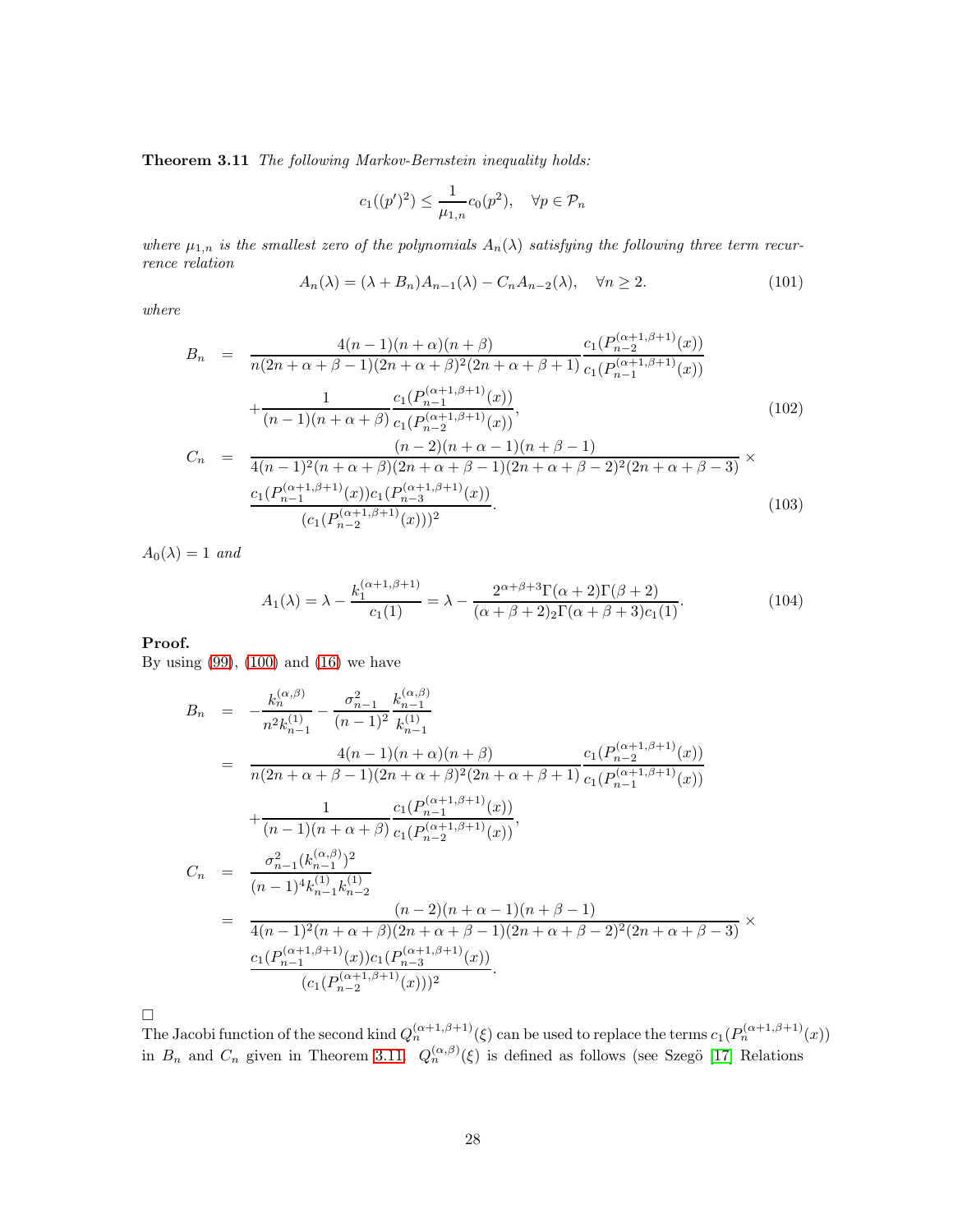Theorem 3.11 The following Markov-Bernstein inequality holds:

$$
c_1((p')^2) \le \frac{1}{\mu_{1,n}} c_0(p^2), \quad \forall p \in \mathcal{P}_n
$$

where  $\mu_{1,n}$  is the smallest zero of the polynomials  $A_n(\lambda)$  satisfying the following three term recurrence relation

$$
A_n(\lambda) = (\lambda + B_n)A_{n-1}(\lambda) - C_n A_{n-2}(\lambda), \quad \forall n \ge 2.
$$
 (101)

where

$$
B_n = \frac{4(n-1)(n+\alpha)(n+\beta)}{n(2n+\alpha+\beta-1)(2n+\alpha+\beta)^2(2n+\alpha+\beta+1)} \frac{c_1(P_{n-2}^{(\alpha+1,\beta+1)}(x))}{c_1(P_{n-1}^{(\alpha+1,\beta+1)}(x))} + \frac{1}{(n-1)(n+\alpha+\beta)} \frac{c_1(P_{n-1}^{(\alpha+1,\beta+1)}(x))}{c_1(P_{n-2}^{(\alpha+1,\beta+1)}(x))},
$$
(102)  

$$
C_n = \frac{(n-2)(n+\alpha-1)(n+\beta-1)}{4(n-1)^2(n+\alpha+\beta)(2n+\alpha+\beta-1)(2n+\alpha+\beta-2)^2(2n+\alpha+\beta-3)} \times c_1(P_{n-1}^{(\alpha+1,\beta+1)}(x))c_1(P_{n-3}^{(\alpha+1,\beta+1)}(x))
$$
(102)

 $n-1$  (*λ*)  $\binom{n}{1}$   $\binom{n-3}{n-3}$  $(c_1(P_{n-2}^{(\alpha+1,\beta+1)}(x)))^2$ .  $(103)$ 

 $A_0(\lambda) = 1$  and

$$
A_1(\lambda) = \lambda - \frac{k_1^{(\alpha+1,\beta+1)}}{c_1(1)} = \lambda - \frac{2^{\alpha+\beta+3}\Gamma(\alpha+2)\Gamma(\beta+2)}{(\alpha+\beta+2)_{2}\Gamma(\alpha+\beta+3)c_1(1)}.
$$
 (104)

### Proof.

By using  $(99)$ ,  $(100)$  and  $(16)$  we have

$$
B_n = -\frac{k_n^{(\alpha,\beta)}}{n^2 k_{n-1}^{(1)}} - \frac{\sigma_{n-1}^2}{(n-1)^2} \frac{k_{n-1}^{(\alpha,\beta)}}{k_{n-1}^{(1)}}
$$
  
\n
$$
= \frac{4(n-1)(n+\alpha)(n+\beta)}{n(2n+\alpha+\beta-1)(2n+\alpha+\beta)^2(2n+\alpha+\beta+1)} \frac{c_1(P_{n-2}^{(\alpha+1,\beta+1)}(x))}{c_1(P_{n-1}^{(\alpha+1,\beta+1)}(x))}
$$
  
\n+ 
$$
\frac{1}{(n-1)(n+\alpha+\beta)} \frac{c_1(P_{n-1}^{(\alpha+1,\beta+1)}(x))}{c_1(P_{n-2}^{(\alpha+1,\beta+1)}(x))},
$$
  
\n
$$
C_n = \frac{\sigma_{n-1}^2(k_{n-1}^{(\alpha,\beta)})^2}{(n-1)^4 k_{n-1}^{(1)} k_{n-2}^{(1)}}
$$
  
\n= 
$$
\frac{(n-2)(n+\alpha-1)(n+\beta-1)}{4(n-1)^2(n+\alpha+\beta)(2n+\alpha+\beta-1)(2n+\alpha+\beta-2)^2(2n+\alpha+\beta-3)} \times \frac{c_1(P_{n-1}^{(\alpha+1,\beta+1)}(x))c_1(P_{n-3}^{(\alpha+1,\beta+1)}(x))}{(c_1(P_{n-2}^{(\alpha+1,\beta+1)}(x)))^2}.
$$

 $\Box$ 

The Jacobi function of the second kind  $Q_n^{(\alpha+1,\beta+1)}(\xi)$  can be used to replace the terms  $c_1(P_n^{(\alpha+1,\beta+1)}(x))$ in  $B_n$  and  $C_n$  given in Theorem [3.11.](#page-26-1)  $Q_n^{(\alpha,\beta)}(\xi)$  is defined as follows (see Szegö [\[17\]](#page-31-1) Relations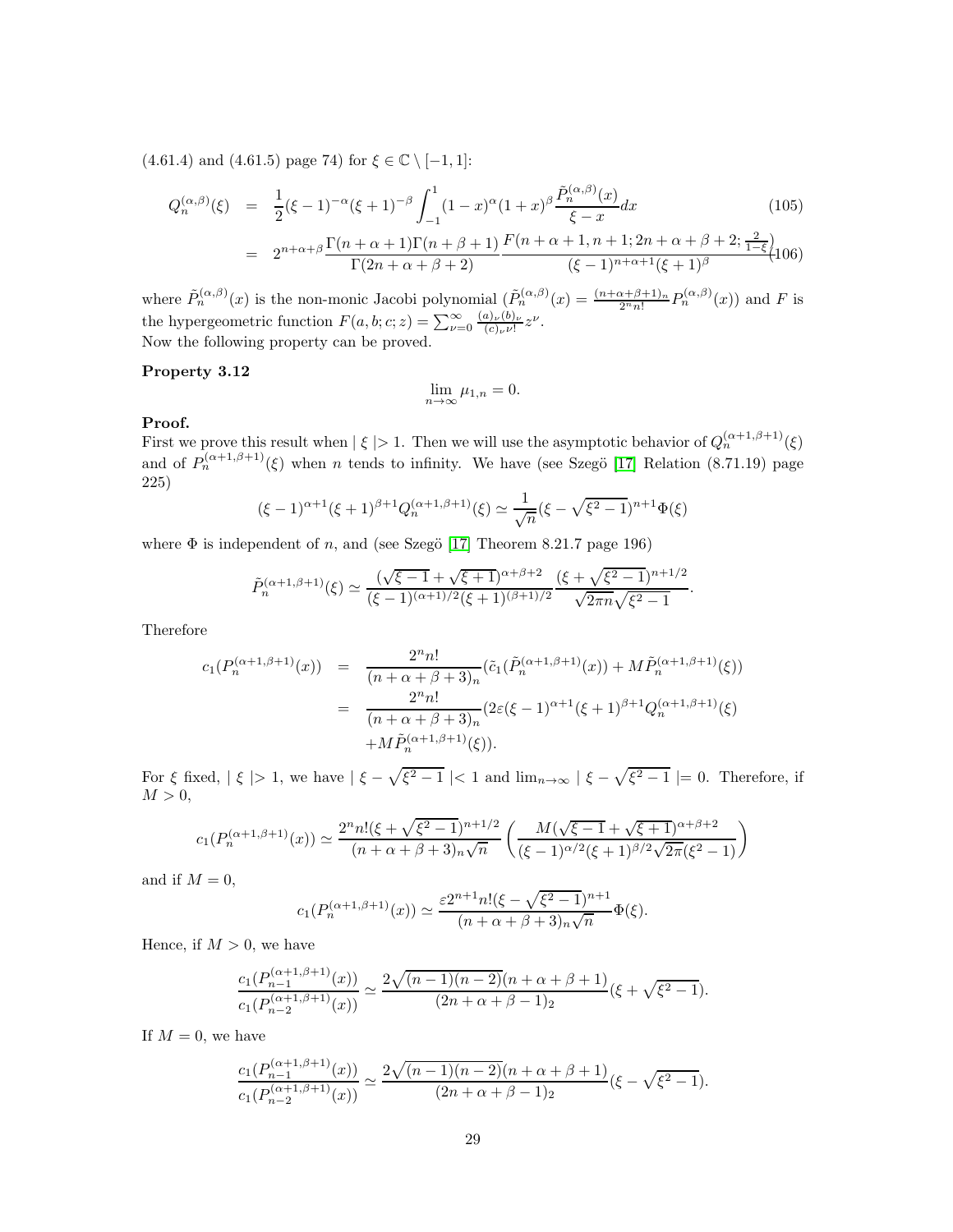(4.61.4) and (4.61.5) page 74) for  $\xi \in \mathbb{C} \setminus [-1, 1]$ :

$$
Q_n^{(\alpha,\beta)}(\xi) = \frac{1}{2}(\xi - 1)^{-\alpha}(\xi + 1)^{-\beta} \int_{-1}^1 (1 - x)^{\alpha} (1 + x)^{\beta} \frac{\tilde{P}_n^{(\alpha,\beta)}(x)}{\xi - x} dx
$$
(105)  
= 
$$
2^{n + \alpha + \beta} \frac{\Gamma(n + \alpha + 1)\Gamma(n + \beta + 1)}{\Gamma(2n + \alpha + \beta + 2)} \frac{F(n + \alpha + 1, n + 1; 2n + \alpha + \beta + 2; \frac{2}{1 - \xi})}{(\xi - 1)^{n + \alpha + 1}(\xi + 1)^{\beta}} (106)
$$

where  $\tilde{P}_n^{(\alpha,\beta)}(x)$  is the non-monic Jacobi polynomial  $(\tilde{P}_n^{(\alpha,\beta)}(x)) = \frac{(n+\alpha+\beta+1)_n}{2^n n!} P_n^{(\alpha,\beta)}(x)$  and F is the hypergeometric function  $F(a, b; c; z) = \sum_{\nu=0}^{\infty} \frac{(a)_{\nu}(b)_{\nu}}{(c)_{\nu} \nu!}$  $\frac{(a)_{\nu}(b)_{\nu}}{(c)_{\nu}\nu!}z^{\nu}.$ Now the following property can be proved.

### Property 3.12

$$
\lim_{n\to\infty}\mu_{1,n}=0.
$$

### Proof.

First we prove this result when  $|\xi| > 1$ . Then we will use the asymptotic behavior of  $Q_n^{(\alpha+1,\beta+1)}(\xi)$ and of  $P_n^{(\alpha+1,\beta+1)}(\xi)$  when n tends to infinity. We have (see Szegö [\[17\]](#page-31-1) Relation (8.71.19) page 225)

$$
(\xi - 1)^{\alpha + 1} (\xi + 1)^{\beta + 1} Q_n^{(\alpha + 1, \beta + 1)}(\xi) \simeq \frac{1}{\sqrt{n}} (\xi - \sqrt{\xi^2 - 1})^{n+1} \Phi(\xi)
$$

where  $\Phi$  is independent of n, and (see Szegö [\[17\]](#page-31-1) Theorem 8.21.7 page 196)

$$
\tilde{P}_n^{(\alpha+1,\beta+1)}(\xi) \simeq \frac{(\sqrt{\xi-1}+\sqrt{\xi+1})^{\alpha+\beta+2}}{(\xi-1)^{(\alpha+1)/2}(\xi+1)^{(\beta+1)/2}} \frac{(\xi+\sqrt{\xi^2-1})^{n+1/2}}{\sqrt{2\pi n}\sqrt{\xi^2-1}}.
$$

Therefore

$$
c_1(P_n^{(\alpha+1,\beta+1)}(x)) = \frac{2^n n!}{(n+\alpha+\beta+3)_n} (\tilde{c}_1(\tilde{P}_n^{(\alpha+1,\beta+1)}(x)) + M\tilde{P}_n^{(\alpha+1,\beta+1)}(\xi))
$$
  

$$
= \frac{2^n n!}{(n+\alpha+\beta+3)_n} (2\varepsilon(\xi-1)^{\alpha+1}(\xi+1)^{\beta+1}Q_n^{(\alpha+1,\beta+1)}(\xi))
$$
  

$$
+ M\tilde{P}_n^{(\alpha+1,\beta+1)}(\xi)).
$$

For  $\xi$  fixed,  $|\xi| > 1$ , we have  $|\xi - \sqrt{\xi^2 - 1}| < 1$  and  $\lim_{n \to \infty} |\xi - \sqrt{\xi^2 - 1}| = 0$ . Therefore, if  $M > 0$ ,

$$
c_1(P_n^{(\alpha+1,\beta+1)}(x)) \simeq \frac{2^n n! (\xi + \sqrt{\xi^2 - 1})^{n+1/2}}{(n+\alpha+\beta+3)_n \sqrt{n}} \left( \frac{M(\sqrt{\xi-1} + \sqrt{\xi+1})^{\alpha+\beta+2}}{(\xi-1)^{\alpha/2}(\xi+1)^{\beta/2} \sqrt{2\pi}(\xi^2-1)} \right)
$$

and if  $M = 0$ ,

$$
c_1(P_n^{(\alpha+1,\beta+1)}(x)) \simeq \frac{\varepsilon 2^{n+1} n! (\xi - \sqrt{\xi^2 - 1})^{n+1}}{(n + \alpha + \beta + 3)_n \sqrt{n}} \Phi(\xi).
$$

Hence, if  $M > 0$ , we have

$$
\frac{c_1(P_{n-1}^{(\alpha+1,\beta+1)}(x))}{c_1(P_{n-2}^{(\alpha+1,\beta+1)}(x))} \simeq \frac{2\sqrt{(n-1)(n-2)}(n+\alpha+\beta+1)}{(2n+\alpha+\beta-1)_2}(\xi+\sqrt{\xi^2-1}).
$$

If  $M = 0$ , we have

$$
\frac{c_1(P_{n-1}^{(\alpha+1,\beta+1)}(x))}{c_1(P_{n-2}^{(\alpha+1,\beta+1)}(x))} \simeq \frac{2\sqrt{(n-1)(n-2)}(n+\alpha+\beta+1)}{(2n+\alpha+\beta-1)_2}(\xi-\sqrt{\xi^2-1}).
$$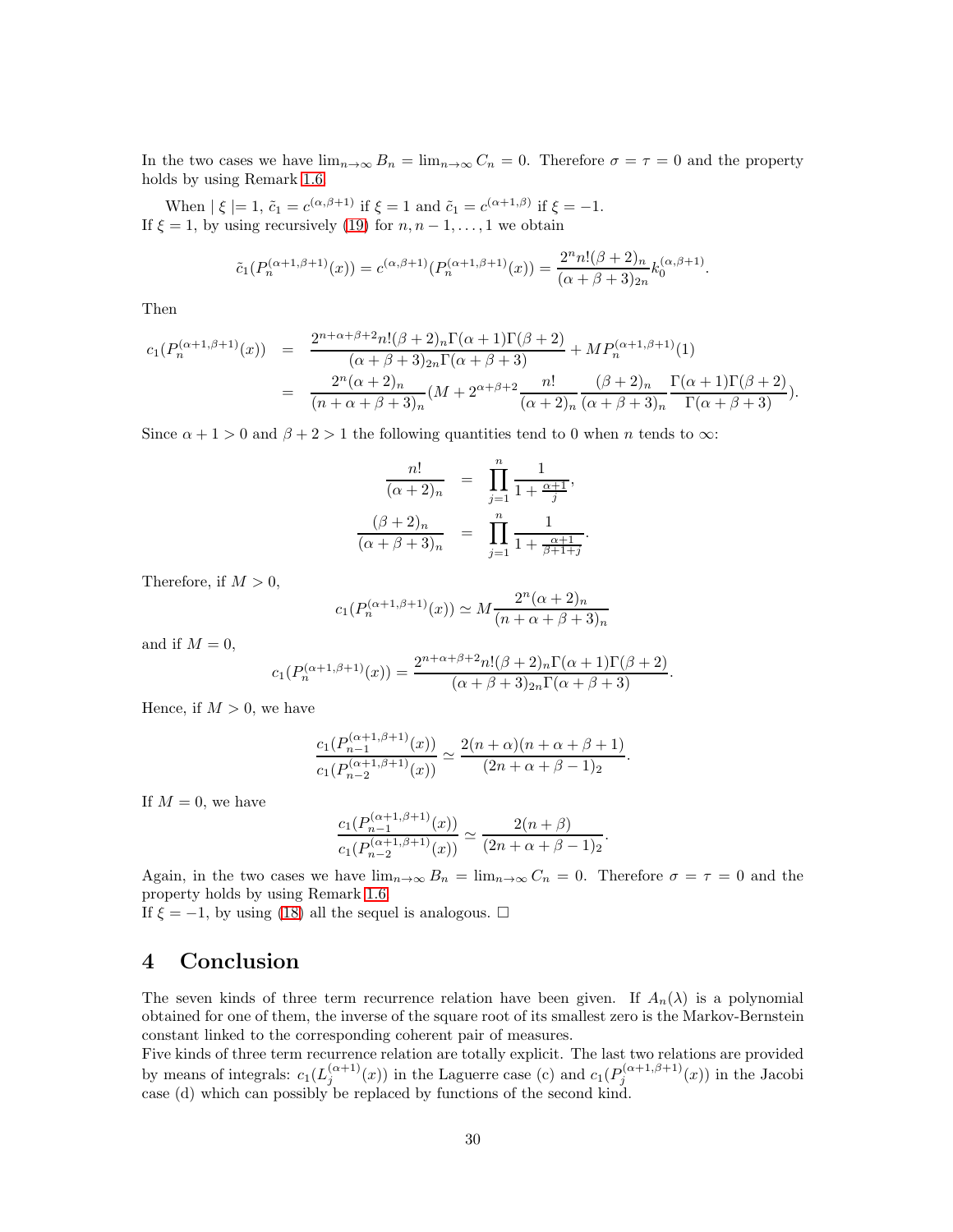In the two cases we have  $\lim_{n\to\infty} B_n = \lim_{n\to\infty} C_n = 0$ . Therefore  $\sigma = \tau = 0$  and the property holds by using Remark [1.6.](#page-5-2)

When  $|\xi| = 1$ ,  $\tilde{c}_1 = c^{(\alpha, \beta+1)}$  if  $\xi = 1$  and  $\tilde{c}_1 = c^{(\alpha+1,\beta)}$  if  $\xi = -1$ . If  $\xi = 1$ , by using recursively [\(19\)](#page-6-6) for  $n, n - 1, \ldots, 1$  we obtain

$$
\tilde{c}_1(P_n^{(\alpha+1,\beta+1)}(x)) = c^{(\alpha,\beta+1)}(P_n^{(\alpha+1,\beta+1)}(x)) = \frac{2^n n! (\beta+2)_n}{(\alpha+\beta+3)_{2n}} k_0^{(\alpha,\beta+1)}.
$$

Then

$$
c_1(P_n^{(\alpha+1,\beta+1)}(x)) = \frac{2^{n+\alpha+\beta+2}n!(\beta+2)_n\Gamma(\alpha+1)\Gamma(\beta+2)}{(\alpha+\beta+3)_{2n}\Gamma(\alpha+\beta+3)} + MP_n^{(\alpha+1,\beta+1)}(1)
$$
  
= 
$$
\frac{2^n(\alpha+2)_n}{(n+\alpha+\beta+3)_n}(M+2^{\alpha+\beta+2}\frac{n!}{(\alpha+2)_n}\frac{(\beta+2)_n}{(\alpha+\beta+3)_n}\frac{\Gamma(\alpha+1)\Gamma(\beta+2)}{\Gamma(\alpha+\beta+3)}).
$$

Since  $\alpha + 1 > 0$  and  $\beta + 2 > 1$  the following quantities tend to 0 when n tends to  $\infty$ :

$$
\frac{n!}{(\alpha+2)_n} = \prod_{j=1}^n \frac{1}{1 + \frac{\alpha+1}{j}},
$$
  

$$
\frac{(\beta+2)_n}{(\alpha+\beta+3)_n} = \prod_{j=1}^n \frac{1}{1 + \frac{\alpha+1}{\beta+1+j}}
$$

.

Therefore, if  $M > 0$ ,

$$
c_1(P_n^{(\alpha+1,\beta+1)}(x)) \simeq M \frac{2^n(\alpha+2)_n}{(n+\alpha+\beta+3)_n}
$$

and if  $M = 0$ ,

$$
c_1(P_n^{(\alpha+1,\beta+1)}(x)) = \frac{2^{n+\alpha+\beta+2}n!(\beta+2)_n\Gamma(\alpha+1)\Gamma(\beta+2)}{(\alpha+\beta+3)_{2n}\Gamma(\alpha+\beta+3)}.
$$

Hence, if  $M > 0$ , we have

$$
\frac{c_1(P_{n-1}^{(\alpha+1,\beta+1)}(x))}{c_1(P_{n-2}^{(\alpha+1,\beta+1)}(x))} \simeq \frac{2(n+\alpha)(n+\alpha+\beta+1)}{(2n+\alpha+\beta-1)_2}.
$$

If  $M = 0$ , we have

$$
\frac{c_1(P_{n-1}^{(\alpha+1,\beta+1)}(x))}{c_1(P_{n-2}^{(\alpha+1,\beta+1)}(x))} \simeq \frac{2(n+\beta)}{(2n+\alpha+\beta-1)_2}.
$$

Again, in the two cases we have  $\lim_{n\to\infty} B_n = \lim_{n\to\infty} C_n = 0$ . Therefore  $\sigma = \tau = 0$  and the property holds by using Remark [1.6.](#page-5-2)

If  $\xi = -1$ , by using [\(18\)](#page-6-6) all the sequel is analogous.  $\square$ 

# 4 Conclusion

The seven kinds of three term recurrence relation have been given. If  $A_n(\lambda)$  is a polynomial obtained for one of them, the inverse of the square root of its smallest zero is the Markov-Bernstein constant linked to the corresponding coherent pair of measures.

Five kinds of three term recurrence relation are totally explicit. The last two relations are provided by means of integrals:  $c_1(L_j^{(\alpha+1)}(x))$  in the Laguerre case (c) and  $c_1(P_j^{(\alpha+1,\beta+1)}(x))$  in the Jacobi case (d) which can possibly be replaced by functions of the second kind.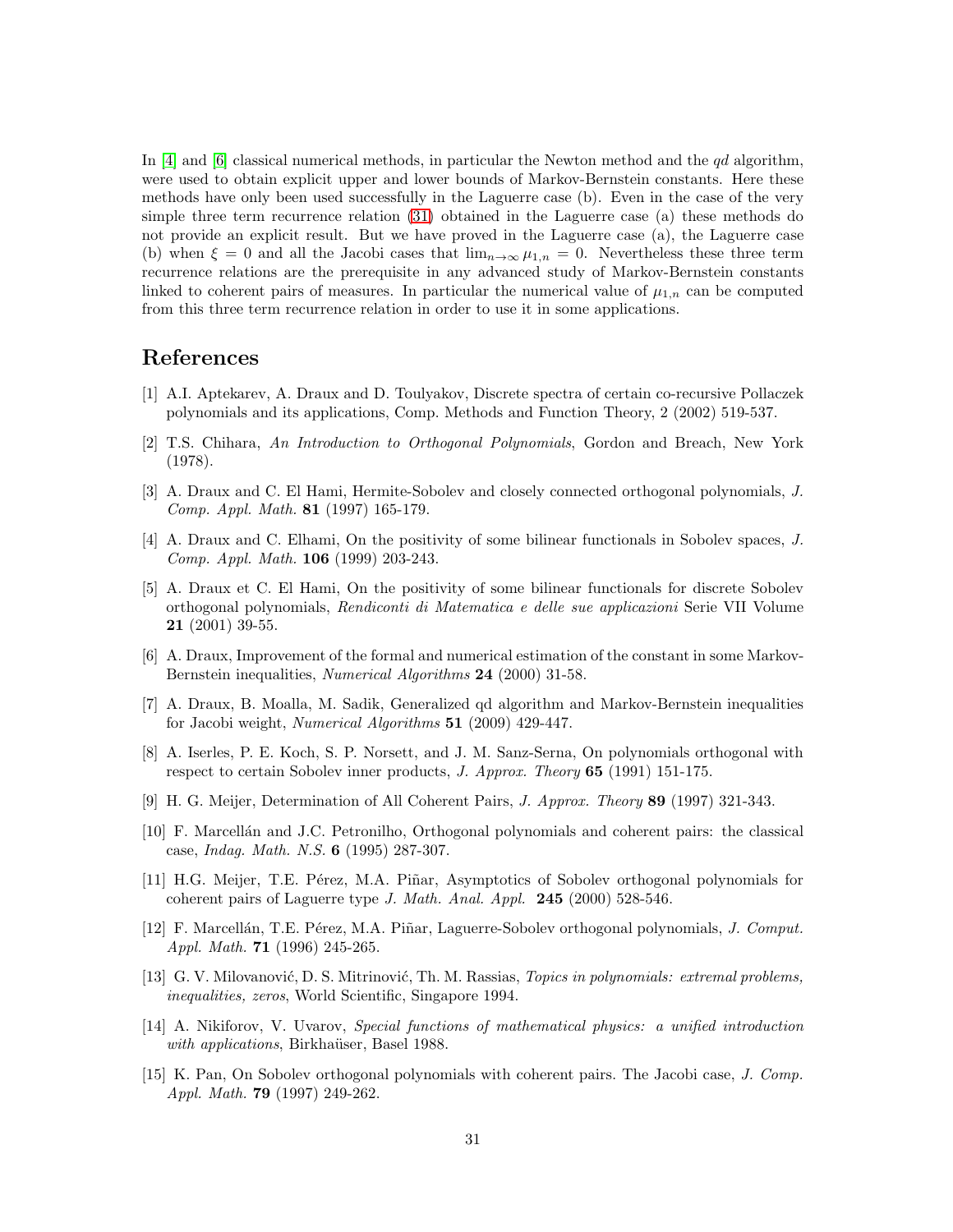In [\[4\]](#page-30-1) and [\[6\]](#page-30-8) classical numerical methods, in particular the Newton method and the  $qd$  algorithm, were used to obtain explicit upper and lower bounds of Markov-Bernstein constants. Here these methods have only been used successfully in the Laguerre case (b). Even in the case of the very simple three term recurrence relation [\(31\)](#page-8-1) obtained in the Laguerre case (a) these methods do not provide an explicit result. But we have proved in the Laguerre case (a), the Laguerre case (b) when  $\xi = 0$  and all the Jacobi cases that  $\lim_{n\to\infty} \mu_{1,n} = 0$ . Nevertheless these three term recurrence relations are the prerequisite in any advanced study of Markov-Bernstein constants linked to coherent pairs of measures. In particular the numerical value of  $\mu_{1,n}$  can be computed from this three term recurrence relation in order to use it in some applications.

# <span id="page-30-5"></span>References

- <span id="page-30-9"></span>[1] A.I. Aptekarev, A. Draux and D. Toulyakov, Discrete spectra of certain co-recursive Pollaczek polynomials and its applications, Comp. Methods and Function Theory, 2 (2002) 519-537.
- [2] T.S. Chihara, An Introduction to Orthogonal Polynomials, Gordon and Breach, New York (1978).
- <span id="page-30-2"></span>[3] A. Draux and C. El Hami, Hermite-Sobolev and closely connected orthogonal polynomials, J. Comp. Appl. Math. 81 (1997) 165-179.
- <span id="page-30-1"></span>[4] A. Draux and C. Elhami, On the positivity of some bilinear functionals in Sobolev spaces, J. Comp. Appl. Math. 106 (1999) 203-243.
- <span id="page-30-4"></span>[5] A. Draux et C. El Hami, On the positivity of some bilinear functionals for discrete Sobolev orthogonal polynomials, Rendiconti di Matematica e delle sue applicazioni Serie VII Volume 21 (2001) 39-55.
- <span id="page-30-8"></span>[6] A. Draux, Improvement of the formal and numerical estimation of the constant in some Markov-Bernstein inequalities, Numerical Algorithms 24 (2000) 31-58.
- <span id="page-30-3"></span>[7] A. Draux, B. Moalla, M. Sadik, Generalized qd algorithm and Markov-Bernstein inequalities for Jacobi weight, Numerical Algorithms 51 (2009) 429-447.
- <span id="page-30-6"></span>[8] A. Iserles, P. E. Koch, S. P. Norsett, and J. M. Sanz-Serna, On polynomials orthogonal with respect to certain Sobolev inner products, J. Approx. Theory 65 (1991) 151-175.
- <span id="page-30-10"></span><span id="page-30-7"></span>[9] H. G. Meijer, Determination of All Coherent Pairs, J. Approx. Theory 89 (1997) 321-343.
- [10] F. Marcell´an and J.C. Petronilho, Orthogonal polynomials and coherent pairs: the classical case, Indag. Math. N.S. 6 (1995) 287-307.
- <span id="page-30-13"></span>[11] H.G. Meijer, T.E. Pérez, M.A. Piñar, Asymptotics of Sobolev orthogonal polynomials for coherent pairs of Laguerre type J. Math. Anal. Appl. 245 (2000) 528-546.
- <span id="page-30-11"></span>[12] F. Marcellán, T.E. Pérez, M.A. Piñar, Laguerre-Sobolev orthogonal polynomials, J. Comput. Appl. Math. 71 (1996) 245-265.
- <span id="page-30-0"></span>[13] G. V. Milovanović, D. S. Mitrinović, Th. M. Rassias, *Topics in polynomials: extremal problems*, inequalities, zeros, World Scientific, Singapore 1994.
- <span id="page-30-12"></span>[14] A. Nikiforov, V. Uvarov, Special functions of mathematical physics: a unified introduction with applications, Birkhaüser, Basel 1988.
- <span id="page-30-14"></span>[15] K. Pan, On Sobolev orthogonal polynomials with coherent pairs. The Jacobi case, J. Comp. Appl. Math. 79 (1997) 249-262.